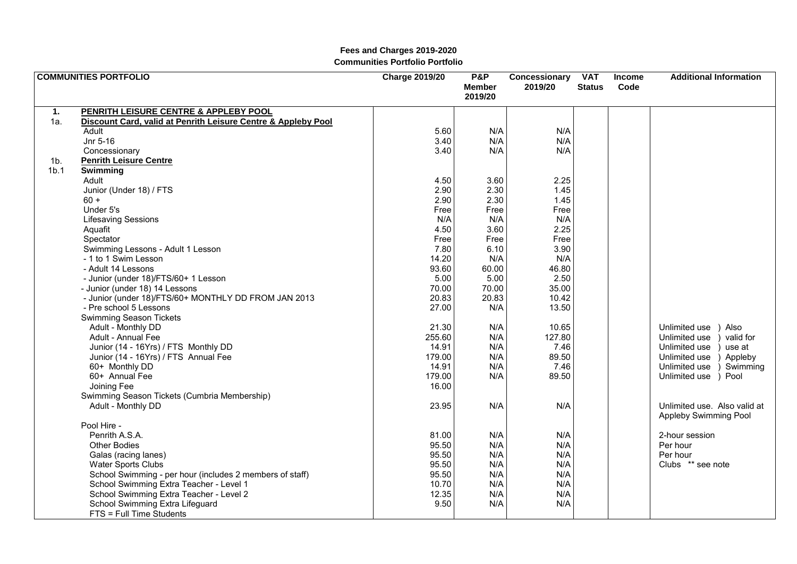|                  | <b>COMMUNITIES PORTFOLIO</b>                                  | <b>Charge 2019/20</b> | <b>P&amp;P</b><br><b>Member</b><br>2019/20 | Concessionary<br>2019/20 | <b>VAT</b><br><b>Status</b> | <b>Income</b><br>Code | <b>Additional Information</b> |
|------------------|---------------------------------------------------------------|-----------------------|--------------------------------------------|--------------------------|-----------------------------|-----------------------|-------------------------------|
| 1.               | PENRITH LEISURE CENTRE & APPLEBY POOL                         |                       |                                            |                          |                             |                       |                               |
| 1a.              | Discount Card, valid at Penrith Leisure Centre & Appleby Pool |                       |                                            |                          |                             |                       |                               |
|                  | Adult                                                         | 5.60                  | N/A                                        | N/A                      |                             |                       |                               |
|                  | Jnr 5-16                                                      | 3.40                  | N/A                                        | N/A                      |                             |                       |                               |
|                  | Concessionary                                                 | 3.40                  | N/A                                        | N/A                      |                             |                       |                               |
| 1 <sub>b</sub>   | <b>Penrith Leisure Centre</b>                                 |                       |                                            |                          |                             |                       |                               |
| 1 <sub>b.1</sub> | Swimming                                                      |                       |                                            |                          |                             |                       |                               |
|                  | Adult                                                         | 4.50                  | 3.60                                       | 2.25                     |                             |                       |                               |
|                  | Junior (Under 18) / FTS                                       | 2.90                  | 2.30                                       | 1.45                     |                             |                       |                               |
|                  | $60 +$                                                        | 2.90                  | 2.30                                       | 1.45                     |                             |                       |                               |
|                  | Under 5's                                                     | Free                  | Free                                       | Free                     |                             |                       |                               |
|                  | <b>Lifesaving Sessions</b>                                    | N/A                   | N/A                                        | N/A                      |                             |                       |                               |
|                  | Aquafit                                                       | 4.50                  | 3.60                                       | 2.25                     |                             |                       |                               |
|                  | Spectator                                                     | Free                  | Free                                       | Free                     |                             |                       |                               |
|                  | Swimming Lessons - Adult 1 Lesson                             | 7.80                  | 6.10                                       | 3.90                     |                             |                       |                               |
|                  | - 1 to 1 Swim Lesson                                          | 14.20                 | N/A                                        | N/A                      |                             |                       |                               |
|                  | - Adult 14 Lessons                                            | 93.60                 | 60.00                                      | 46.80                    |                             |                       |                               |
|                  | - Junior (under 18)/FTS/60+ 1 Lesson                          | 5.00                  | 5.00                                       | 2.50                     |                             |                       |                               |
|                  | - Junior (under 18) 14 Lessons                                | 70.00                 | 70.00                                      | 35.00                    |                             |                       |                               |
|                  | - Junior (under 18)/FTS/60+ MONTHLY DD FROM JAN 2013          | 20.83                 | 20.83                                      | 10.42                    |                             |                       |                               |
|                  | - Pre school 5 Lessons<br><b>Swimming Season Tickets</b>      | 27.00                 | N/A                                        | 13.50                    |                             |                       |                               |
|                  | Adult - Monthly DD                                            | 21.30                 | N/A                                        | 10.65                    |                             |                       | Also<br>Unlimited use         |
|                  | Adult - Annual Fee                                            | 255.60                | N/A                                        | 127.80                   |                             |                       | valid for<br>Unlimited use    |
|                  | Junior (14 - 16Yrs) / FTS Monthly DD                          | 14.91                 | N/A                                        | 7.46                     |                             |                       | Unlimited use<br>use at       |
|                  | Junior (14 - 16Yrs) / FTS Annual Fee                          | 179.00                | N/A                                        | 89.50                    |                             |                       | Appleby<br>Unlimited use      |
|                  | 60+ Monthly DD                                                | 14.91                 | N/A                                        | 7.46                     |                             |                       | Unlimited use<br>Swimming     |
|                  | 60+ Annual Fee                                                | 179.00                | N/A                                        | 89.50                    |                             |                       | Unlimited use<br>) Pool       |
|                  | Joining Fee                                                   | 16.00                 |                                            |                          |                             |                       |                               |
|                  | Swimming Season Tickets (Cumbria Membership)                  |                       |                                            |                          |                             |                       |                               |
|                  | Adult - Monthly DD                                            | 23.95                 | N/A                                        | N/A                      |                             |                       | Unlimited use. Also valid at  |
|                  |                                                               |                       |                                            |                          |                             |                       | Appleby Swimming Pool         |
|                  | Pool Hire -                                                   |                       |                                            |                          |                             |                       |                               |
|                  | Penrith A.S.A.                                                | 81.00                 | N/A                                        | N/A                      |                             |                       | 2-hour session                |
|                  | <b>Other Bodies</b>                                           | 95.50                 | N/A                                        | N/A                      |                             |                       | Per hour                      |
|                  | Galas (racing lanes)                                          | 95.50                 | N/A                                        | N/A                      |                             |                       | Per hour                      |
|                  | <b>Water Sports Clubs</b>                                     | 95.50                 | N/A                                        | N/A                      |                             |                       | Clubs ** see note             |
|                  | School Swimming - per hour (includes 2 members of staff)      | 95.50                 | N/A                                        | N/A                      |                             |                       |                               |
|                  | School Swimming Extra Teacher - Level 1                       | 10.70                 | N/A                                        | N/A                      |                             |                       |                               |
|                  | School Swimming Extra Teacher - Level 2                       | 12.35                 | N/A                                        | N/A                      |                             |                       |                               |
|                  | School Swimming Extra Lifeguard                               | 9.50                  | N/A                                        | N/A                      |                             |                       |                               |
|                  | FTS = Full Time Students                                      |                       |                                            |                          |                             |                       |                               |

### **Fees and Charges 2019-2020 Communities Portfolio Portfolio**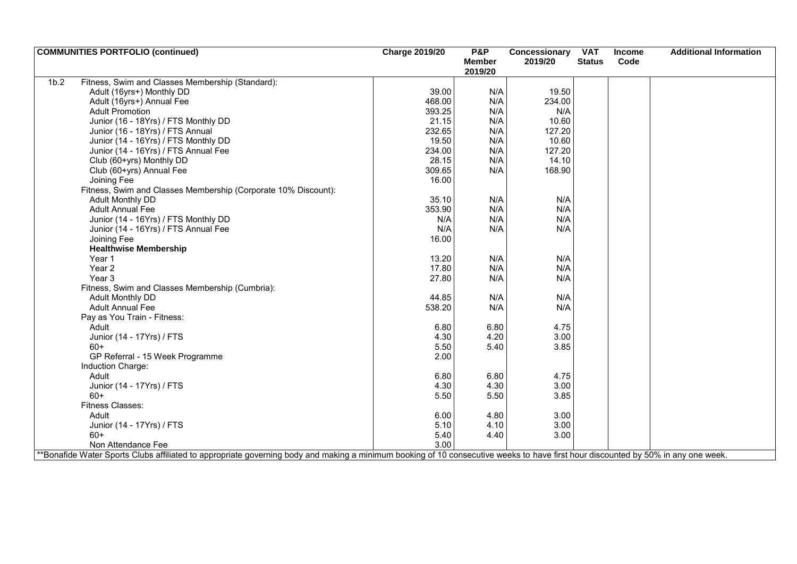| <b>COMMUNITIES PORTFOLIO (continued)</b> |                                                                                                                                                                                  | <b>Charge 2019/20</b> | <b>P&amp;P</b>           | Concessionary | <b>VAT</b>    | <b>Income</b> | <b>Additional Information</b> |
|------------------------------------------|----------------------------------------------------------------------------------------------------------------------------------------------------------------------------------|-----------------------|--------------------------|---------------|---------------|---------------|-------------------------------|
|                                          |                                                                                                                                                                                  |                       | <b>Member</b><br>2019/20 | 2019/20       | <b>Status</b> | Code          |                               |
| 1 <sub>b.2</sub>                         | Fitness, Swim and Classes Membership (Standard):                                                                                                                                 |                       |                          |               |               |               |                               |
|                                          | Adult (16yrs+) Monthly DD                                                                                                                                                        | 39.00                 | N/A                      | 19.50         |               |               |                               |
|                                          | Adult (16yrs+) Annual Fee                                                                                                                                                        | 468.00                | N/A                      | 234.00        |               |               |                               |
| <b>Adult Promotion</b>                   |                                                                                                                                                                                  | 393.25                | N/A                      | N/A           |               |               |                               |
|                                          | Junior (16 - 18Yrs) / FTS Monthly DD                                                                                                                                             | 21.15                 | N/A                      | 10.60         |               |               |                               |
|                                          | Junior (16 - 18Yrs) / FTS Annual                                                                                                                                                 | 232.65                | N/A                      | 127.20        |               |               |                               |
|                                          | Junior (14 - 16Yrs) / FTS Monthly DD                                                                                                                                             | 19.50                 | N/A                      | 10.60         |               |               |                               |
|                                          | Junior (14 - 16Yrs) / FTS Annual Fee                                                                                                                                             | 234.00                | N/A                      | 127.20        |               |               |                               |
|                                          | Club (60+yrs) Monthly DD                                                                                                                                                         | 28.15                 | N/A                      | 14.10         |               |               |                               |
|                                          | Club (60+yrs) Annual Fee                                                                                                                                                         | 309.65                | N/A                      | 168.90        |               |               |                               |
| Joining Fee                              |                                                                                                                                                                                  | 16.00                 |                          |               |               |               |                               |
|                                          | Fitness, Swim and Classes Membership (Corporate 10% Discount):                                                                                                                   |                       |                          |               |               |               |                               |
| <b>Adult Monthly DD</b>                  |                                                                                                                                                                                  | 35.10                 | N/A                      | N/A           |               |               |                               |
| <b>Adult Annual Fee</b>                  |                                                                                                                                                                                  | 353.90                | N/A                      | N/A           |               |               |                               |
|                                          | Junior (14 - 16Yrs) / FTS Monthly DD                                                                                                                                             | N/A                   | N/A                      | N/A           |               |               |                               |
|                                          | Junior (14 - 16Yrs) / FTS Annual Fee                                                                                                                                             | N/A                   | N/A                      | N/A           |               |               |                               |
| Joining Fee                              |                                                                                                                                                                                  | 16.00                 |                          |               |               |               |                               |
|                                          | <b>Healthwise Membership</b>                                                                                                                                                     |                       |                          |               |               |               |                               |
| Year 1                                   |                                                                                                                                                                                  | 13.20                 | N/A                      | N/A           |               |               |                               |
| Year <sub>2</sub>                        |                                                                                                                                                                                  | 17.80                 | N/A                      | N/A           |               |               |                               |
| Year <sub>3</sub>                        |                                                                                                                                                                                  | 27.80                 | N/A                      | N/A           |               |               |                               |
|                                          | Fitness, Swim and Classes Membership (Cumbria):                                                                                                                                  |                       |                          |               |               |               |                               |
| <b>Adult Monthly DD</b>                  |                                                                                                                                                                                  | 44.85                 | N/A                      | N/A           |               |               |                               |
| <b>Adult Annual Fee</b>                  |                                                                                                                                                                                  | 538.20                | N/A                      | N/A           |               |               |                               |
|                                          | Pay as You Train - Fitness:                                                                                                                                                      |                       |                          |               |               |               |                               |
| Adult                                    |                                                                                                                                                                                  | 6.80                  | 6.80                     | 4.75          |               |               |                               |
|                                          | Junior (14 - 17Yrs) / FTS                                                                                                                                                        | 4.30                  | 4.20                     | 3.00          |               |               |                               |
| $60+$                                    |                                                                                                                                                                                  | 5.50                  | 5.40                     | 3.85          |               |               |                               |
|                                          | GP Referral - 15 Week Programme                                                                                                                                                  | 2.00                  |                          |               |               |               |                               |
| Induction Charge:                        |                                                                                                                                                                                  |                       |                          |               |               |               |                               |
| Adult                                    |                                                                                                                                                                                  | 6.80                  | 6.80                     | 4.75          |               |               |                               |
|                                          | Junior (14 - 17Yrs) / FTS                                                                                                                                                        | 4.30                  | 4.30                     | 3.00          |               |               |                               |
| $60+$                                    |                                                                                                                                                                                  | 5.50                  | 5.50                     | 3.85          |               |               |                               |
| Fitness Classes:                         |                                                                                                                                                                                  |                       |                          |               |               |               |                               |
| Adult                                    |                                                                                                                                                                                  | 6.00                  | 4.80                     | 3.00          |               |               |                               |
|                                          | Junior (14 - 17Yrs) / FTS                                                                                                                                                        | 5.10                  | 4.10                     | 3.00          |               |               |                               |
| 60+                                      |                                                                                                                                                                                  | 5.40                  | 4.40                     | 3.00          |               |               |                               |
|                                          | Non Attendance Fee                                                                                                                                                               | 3.00                  |                          |               |               |               |                               |
|                                          | *Bonafide Water Sports Clubs affiliated to appropriate governing body and making a minimum booking of 10 consecutive weeks to have first hour discounted by 50% in any one week. |                       |                          |               |               |               |                               |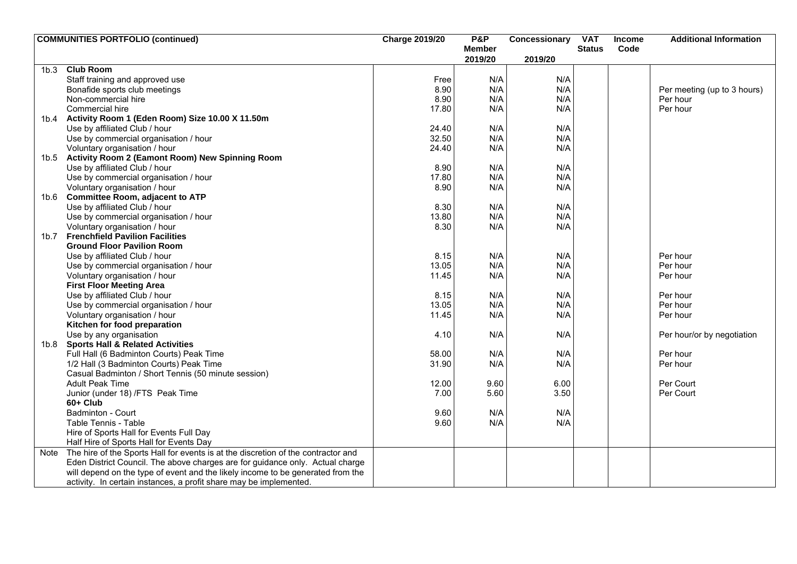|      | <b>COMMUNITIES PORTFOLIO (continued)</b>                                               | <b>Charge 2019/20</b> | <b>P&amp;P</b> | Concessionary | <b>VAT</b>    | Income | <b>Additional Information</b> |
|------|----------------------------------------------------------------------------------------|-----------------------|----------------|---------------|---------------|--------|-------------------------------|
|      |                                                                                        |                       | <b>Member</b>  |               | <b>Status</b> | Code   |                               |
|      |                                                                                        |                       | 2019/20        | 2019/20       |               |        |                               |
| 1b.3 | <b>Club Room</b>                                                                       |                       |                |               |               |        |                               |
|      | Staff training and approved use                                                        | Free                  | N/A            | N/A           |               |        |                               |
|      | Bonafide sports club meetings                                                          | 8.90                  | N/A            | N/A           |               |        | Per meeting (up to 3 hours)   |
|      | Non-commercial hire                                                                    | 8.90                  | N/A            | N/A           |               |        | Per hour                      |
|      | Commercial hire                                                                        | 17.80                 | N/A            | N/A           |               |        | Per hour                      |
|      | 1b.4 Activity Room 1 (Eden Room) Size 10.00 X 11.50m                                   |                       |                |               |               |        |                               |
|      | Use by affiliated Club / hour                                                          | 24.40                 | N/A            | N/A           |               |        |                               |
|      | Use by commercial organisation / hour                                                  | 32.50                 | N/A            | N/A           |               |        |                               |
|      | Voluntary organisation / hour                                                          | 24.40                 | N/A            | N/A           |               |        |                               |
|      | 1b.5 Activity Room 2 (Eamont Room) New Spinning Room                                   |                       |                |               |               |        |                               |
|      | Use by affiliated Club / hour                                                          | 8.90                  | N/A            | N/A           |               |        |                               |
|      | Use by commercial organisation / hour                                                  | 17.80                 | N/A            | N/A           |               |        |                               |
|      | Voluntary organisation / hour                                                          | 8.90                  | N/A            | N/A           |               |        |                               |
|      | 1b.6 Committee Room, adjacent to ATP                                                   |                       |                |               |               |        |                               |
|      | Use by affiliated Club / hour                                                          | 8.30                  | N/A            | N/A           |               |        |                               |
|      | Use by commercial organisation / hour                                                  | 13.80                 | N/A            | N/A           |               |        |                               |
|      | Voluntary organisation / hour                                                          | 8.30                  | N/A            | N/A           |               |        |                               |
|      | 1b.7 Frenchfield Pavilion Facilities                                                   |                       |                |               |               |        |                               |
|      | <b>Ground Floor Pavilion Room</b>                                                      |                       |                |               |               |        |                               |
|      | Use by affiliated Club / hour                                                          | 8.15                  | N/A            | N/A           |               |        | Per hour                      |
|      | Use by commercial organisation / hour                                                  | 13.05                 | N/A            | N/A           |               |        | Per hour                      |
|      | Voluntary organisation / hour                                                          | 11.45                 | N/A            | N/A           |               |        | Per hour                      |
|      | <b>First Floor Meeting Area</b>                                                        |                       |                |               |               |        |                               |
|      | Use by affiliated Club / hour                                                          | 8.15                  | N/A            | N/A           |               |        | Per hour                      |
|      | Use by commercial organisation / hour                                                  | 13.05                 | N/A            | N/A           |               |        | Per hour                      |
|      | Voluntary organisation / hour                                                          | 11.45                 | N/A            | N/A           |               |        | Per hour                      |
|      | Kitchen for food preparation                                                           |                       |                |               |               |        |                               |
|      | Use by any organisation                                                                | 4.10                  | N/A            | N/A           |               |        | Per hour/or by negotiation    |
| 1b.8 | <b>Sports Hall &amp; Related Activities</b>                                            |                       |                |               |               |        |                               |
|      | Full Hall (6 Badminton Courts) Peak Time                                               | 58.00                 | N/A            | N/A           |               |        | Per hour                      |
|      | 1/2 Hall (3 Badminton Courts) Peak Time                                                | 31.90                 | N/A            | N/A           |               |        | Per hour                      |
|      |                                                                                        |                       |                |               |               |        |                               |
|      | Casual Badminton / Short Tennis (50 minute session)                                    |                       | 9.60           |               |               |        | Per Court                     |
|      | <b>Adult Peak Time</b>                                                                 | 12.00                 |                | 6.00<br>3.50  |               |        | Per Court                     |
|      | Junior (under 18) /FTS Peak Time<br>60+ Club                                           | 7.00                  | 5.60           |               |               |        |                               |
|      |                                                                                        |                       |                |               |               |        |                               |
|      | Badminton - Court                                                                      | 9.60                  | N/A            | N/A           |               |        |                               |
|      | Table Tennis - Table                                                                   | 9.60                  | N/A            | N/A           |               |        |                               |
|      | Hire of Sports Hall for Events Full Day                                                |                       |                |               |               |        |                               |
|      | Half Hire of Sports Hall for Events Day                                                |                       |                |               |               |        |                               |
|      | Note The hire of the Sports Hall for events is at the discretion of the contractor and |                       |                |               |               |        |                               |
|      | Eden District Council. The above charges are for guidance only. Actual charge          |                       |                |               |               |        |                               |
|      | will depend on the type of event and the likely income to be generated from the        |                       |                |               |               |        |                               |
|      | activity. In certain instances, a profit share may be implemented.                     |                       |                |               |               |        |                               |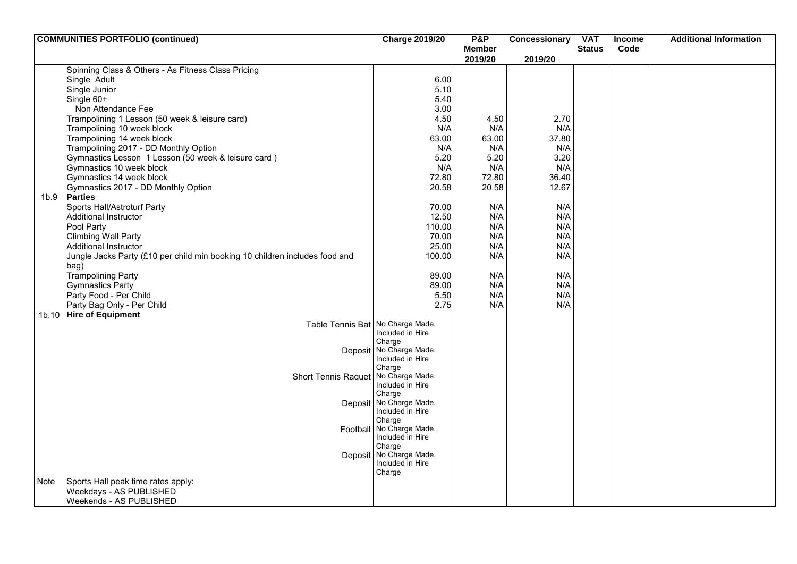| 2019/20<br>2019/20<br>Spinning Class & Others - As Fitness Class Pricing<br>6.00<br>Single Adult<br>Single Junior<br>5.10<br>Single 60+<br>5.40<br>3.00<br>Non Attendance Fee<br>2.70<br>Trampolining 1 Lesson (50 week & leisure card)<br>4.50<br>4.50<br>N/A<br>Trampolining 10 week block<br>N/A<br>N/A<br>Trampolining 14 week block<br>63.00<br>37.80<br>63.00<br>Trampolining 2017 - DD Monthly Option<br>N/A<br>N/A<br>N/A<br>Gymnastics Lesson 1 Lesson (50 week & leisure card)<br>3.20<br>5.20<br>5.20<br>Gymnastics 10 week block<br>N/A<br>N/A<br>N/A<br>Gymnastics 14 week block<br>72.80<br>72.80<br>36.40<br>Gymnastics 2017 - DD Monthly Option<br>20.58<br>20.58<br>12.67<br>1b.9<br><b>Parties</b><br>Sports Hall/Astroturf Party<br>70.00<br>N/A<br>N/A<br>N/A<br>N/A<br>12.50<br>Additional Instructor<br>N/A<br>N/A<br>Pool Party<br>110.00<br>N/A<br><b>Climbing Wall Party</b><br>70.00<br>N/A<br><b>Additional Instructor</b><br>25.00<br>N/A<br>N/A<br>Jungle Jacks Party (£10 per child min booking 10 children includes food and<br>100.00<br>N/A<br>N/A<br>bag)<br><b>Trampolining Party</b><br>89.00<br>N/A<br>N/A<br>N/A<br><b>Gymnastics Party</b><br>89.00<br>N/A<br>5.50<br>N/A<br>N/A<br>Party Food - Per Child<br>Party Bag Only - Per Child<br>2.75<br>N/A<br>N/A<br>1b.10 Hire of Equipment<br>Table Tennis Bat No Charge Made.<br>Included in Hire<br>Charge<br>Deposit No Charge Made.<br>Included in Hire<br>Charge<br>No Charge Made.<br><b>Short Tennis Raquet</b><br>Included in Hire<br>Charge<br>Deposit No Charge Made.<br>Included in Hire<br>Charge<br>No Charge Made.<br>Football<br>Included in Hire<br>Charge<br>No Charge Made.<br>Deposit<br>Included in Hire<br>Charge<br>Sports Hall peak time rates apply:<br>Note<br>Weekdays - AS PUBLISHED | <b>COMMUNITIES PORTFOLIO (continued)</b> | <b>Charge 2019/20</b> | <b>P&amp;P</b> | Concessionary | <b>VAT</b>    | <b>Income</b> | <b>Additional Information</b> |
|-------------------------------------------------------------------------------------------------------------------------------------------------------------------------------------------------------------------------------------------------------------------------------------------------------------------------------------------------------------------------------------------------------------------------------------------------------------------------------------------------------------------------------------------------------------------------------------------------------------------------------------------------------------------------------------------------------------------------------------------------------------------------------------------------------------------------------------------------------------------------------------------------------------------------------------------------------------------------------------------------------------------------------------------------------------------------------------------------------------------------------------------------------------------------------------------------------------------------------------------------------------------------------------------------------------------------------------------------------------------------------------------------------------------------------------------------------------------------------------------------------------------------------------------------------------------------------------------------------------------------------------------------------------------------------------------------------------------------------------------------------------------------------------------------------|------------------------------------------|-----------------------|----------------|---------------|---------------|---------------|-------------------------------|
|                                                                                                                                                                                                                                                                                                                                                                                                                                                                                                                                                                                                                                                                                                                                                                                                                                                                                                                                                                                                                                                                                                                                                                                                                                                                                                                                                                                                                                                                                                                                                                                                                                                                                                                                                                                                       |                                          |                       | <b>Member</b>  |               | <b>Status</b> | Code          |                               |
|                                                                                                                                                                                                                                                                                                                                                                                                                                                                                                                                                                                                                                                                                                                                                                                                                                                                                                                                                                                                                                                                                                                                                                                                                                                                                                                                                                                                                                                                                                                                                                                                                                                                                                                                                                                                       |                                          |                       |                |               |               |               |                               |
|                                                                                                                                                                                                                                                                                                                                                                                                                                                                                                                                                                                                                                                                                                                                                                                                                                                                                                                                                                                                                                                                                                                                                                                                                                                                                                                                                                                                                                                                                                                                                                                                                                                                                                                                                                                                       |                                          |                       |                |               |               |               |                               |
|                                                                                                                                                                                                                                                                                                                                                                                                                                                                                                                                                                                                                                                                                                                                                                                                                                                                                                                                                                                                                                                                                                                                                                                                                                                                                                                                                                                                                                                                                                                                                                                                                                                                                                                                                                                                       |                                          |                       |                |               |               |               |                               |
|                                                                                                                                                                                                                                                                                                                                                                                                                                                                                                                                                                                                                                                                                                                                                                                                                                                                                                                                                                                                                                                                                                                                                                                                                                                                                                                                                                                                                                                                                                                                                                                                                                                                                                                                                                                                       |                                          |                       |                |               |               |               |                               |
|                                                                                                                                                                                                                                                                                                                                                                                                                                                                                                                                                                                                                                                                                                                                                                                                                                                                                                                                                                                                                                                                                                                                                                                                                                                                                                                                                                                                                                                                                                                                                                                                                                                                                                                                                                                                       |                                          |                       |                |               |               |               |                               |
|                                                                                                                                                                                                                                                                                                                                                                                                                                                                                                                                                                                                                                                                                                                                                                                                                                                                                                                                                                                                                                                                                                                                                                                                                                                                                                                                                                                                                                                                                                                                                                                                                                                                                                                                                                                                       |                                          |                       |                |               |               |               |                               |
|                                                                                                                                                                                                                                                                                                                                                                                                                                                                                                                                                                                                                                                                                                                                                                                                                                                                                                                                                                                                                                                                                                                                                                                                                                                                                                                                                                                                                                                                                                                                                                                                                                                                                                                                                                                                       |                                          |                       |                |               |               |               |                               |
|                                                                                                                                                                                                                                                                                                                                                                                                                                                                                                                                                                                                                                                                                                                                                                                                                                                                                                                                                                                                                                                                                                                                                                                                                                                                                                                                                                                                                                                                                                                                                                                                                                                                                                                                                                                                       |                                          |                       |                |               |               |               |                               |
|                                                                                                                                                                                                                                                                                                                                                                                                                                                                                                                                                                                                                                                                                                                                                                                                                                                                                                                                                                                                                                                                                                                                                                                                                                                                                                                                                                                                                                                                                                                                                                                                                                                                                                                                                                                                       |                                          |                       |                |               |               |               |                               |
|                                                                                                                                                                                                                                                                                                                                                                                                                                                                                                                                                                                                                                                                                                                                                                                                                                                                                                                                                                                                                                                                                                                                                                                                                                                                                                                                                                                                                                                                                                                                                                                                                                                                                                                                                                                                       |                                          |                       |                |               |               |               |                               |
|                                                                                                                                                                                                                                                                                                                                                                                                                                                                                                                                                                                                                                                                                                                                                                                                                                                                                                                                                                                                                                                                                                                                                                                                                                                                                                                                                                                                                                                                                                                                                                                                                                                                                                                                                                                                       |                                          |                       |                |               |               |               |                               |
|                                                                                                                                                                                                                                                                                                                                                                                                                                                                                                                                                                                                                                                                                                                                                                                                                                                                                                                                                                                                                                                                                                                                                                                                                                                                                                                                                                                                                                                                                                                                                                                                                                                                                                                                                                                                       |                                          |                       |                |               |               |               |                               |
|                                                                                                                                                                                                                                                                                                                                                                                                                                                                                                                                                                                                                                                                                                                                                                                                                                                                                                                                                                                                                                                                                                                                                                                                                                                                                                                                                                                                                                                                                                                                                                                                                                                                                                                                                                                                       |                                          |                       |                |               |               |               |                               |
|                                                                                                                                                                                                                                                                                                                                                                                                                                                                                                                                                                                                                                                                                                                                                                                                                                                                                                                                                                                                                                                                                                                                                                                                                                                                                                                                                                                                                                                                                                                                                                                                                                                                                                                                                                                                       |                                          |                       |                |               |               |               |                               |
|                                                                                                                                                                                                                                                                                                                                                                                                                                                                                                                                                                                                                                                                                                                                                                                                                                                                                                                                                                                                                                                                                                                                                                                                                                                                                                                                                                                                                                                                                                                                                                                                                                                                                                                                                                                                       |                                          |                       |                |               |               |               |                               |
|                                                                                                                                                                                                                                                                                                                                                                                                                                                                                                                                                                                                                                                                                                                                                                                                                                                                                                                                                                                                                                                                                                                                                                                                                                                                                                                                                                                                                                                                                                                                                                                                                                                                                                                                                                                                       |                                          |                       |                |               |               |               |                               |
|                                                                                                                                                                                                                                                                                                                                                                                                                                                                                                                                                                                                                                                                                                                                                                                                                                                                                                                                                                                                                                                                                                                                                                                                                                                                                                                                                                                                                                                                                                                                                                                                                                                                                                                                                                                                       |                                          |                       |                |               |               |               |                               |
|                                                                                                                                                                                                                                                                                                                                                                                                                                                                                                                                                                                                                                                                                                                                                                                                                                                                                                                                                                                                                                                                                                                                                                                                                                                                                                                                                                                                                                                                                                                                                                                                                                                                                                                                                                                                       |                                          |                       |                |               |               |               |                               |
|                                                                                                                                                                                                                                                                                                                                                                                                                                                                                                                                                                                                                                                                                                                                                                                                                                                                                                                                                                                                                                                                                                                                                                                                                                                                                                                                                                                                                                                                                                                                                                                                                                                                                                                                                                                                       |                                          |                       |                |               |               |               |                               |
|                                                                                                                                                                                                                                                                                                                                                                                                                                                                                                                                                                                                                                                                                                                                                                                                                                                                                                                                                                                                                                                                                                                                                                                                                                                                                                                                                                                                                                                                                                                                                                                                                                                                                                                                                                                                       |                                          |                       |                |               |               |               |                               |
|                                                                                                                                                                                                                                                                                                                                                                                                                                                                                                                                                                                                                                                                                                                                                                                                                                                                                                                                                                                                                                                                                                                                                                                                                                                                                                                                                                                                                                                                                                                                                                                                                                                                                                                                                                                                       |                                          |                       |                |               |               |               |                               |
|                                                                                                                                                                                                                                                                                                                                                                                                                                                                                                                                                                                                                                                                                                                                                                                                                                                                                                                                                                                                                                                                                                                                                                                                                                                                                                                                                                                                                                                                                                                                                                                                                                                                                                                                                                                                       |                                          |                       |                |               |               |               |                               |
|                                                                                                                                                                                                                                                                                                                                                                                                                                                                                                                                                                                                                                                                                                                                                                                                                                                                                                                                                                                                                                                                                                                                                                                                                                                                                                                                                                                                                                                                                                                                                                                                                                                                                                                                                                                                       |                                          |                       |                |               |               |               |                               |
|                                                                                                                                                                                                                                                                                                                                                                                                                                                                                                                                                                                                                                                                                                                                                                                                                                                                                                                                                                                                                                                                                                                                                                                                                                                                                                                                                                                                                                                                                                                                                                                                                                                                                                                                                                                                       |                                          |                       |                |               |               |               |                               |
|                                                                                                                                                                                                                                                                                                                                                                                                                                                                                                                                                                                                                                                                                                                                                                                                                                                                                                                                                                                                                                                                                                                                                                                                                                                                                                                                                                                                                                                                                                                                                                                                                                                                                                                                                                                                       |                                          |                       |                |               |               |               |                               |
|                                                                                                                                                                                                                                                                                                                                                                                                                                                                                                                                                                                                                                                                                                                                                                                                                                                                                                                                                                                                                                                                                                                                                                                                                                                                                                                                                                                                                                                                                                                                                                                                                                                                                                                                                                                                       |                                          |                       |                |               |               |               |                               |
|                                                                                                                                                                                                                                                                                                                                                                                                                                                                                                                                                                                                                                                                                                                                                                                                                                                                                                                                                                                                                                                                                                                                                                                                                                                                                                                                                                                                                                                                                                                                                                                                                                                                                                                                                                                                       |                                          |                       |                |               |               |               |                               |
|                                                                                                                                                                                                                                                                                                                                                                                                                                                                                                                                                                                                                                                                                                                                                                                                                                                                                                                                                                                                                                                                                                                                                                                                                                                                                                                                                                                                                                                                                                                                                                                                                                                                                                                                                                                                       |                                          |                       |                |               |               |               |                               |
|                                                                                                                                                                                                                                                                                                                                                                                                                                                                                                                                                                                                                                                                                                                                                                                                                                                                                                                                                                                                                                                                                                                                                                                                                                                                                                                                                                                                                                                                                                                                                                                                                                                                                                                                                                                                       |                                          |                       |                |               |               |               |                               |
|                                                                                                                                                                                                                                                                                                                                                                                                                                                                                                                                                                                                                                                                                                                                                                                                                                                                                                                                                                                                                                                                                                                                                                                                                                                                                                                                                                                                                                                                                                                                                                                                                                                                                                                                                                                                       |                                          |                       |                |               |               |               |                               |
|                                                                                                                                                                                                                                                                                                                                                                                                                                                                                                                                                                                                                                                                                                                                                                                                                                                                                                                                                                                                                                                                                                                                                                                                                                                                                                                                                                                                                                                                                                                                                                                                                                                                                                                                                                                                       |                                          |                       |                |               |               |               |                               |
|                                                                                                                                                                                                                                                                                                                                                                                                                                                                                                                                                                                                                                                                                                                                                                                                                                                                                                                                                                                                                                                                                                                                                                                                                                                                                                                                                                                                                                                                                                                                                                                                                                                                                                                                                                                                       |                                          |                       |                |               |               |               |                               |
|                                                                                                                                                                                                                                                                                                                                                                                                                                                                                                                                                                                                                                                                                                                                                                                                                                                                                                                                                                                                                                                                                                                                                                                                                                                                                                                                                                                                                                                                                                                                                                                                                                                                                                                                                                                                       |                                          |                       |                |               |               |               |                               |
|                                                                                                                                                                                                                                                                                                                                                                                                                                                                                                                                                                                                                                                                                                                                                                                                                                                                                                                                                                                                                                                                                                                                                                                                                                                                                                                                                                                                                                                                                                                                                                                                                                                                                                                                                                                                       |                                          |                       |                |               |               |               |                               |
|                                                                                                                                                                                                                                                                                                                                                                                                                                                                                                                                                                                                                                                                                                                                                                                                                                                                                                                                                                                                                                                                                                                                                                                                                                                                                                                                                                                                                                                                                                                                                                                                                                                                                                                                                                                                       |                                          |                       |                |               |               |               |                               |
|                                                                                                                                                                                                                                                                                                                                                                                                                                                                                                                                                                                                                                                                                                                                                                                                                                                                                                                                                                                                                                                                                                                                                                                                                                                                                                                                                                                                                                                                                                                                                                                                                                                                                                                                                                                                       |                                          |                       |                |               |               |               |                               |
|                                                                                                                                                                                                                                                                                                                                                                                                                                                                                                                                                                                                                                                                                                                                                                                                                                                                                                                                                                                                                                                                                                                                                                                                                                                                                                                                                                                                                                                                                                                                                                                                                                                                                                                                                                                                       |                                          |                       |                |               |               |               |                               |
|                                                                                                                                                                                                                                                                                                                                                                                                                                                                                                                                                                                                                                                                                                                                                                                                                                                                                                                                                                                                                                                                                                                                                                                                                                                                                                                                                                                                                                                                                                                                                                                                                                                                                                                                                                                                       |                                          |                       |                |               |               |               |                               |
|                                                                                                                                                                                                                                                                                                                                                                                                                                                                                                                                                                                                                                                                                                                                                                                                                                                                                                                                                                                                                                                                                                                                                                                                                                                                                                                                                                                                                                                                                                                                                                                                                                                                                                                                                                                                       |                                          |                       |                |               |               |               |                               |
|                                                                                                                                                                                                                                                                                                                                                                                                                                                                                                                                                                                                                                                                                                                                                                                                                                                                                                                                                                                                                                                                                                                                                                                                                                                                                                                                                                                                                                                                                                                                                                                                                                                                                                                                                                                                       |                                          |                       |                |               |               |               |                               |
|                                                                                                                                                                                                                                                                                                                                                                                                                                                                                                                                                                                                                                                                                                                                                                                                                                                                                                                                                                                                                                                                                                                                                                                                                                                                                                                                                                                                                                                                                                                                                                                                                                                                                                                                                                                                       |                                          |                       |                |               |               |               |                               |
|                                                                                                                                                                                                                                                                                                                                                                                                                                                                                                                                                                                                                                                                                                                                                                                                                                                                                                                                                                                                                                                                                                                                                                                                                                                                                                                                                                                                                                                                                                                                                                                                                                                                                                                                                                                                       |                                          |                       |                |               |               |               |                               |
|                                                                                                                                                                                                                                                                                                                                                                                                                                                                                                                                                                                                                                                                                                                                                                                                                                                                                                                                                                                                                                                                                                                                                                                                                                                                                                                                                                                                                                                                                                                                                                                                                                                                                                                                                                                                       |                                          |                       |                |               |               |               |                               |
|                                                                                                                                                                                                                                                                                                                                                                                                                                                                                                                                                                                                                                                                                                                                                                                                                                                                                                                                                                                                                                                                                                                                                                                                                                                                                                                                                                                                                                                                                                                                                                                                                                                                                                                                                                                                       |                                          |                       |                |               |               |               |                               |
|                                                                                                                                                                                                                                                                                                                                                                                                                                                                                                                                                                                                                                                                                                                                                                                                                                                                                                                                                                                                                                                                                                                                                                                                                                                                                                                                                                                                                                                                                                                                                                                                                                                                                                                                                                                                       |                                          |                       |                |               |               |               |                               |
|                                                                                                                                                                                                                                                                                                                                                                                                                                                                                                                                                                                                                                                                                                                                                                                                                                                                                                                                                                                                                                                                                                                                                                                                                                                                                                                                                                                                                                                                                                                                                                                                                                                                                                                                                                                                       | Weekends - AS PUBLISHED                  |                       |                |               |               |               |                               |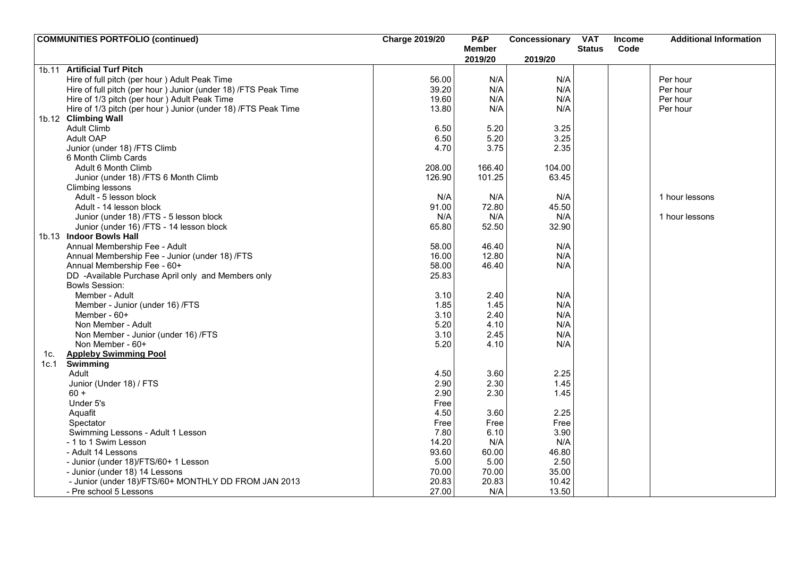|      | <b>COMMUNITIES PORTFOLIO (continued)</b>                        | <b>Charge 2019/20</b> | <b>P&amp;P</b> | Concessionary | <b>VAT</b>    | <b>Income</b> | <b>Additional Information</b> |
|------|-----------------------------------------------------------------|-----------------------|----------------|---------------|---------------|---------------|-------------------------------|
|      |                                                                 |                       | <b>Member</b>  |               | <b>Status</b> | Code          |                               |
|      |                                                                 |                       | 2019/20        | 2019/20       |               |               |                               |
|      | 1b.11 Artificial Turf Pitch                                     |                       |                |               |               |               |                               |
|      | Hire of full pitch (per hour) Adult Peak Time                   | 56.00                 | N/A            | N/A           |               |               | Per hour                      |
|      | Hire of full pitch (per hour ) Junior (under 18) /FTS Peak Time | 39.20                 | N/A            | N/A           |               |               | Per hour                      |
|      | Hire of 1/3 pitch (per hour) Adult Peak Time                    | 19.60                 | N/A            | N/A           |               |               | Per hour                      |
|      | Hire of 1/3 pitch (per hour ) Junior (under 18) /FTS Peak Time  | 13.80                 | N/A            | N/A           |               |               | Per hour                      |
|      | 1b.12 Climbing Wall                                             |                       |                |               |               |               |                               |
|      | <b>Adult Climb</b>                                              | 6.50                  | 5.20           | 3.25          |               |               |                               |
|      | Adult OAP                                                       | 6.50                  | 5.20           | 3.25          |               |               |                               |
|      | Junior (under 18) /FTS Climb                                    | 4.70                  | 3.75           | 2.35          |               |               |                               |
|      | 6 Month Climb Cards                                             |                       |                |               |               |               |                               |
|      | Adult 6 Month Climb                                             | 208.00                | 166.40         | 104.00        |               |               |                               |
|      | Junior (under 18) /FTS 6 Month Climb                            | 126.90                | 101.25         | 63.45         |               |               |                               |
|      | Climbing lessons                                                |                       |                |               |               |               |                               |
|      | Adult - 5 lesson block                                          | N/A                   | N/A            | N/A           |               |               | 1 hour lessons                |
|      | Adult - 14 lesson block                                         | 91.00                 | 72.80          | 45.50         |               |               |                               |
|      | Junior (under 18) /FTS - 5 lesson block                         | N/A                   | N/A            | N/A           |               |               | 1 hour lessons                |
|      | Junior (under 16) /FTS - 14 lesson block                        | 65.80                 | 52.50          | 32.90         |               |               |                               |
|      | 1b.13 Indoor Bowls Hall                                         |                       |                |               |               |               |                               |
|      | Annual Membership Fee - Adult                                   | 58.00                 | 46.40          | N/A           |               |               |                               |
|      | Annual Membership Fee - Junior (under 18) /FTS                  | 16.00                 | 12.80          | N/A           |               |               |                               |
|      | Annual Membership Fee - 60+                                     | 58.00                 | 46.40          | N/A           |               |               |                               |
|      | DD -Available Purchase April only and Members only              | 25.83                 |                |               |               |               |                               |
|      | <b>Bowls Session:</b>                                           |                       |                |               |               |               |                               |
|      | Member - Adult                                                  | 3.10                  | 2.40           | N/A           |               |               |                               |
|      | Member - Junior (under 16) /FTS                                 | 1.85                  | 1.45           | N/A           |               |               |                               |
|      | Member - 60+                                                    | 3.10                  | 2.40           | N/A           |               |               |                               |
|      | Non Member - Adult                                              | 5.20                  | 4.10           | N/A           |               |               |                               |
|      | Non Member - Junior (under 16) /FTS                             | 3.10                  | 2.45           | N/A           |               |               |                               |
|      | Non Member - 60+                                                | 5.20                  | 4.10           | N/A           |               |               |                               |
| 1c.  | <b>Appleby Swimming Pool</b>                                    |                       |                |               |               |               |                               |
| 1c.1 | Swimming                                                        |                       |                |               |               |               |                               |
|      | Adult                                                           | 4.50                  | 3.60           | 2.25          |               |               |                               |
|      | Junior (Under 18) / FTS                                         | 2.90                  | 2.30           | 1.45          |               |               |                               |
|      | $60 +$                                                          | 2.90                  | 2.30           | 1.45          |               |               |                               |
|      | Under 5's                                                       | Free                  |                |               |               |               |                               |
|      | Aquafit                                                         | 4.50                  | 3.60           | 2.25          |               |               |                               |
|      | Spectator                                                       | Free                  | Free           | Free          |               |               |                               |
|      | Swimming Lessons - Adult 1 Lesson                               | 7.80                  | 6.10           | 3.90          |               |               |                               |
|      | - 1 to 1 Swim Lesson                                            | 14.20                 | N/A            | N/A           |               |               |                               |
|      | - Adult 14 Lessons                                              | 93.60                 | 60.00          | 46.80         |               |               |                               |
|      | - Junior (under 18)/FTS/60+ 1 Lesson                            | 5.00                  | 5.00           | 2.50          |               |               |                               |
|      | - Junior (under 18) 14 Lessons                                  | 70.00                 | 70.00          | 35.00         |               |               |                               |
|      | - Junior (under 18)/FTS/60+ MONTHLY DD FROM JAN 2013            | 20.83                 | 20.83          | 10.42         |               |               |                               |
|      | - Pre school 5 Lessons                                          | 27.00                 | N/A            | 13.50         |               |               |                               |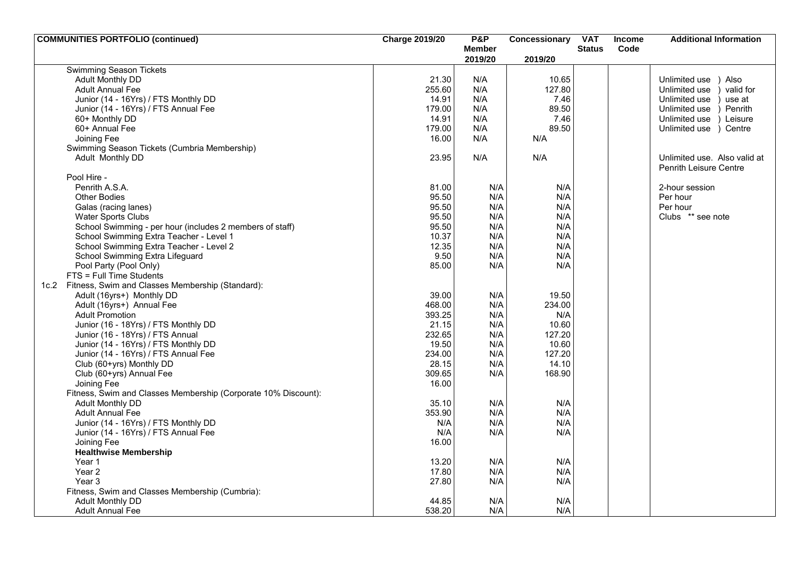| <b>COMMUNITIES PORTFOLIO (continued)</b>                       | <b>Charge 2019/20</b> | P&P           | Concessionary | <b>VAT</b>    | Income | <b>Additional Information</b> |
|----------------------------------------------------------------|-----------------------|---------------|---------------|---------------|--------|-------------------------------|
|                                                                |                       | <b>Member</b> |               | <b>Status</b> | Code   |                               |
| <b>Swimming Season Tickets</b>                                 |                       | 2019/20       | 2019/20       |               |        |                               |
| Adult Monthly DD                                               | 21.30                 | N/A           | 10.65         |               |        | Also<br>Unlimited use         |
| <b>Adult Annual Fee</b>                                        | 255.60                | N/A           | 127.80        |               |        | valid for<br>Unlimited use    |
| Junior (14 - 16Yrs) / FTS Monthly DD                           | 14.91                 | N/A           | 7.46          |               |        | Unlimited use<br>use at       |
| Junior (14 - 16Yrs) / FTS Annual Fee                           | 179.00                | N/A           | 89.50         |               |        | Penrith<br>Unlimited use      |
| 60+ Monthly DD                                                 | 14.91                 | N/A           | 7.46          |               |        | Unlimited use<br>Leisure      |
| 60+ Annual Fee                                                 | 179.00                | N/A           | 89.50         |               |        | Unlimited use ) Centre        |
| Joining Fee                                                    | 16.00                 | N/A           | N/A           |               |        |                               |
| Swimming Season Tickets (Cumbria Membership)                   |                       |               |               |               |        |                               |
|                                                                | 23.95                 | N/A           | N/A           |               |        | Unlimited use. Also valid at  |
| Adult Monthly DD                                               |                       |               |               |               |        | <b>Penrith Leisure Centre</b> |
| Pool Hire -                                                    |                       |               |               |               |        |                               |
| Penrith A.S.A.                                                 | 81.00                 | N/A           | N/A           |               |        | 2-hour session                |
| <b>Other Bodies</b>                                            | 95.50                 | N/A           | N/A           |               |        | Per hour                      |
| Galas (racing lanes)                                           | 95.50                 | N/A           | N/A           |               |        | Per hour                      |
| Water Sports Clubs                                             | 95.50                 | N/A           | N/A           |               |        | Clubs ** see note             |
| School Swimming - per hour (includes 2 members of staff)       | 95.50                 | N/A           | N/A           |               |        |                               |
| School Swimming Extra Teacher - Level 1                        | 10.37                 | N/A           | N/A           |               |        |                               |
| School Swimming Extra Teacher - Level 2                        | 12.35                 | N/A           | N/A           |               |        |                               |
| School Swimming Extra Lifeguard                                | 9.50                  | N/A           | N/A           |               |        |                               |
| Pool Party (Pool Only)                                         | 85.00                 | N/A           | N/A           |               |        |                               |
| FTS = Full Time Students                                       |                       |               |               |               |        |                               |
| 1c.2 Fitness, Swim and Classes Membership (Standard):          |                       |               |               |               |        |                               |
| Adult (16yrs+) Monthly DD                                      | 39.00                 | N/A           | 19.50         |               |        |                               |
| Adult (16yrs+) Annual Fee                                      | 468.00                | N/A           | 234.00        |               |        |                               |
| <b>Adult Promotion</b>                                         | 393.25                | N/A           | N/A           |               |        |                               |
| Junior (16 - 18Yrs) / FTS Monthly DD                           | 21.15                 | N/A           | 10.60         |               |        |                               |
| Junior (16 - 18Yrs) / FTS Annual                               | 232.65                | N/A           | 127.20        |               |        |                               |
| Junior (14 - 16Yrs) / FTS Monthly DD                           | 19.50                 | N/A           | 10.60         |               |        |                               |
| Junior (14 - 16Yrs) / FTS Annual Fee                           | 234.00                | N/A           | 127.20        |               |        |                               |
| Club (60+yrs) Monthly DD                                       | 28.15                 | N/A           | 14.10         |               |        |                               |
| Club (60+yrs) Annual Fee                                       | 309.65                | N/A           | 168.90        |               |        |                               |
| Joining Fee                                                    | 16.00                 |               |               |               |        |                               |
| Fitness, Swim and Classes Membership (Corporate 10% Discount): |                       |               |               |               |        |                               |
| <b>Adult Monthly DD</b>                                        | 35.10                 | N/A           | N/A           |               |        |                               |
| <b>Adult Annual Fee</b>                                        | 353.90                | N/A           | N/A           |               |        |                               |
| Junior (14 - 16Yrs) / FTS Monthly DD                           | N/A                   | N/A           | N/A           |               |        |                               |
| Junior (14 - 16Yrs) / FTS Annual Fee                           | N/A                   | N/A           | N/A           |               |        |                               |
| Joining Fee                                                    | 16.00                 |               |               |               |        |                               |
| <b>Healthwise Membership</b>                                   |                       |               |               |               |        |                               |
| Year 1                                                         | 13.20                 | N/A           | N/A           |               |        |                               |
| Year <sub>2</sub>                                              | 17.80                 | N/A           | N/A           |               |        |                               |
| Year 3                                                         | 27.80                 | N/A           | N/A           |               |        |                               |
| Fitness, Swim and Classes Membership (Cumbria):                |                       |               |               |               |        |                               |
| Adult Monthly DD                                               | 44.85                 | N/A           | N/A           |               |        |                               |
| <b>Adult Annual Fee</b>                                        | 538.20                | N/A           | N/A           |               |        |                               |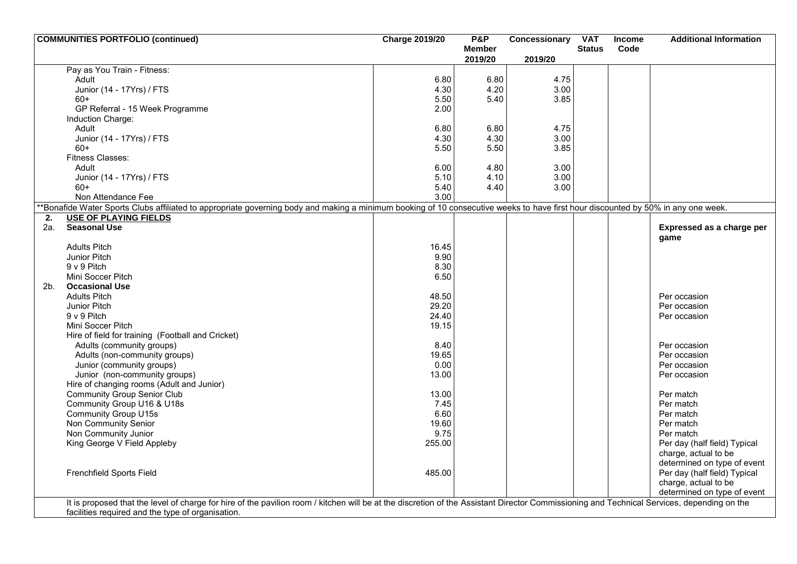|                | <b>COMMUNITIES PORTFOLIO (continued)</b>                                                                                                                                                   | <b>Charge 2019/20</b> | <b>P&amp;P</b> | Concessionary | <b>VAT</b>    | <b>Income</b> | <b>Additional Information</b> |
|----------------|--------------------------------------------------------------------------------------------------------------------------------------------------------------------------------------------|-----------------------|----------------|---------------|---------------|---------------|-------------------------------|
|                |                                                                                                                                                                                            |                       | <b>Member</b>  |               | <b>Status</b> | Code          |                               |
|                |                                                                                                                                                                                            |                       | 2019/20        | 2019/20       |               |               |                               |
|                | Pay as You Train - Fitness:                                                                                                                                                                |                       |                |               |               |               |                               |
|                | Adult                                                                                                                                                                                      | 6.80                  | 6.80           | 4.75          |               |               |                               |
|                | Junior (14 - 17Yrs) / FTS                                                                                                                                                                  | 4.30                  | 4.20           | 3.00          |               |               |                               |
|                | $60+$                                                                                                                                                                                      | 5.50                  | 5.40           | 3.85          |               |               |                               |
|                | GP Referral - 15 Week Programme                                                                                                                                                            | 2.00                  |                |               |               |               |                               |
|                | Induction Charge:                                                                                                                                                                          |                       |                |               |               |               |                               |
|                | Adult                                                                                                                                                                                      | 6.80                  | 6.80           | 4.75          |               |               |                               |
|                | Junior (14 - 17Yrs) / FTS                                                                                                                                                                  | 4.30                  | 4.30           | 3.00          |               |               |                               |
|                | $60+$                                                                                                                                                                                      | 5.50                  | 5.50           | 3.85          |               |               |                               |
|                | <b>Fitness Classes:</b>                                                                                                                                                                    |                       |                |               |               |               |                               |
|                | Adult                                                                                                                                                                                      | 6.00                  | 4.80           | 3.00          |               |               |                               |
|                | Junior (14 - 17Yrs) / FTS                                                                                                                                                                  | 5.10                  | 4.10           | 3.00          |               |               |                               |
|                | $60+$                                                                                                                                                                                      | 5.40                  | 4.40           | 3.00          |               |               |                               |
|                | Non Attendance Fee                                                                                                                                                                         | 3.00                  |                |               |               |               |                               |
|                | *Bonafide Water Sports Clubs affiliated to appropriate governing body and making a minimum booking of 10 consecutive weeks to have first hour discounted by 50% in any one week.           |                       |                |               |               |               |                               |
| 2.             | <b>USE OF PLAYING FIELDS</b>                                                                                                                                                               |                       |                |               |               |               |                               |
| 2а.            | <b>Seasonal Use</b>                                                                                                                                                                        |                       |                |               |               |               | Expressed as a charge per     |
|                |                                                                                                                                                                                            |                       |                |               |               |               | game                          |
|                | <b>Adults Pitch</b>                                                                                                                                                                        | 16.45                 |                |               |               |               |                               |
|                | Junior Pitch                                                                                                                                                                               | 9.90                  |                |               |               |               |                               |
|                | 9 v 9 Pitch                                                                                                                                                                                | 8.30                  |                |               |               |               |                               |
|                | Mini Soccer Pitch                                                                                                                                                                          | 6.50                  |                |               |               |               |                               |
| 2 <sub>b</sub> | <b>Occasional Use</b>                                                                                                                                                                      |                       |                |               |               |               |                               |
|                | <b>Adults Pitch</b>                                                                                                                                                                        | 48.50                 |                |               |               |               | Per occasion                  |
|                | Junior Pitch                                                                                                                                                                               | 29.20                 |                |               |               |               | Per occasion                  |
|                | 9 v 9 Pitch                                                                                                                                                                                | 24.40                 |                |               |               |               | Per occasion                  |
|                | Mini Soccer Pitch                                                                                                                                                                          | 19.15                 |                |               |               |               |                               |
|                | Hire of field for training (Football and Cricket)                                                                                                                                          |                       |                |               |               |               |                               |
|                | Adults (community groups)                                                                                                                                                                  | 8.40                  |                |               |               |               | Per occasion                  |
|                | Adults (non-community groups)                                                                                                                                                              | 19.65                 |                |               |               |               | Per occasion                  |
|                | Junior (community groups)                                                                                                                                                                  | 0.00                  |                |               |               |               | Per occasion                  |
|                | Junior (non-community groups)                                                                                                                                                              | 13.00                 |                |               |               |               | Per occasion                  |
|                | Hire of changing rooms (Adult and Junior)                                                                                                                                                  |                       |                |               |               |               |                               |
|                |                                                                                                                                                                                            | 13.00                 |                |               |               |               |                               |
|                | <b>Community Group Senior Club</b>                                                                                                                                                         |                       |                |               |               |               | Per match                     |
|                | Community Group U16 & U18s                                                                                                                                                                 | 7.45                  |                |               |               |               | Per match                     |
|                | <b>Community Group U15s</b>                                                                                                                                                                | 6.60                  |                |               |               |               | Per match                     |
|                | Non Community Senior                                                                                                                                                                       | 19.60                 |                |               |               |               | Per match                     |
|                | Non Community Junior                                                                                                                                                                       | 9.75                  |                |               |               |               | Per match                     |
|                | King George V Field Appleby                                                                                                                                                                | 255.00                |                |               |               |               | Per day (half field) Typical  |
|                |                                                                                                                                                                                            |                       |                |               |               |               | charge, actual to be          |
|                |                                                                                                                                                                                            |                       |                |               |               |               | determined on type of event   |
|                | Frenchfield Sports Field                                                                                                                                                                   | 485.00                |                |               |               |               | Per day (half field) Typical  |
|                |                                                                                                                                                                                            |                       |                |               |               |               | charge, actual to be          |
|                |                                                                                                                                                                                            |                       |                |               |               |               | determined on type of event   |
|                | It is proposed that the level of charge for hire of the pavilion room / kitchen will be at the discretion of the Assistant Director Commissioning and Technical Services, depending on the |                       |                |               |               |               |                               |
|                | facilities required and the type of organisation.                                                                                                                                          |                       |                |               |               |               |                               |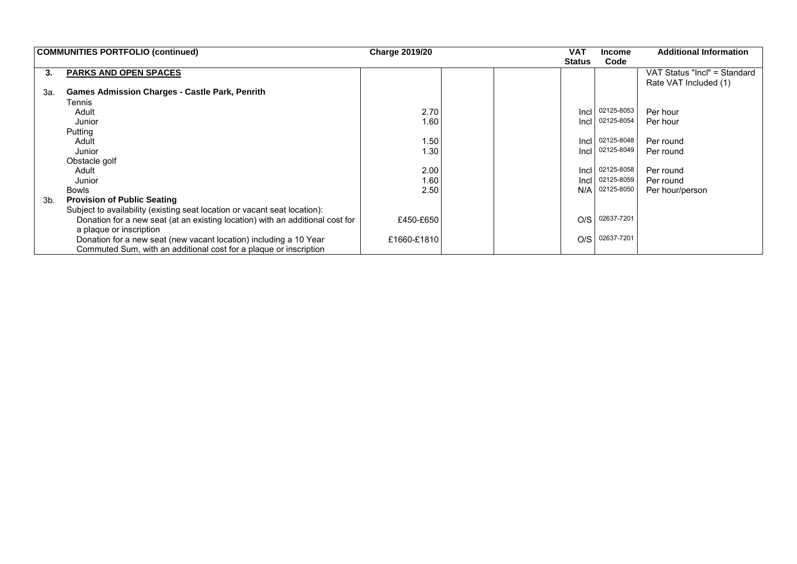|     | <b>COMMUNITIES PORTFOLIO (continued)</b>                                      | <b>Charge 2019/20</b> |  | <b>VAT</b>    | <b>Income</b> | <b>Additional Information</b> |
|-----|-------------------------------------------------------------------------------|-----------------------|--|---------------|---------------|-------------------------------|
|     |                                                                               |                       |  | <b>Status</b> | Code          |                               |
| 3.  | <b>PARKS AND OPEN SPACES</b>                                                  |                       |  |               |               | VAT Status "Incl" = Standard  |
|     |                                                                               |                       |  |               |               | Rate VAT Included (1)         |
| 3а. | <b>Games Admission Charges - Castle Park, Penrith</b>                         |                       |  |               |               |                               |
|     | Tennis                                                                        |                       |  |               |               |                               |
|     | Adult                                                                         | 2.70                  |  | Incl          | 02125-8053    | Per hour                      |
|     | Junior                                                                        | 1.60                  |  | Incl          | 02125-8054    | Per hour                      |
|     | Putting                                                                       |                       |  |               |               |                               |
|     | Adult                                                                         | 1.50                  |  | Incl          | 02125-8048    | Per round                     |
|     | Junior                                                                        | 1.30                  |  | Incl          | 02125-8049    | Per round                     |
|     | Obstacle golf                                                                 |                       |  |               |               |                               |
|     | Adult                                                                         | 2.00                  |  | Incl          | 02125-8058    | Per round                     |
|     | Junior                                                                        | 1.60                  |  | Incl          | 02125-8059    | Per round                     |
|     | Bowls                                                                         | 2.50                  |  | N/A           | 02125-8050    | Per hour/person               |
| 3b. | <b>Provision of Public Seating</b>                                            |                       |  |               |               |                               |
|     | Subject to availability (existing seat location or vacant seat location):     |                       |  |               |               |                               |
|     | Donation for a new seat (at an existing location) with an additional cost for | £450-£650             |  | O/S           | 02637-7201    |                               |
|     | a plaque or inscription                                                       |                       |  |               |               |                               |
|     | Donation for a new seat (new vacant location) including a 10 Year             | £1660-£1810           |  | O/S           | 02637-7201    |                               |
|     | Commuted Sum, with an additional cost for a plaque or inscription             |                       |  |               |               |                               |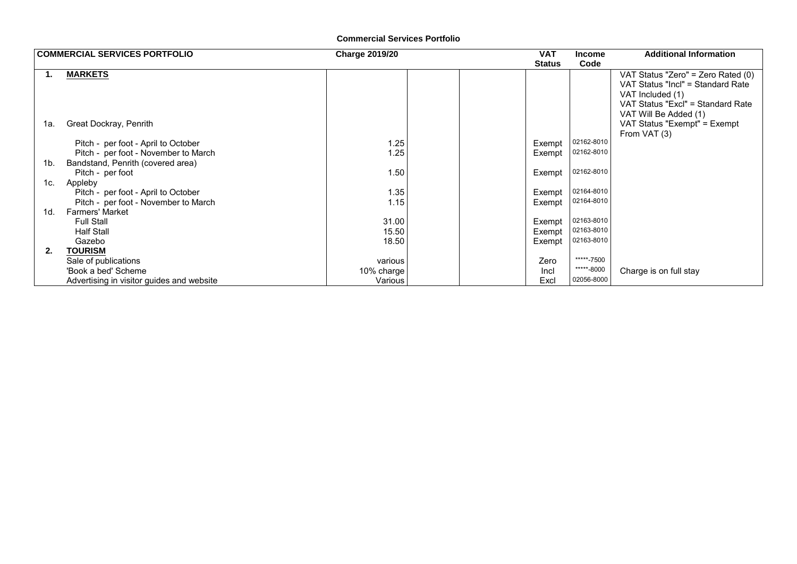#### **Commercial Services Portfolio**

|     | <b>COMMERCIAL SERVICES PORTFOLIO</b>      | <b>Charge 2019/20</b> | <b>VAT</b>    | <b>Income</b> | <b>Additional Information</b>                              |
|-----|-------------------------------------------|-----------------------|---------------|---------------|------------------------------------------------------------|
|     |                                           |                       | <b>Status</b> | Code          |                                                            |
| 1.  | <b>MARKETS</b>                            |                       |               |               | VAT Status "Zero" = Zero Rated (0)                         |
|     |                                           |                       |               |               | VAT Status "Incl" = Standard Rate                          |
|     |                                           |                       |               |               | VAT Included (1)                                           |
|     |                                           |                       |               |               | VAT Status "Excl" = Standard Rate<br>VAT Will Be Added (1) |
| 1а. | Great Dockray, Penrith                    |                       |               |               | VAT Status "Exempt" = Exempt                               |
|     |                                           |                       |               |               | From VAT (3)                                               |
|     | Pitch - per foot - April to October       | 1.25                  | Exempt        | 02162-8010    |                                                            |
|     | Pitch - per foot - November to March      | 1.25                  | Exempt        | 02162-8010    |                                                            |
| 1b. | Bandstand, Penrith (covered area)         |                       |               |               |                                                            |
|     | Pitch - per foot                          | 1.50                  | Exempt        | 02162-8010    |                                                            |
| 1c. | Appleby                                   |                       |               |               |                                                            |
|     | Pitch - per foot - April to October       | 1.35                  | Exempt        | 02164-8010    |                                                            |
|     | Pitch - per foot - November to March      | 1.15                  | Exempt        | 02164-8010    |                                                            |
| 1d. | <b>Farmers' Market</b>                    |                       |               |               |                                                            |
|     | <b>Full Stall</b>                         | 31.00                 | Exempt        | 02163-8010    |                                                            |
|     | <b>Half Stall</b>                         | 15.50                 | Exempt        | 02163-8010    |                                                            |
|     | Gazebo                                    | 18.50                 | Exempt        | 02163-8010    |                                                            |
| 2.  | <b>TOURISM</b>                            |                       |               |               |                                                            |
|     | Sale of publications                      | various               | Zero          | *****-7500    |                                                            |
|     | 'Book a bed' Scheme                       | 10% charge            | Incl          | *****-8000    | Charge is on full stay                                     |
|     | Advertising in visitor guides and website | Various               | Excl          | 02056-8000    |                                                            |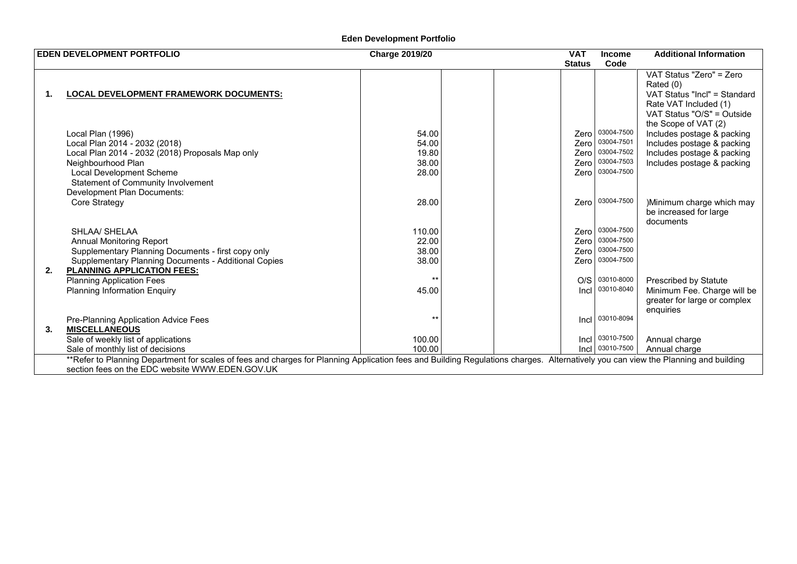# **Eden Development Portfolio**

|    | <b>EDEN DEVELOPMENT PORTFOLIO</b>                                                                                                                                                                                                     | <b>Charge 2019/20</b>                     | <b>VAT</b><br><b>Status</b>  | <b>Income</b><br>Code                                                   | <b>Additional Information</b>                                                                                                                |
|----|---------------------------------------------------------------------------------------------------------------------------------------------------------------------------------------------------------------------------------------|-------------------------------------------|------------------------------|-------------------------------------------------------------------------|----------------------------------------------------------------------------------------------------------------------------------------------|
| 1. | <b>LOCAL DEVELOPMENT FRAMEWORK DOCUMENTS:</b>                                                                                                                                                                                         |                                           |                              |                                                                         | VAT Status "Zero" = Zero<br>Rated (0)<br>VAT Status "Incl" = Standard<br>Rate VAT Included (1)<br>VAT Status "O/S" = Outside                 |
|    | Local Plan (1996)<br>Local Plan 2014 - 2032 (2018)<br>Local Plan 2014 - 2032 (2018) Proposals Map only<br>Neighbourhood Plan<br>Local Development Scheme<br>Statement of Community Involvement<br>Development Plan Documents:         | 54.00<br>54.00<br>19.80<br>38.00<br>28.00 | Zero<br>Zero<br>Zero<br>Zero | Zero 03004-7500<br>03004-7501<br>03004-7502<br>03004-7503<br>03004-7500 | the Scope of VAT (2)<br>Includes postage & packing<br>Includes postage & packing<br>Includes postage & packing<br>Includes postage & packing |
|    | Core Strategy                                                                                                                                                                                                                         | 28.00                                     | Zero                         | 03004-7500                                                              | )Minimum charge which may<br>be increased for large<br>documents                                                                             |
|    | SHLAA/ SHELAA<br><b>Annual Monitoring Report</b><br>Supplementary Planning Documents - first copy only<br>Supplementary Planning Documents - Additional Copies                                                                        | 110.00<br>22.00<br>38.00<br>38.00         | Zero<br>Zero<br>Zero         | Zero 03004-7500<br>03004-7500<br>03004-7500<br>03004-7500               |                                                                                                                                              |
| 2. | <b>PLANNING APPLICATION FEES:</b><br><b>Planning Application Fees</b><br><b>Planning Information Enquiry</b>                                                                                                                          | $***$<br>45.00                            | O/S<br>Incl                  | 03010-8000<br>03010-8040                                                | <b>Prescribed by Statute</b><br>Minimum Fee. Charge will be<br>greater for large or complex<br>enquiries                                     |
| 3. | Pre-Planning Application Advice Fees<br><b>MISCELLANEOUS</b><br>Sale of weekly list of applications<br>Sale of monthly list of decisions                                                                                              | $***$<br>100.00<br>100.00                 | Incl                         | 03010-8094<br>Incl 03010-7500<br>Incl 03010-7500                        | Annual charge<br>Annual charge                                                                                                               |
|    | **Refer to Planning Department for scales of fees and charges for Planning Application fees and Building Regulations charges. Alternatively you can view the Planning and building<br>section fees on the EDC website WWW.EDEN.GOV.UK |                                           |                              |                                                                         |                                                                                                                                              |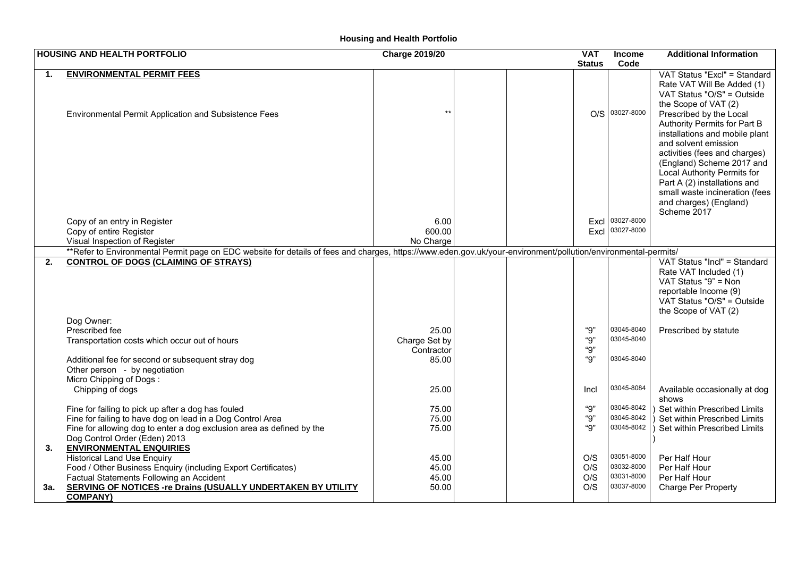# **Housing and Health Portfolio**

|                | <b>HOUSING AND HEALTH PORTFOLIO</b>                                                                                                                            | <b>Charge 2019/20</b> |  | <b>VAT</b>    | Income                   | <b>Additional Information</b>                            |
|----------------|----------------------------------------------------------------------------------------------------------------------------------------------------------------|-----------------------|--|---------------|--------------------------|----------------------------------------------------------|
|                |                                                                                                                                                                |                       |  | <b>Status</b> | Code                     |                                                          |
| $\mathbf{1}$ . | <b>ENVIRONMENTAL PERMIT FEES</b>                                                                                                                               |                       |  |               |                          | VAT Status "Excl" = Standard                             |
|                |                                                                                                                                                                |                       |  |               |                          | Rate VAT Will Be Added (1)                               |
|                |                                                                                                                                                                |                       |  |               |                          | VAT Status "O/S" = Outside                               |
|                |                                                                                                                                                                |                       |  |               |                          | the Scope of VAT (2)                                     |
|                | Environmental Permit Application and Subsistence Fees                                                                                                          | $***$                 |  |               | O/S 03027-8000           | Prescribed by the Local                                  |
|                |                                                                                                                                                                |                       |  |               |                          | Authority Permits for Part B                             |
|                |                                                                                                                                                                |                       |  |               |                          | installations and mobile plant                           |
|                |                                                                                                                                                                |                       |  |               |                          | and solvent emission                                     |
|                |                                                                                                                                                                |                       |  |               |                          | activities (fees and charges)                            |
|                |                                                                                                                                                                |                       |  |               |                          | (England) Scheme 2017 and<br>Local Authority Permits for |
|                |                                                                                                                                                                |                       |  |               |                          | Part A (2) installations and                             |
|                |                                                                                                                                                                |                       |  |               |                          | small waste incineration (fees                           |
|                |                                                                                                                                                                |                       |  |               |                          | and charges) (England)                                   |
|                |                                                                                                                                                                |                       |  |               |                          | Scheme 2017                                              |
|                | Copy of an entry in Register                                                                                                                                   | 6.00                  |  | Excl          | 03027-8000               |                                                          |
|                | Copy of entire Register                                                                                                                                        | 600.00                |  | Excl          | 03027-8000               |                                                          |
|                | Visual Inspection of Register                                                                                                                                  | No Charge             |  |               |                          |                                                          |
|                | **Refer to Environmental Permit page on EDC website for details of fees and charges, https://www.eden.gov.uk/your-environment/pollution/environmental-permits/ |                       |  |               |                          |                                                          |
| 2.             | <b>CONTROL OF DOGS (CLAIMING OF STRAYS)</b>                                                                                                                    |                       |  |               |                          | VAT Status "Incl" = Standard                             |
|                |                                                                                                                                                                |                       |  |               |                          | Rate VAT Included (1)                                    |
|                |                                                                                                                                                                |                       |  |               |                          | VAT Status "9" = Non                                     |
|                |                                                                                                                                                                |                       |  |               |                          | reportable Income (9)<br>VAT Status "O/S" = Outside      |
|                |                                                                                                                                                                |                       |  |               |                          | the Scope of VAT (2)                                     |
|                | Dog Owner:                                                                                                                                                     |                       |  |               |                          |                                                          |
|                | Prescribed fee                                                                                                                                                 | 25.00                 |  | "9"           | 03045-8040               | Prescribed by statute                                    |
|                | Transportation costs which occur out of hours                                                                                                                  | Charge Set by         |  | "9"           | 03045-8040               |                                                          |
|                |                                                                                                                                                                | Contractor            |  | "9"           |                          |                                                          |
|                | Additional fee for second or subsequent stray dog                                                                                                              | 85.00                 |  | "9"           | 03045-8040               |                                                          |
|                | Other person - by negotiation                                                                                                                                  |                       |  |               |                          |                                                          |
|                | Micro Chipping of Dogs:                                                                                                                                        |                       |  |               |                          |                                                          |
|                | Chipping of dogs                                                                                                                                               | 25.00                 |  | Incl          | 03045-8084               | Available occasionally at dog                            |
|                |                                                                                                                                                                |                       |  |               |                          | shows                                                    |
|                | Fine for failing to pick up after a dog has fouled                                                                                                             | 75.00                 |  | "9"           | 03045-8042               | Set within Prescribed Limits                             |
|                | Fine for failing to have dog on lead in a Dog Control Area                                                                                                     | 75.00                 |  | "9"           | 03045-8042<br>03045-8042 | Set within Prescribed Limits                             |
|                | Fine for allowing dog to enter a dog exclusion area as defined by the                                                                                          | 75.00                 |  | "Q"           |                          | Set within Prescribed Limits                             |
| 3.             | Dog Control Order (Eden) 2013<br><b>ENVIRONMENTAL ENQUIRIES</b>                                                                                                |                       |  |               |                          |                                                          |
|                | <b>Historical Land Use Enquiry</b>                                                                                                                             | 45.00                 |  | O/S           | 03051-8000               | Per Half Hour                                            |
|                | Food / Other Business Enquiry (including Export Certificates)                                                                                                  | 45.00                 |  | O/S           | 03032-8000               | Per Half Hour                                            |
|                | Factual Statements Following an Accident                                                                                                                       | 45.00                 |  | O/S           | 03031-8000               | Per Half Hour                                            |
| 3а.            | <b>SERVING OF NOTICES -re Drains (USUALLY UNDERTAKEN BY UTILITY</b>                                                                                            | 50.00                 |  | O/S           | 03037-8000               | <b>Charge Per Property</b>                               |
|                | <b>COMPANY)</b>                                                                                                                                                |                       |  |               |                          |                                                          |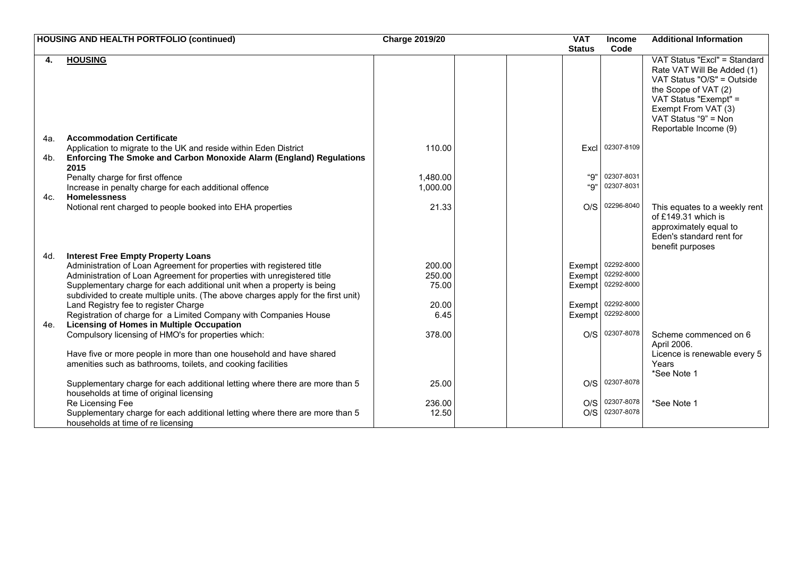|     | <b>HOUSING AND HEALTH PORTFOLIO (continued)</b>                                                                           | <b>Charge 2019/20</b> | <b>VAT</b>    |      | <b>Income</b>     | <b>Additional Information</b>                        |  |
|-----|---------------------------------------------------------------------------------------------------------------------------|-----------------------|---------------|------|-------------------|------------------------------------------------------|--|
|     |                                                                                                                           |                       | <b>Status</b> |      | Code              |                                                      |  |
|     | <b>HOUSING</b>                                                                                                            |                       |               |      |                   | VAT Status "Excl" = Standard                         |  |
|     |                                                                                                                           |                       |               |      |                   | Rate VAT Will Be Added (1)                           |  |
|     |                                                                                                                           |                       |               |      |                   | VAT Status "O/S" = Outside                           |  |
|     |                                                                                                                           |                       |               |      |                   | the Scope of VAT (2)<br>VAT Status "Exempt" =        |  |
|     |                                                                                                                           |                       |               |      |                   | Exempt From VAT (3)                                  |  |
|     |                                                                                                                           |                       |               |      |                   | VAT Status "9" = Non                                 |  |
|     |                                                                                                                           |                       |               |      |                   | Reportable Income (9)                                |  |
| 4a. | <b>Accommodation Certificate</b>                                                                                          |                       |               |      |                   |                                                      |  |
|     | Application to migrate to the UK and reside within Eden District                                                          | 110.00                |               | Excl | 02307-8109        |                                                      |  |
| 4b. | Enforcing The Smoke and Carbon Monoxide Alarm (England) Regulations                                                       |                       |               |      |                   |                                                      |  |
|     | 2015                                                                                                                      |                       |               |      |                   |                                                      |  |
|     | Penalty charge for first offence                                                                                          | 1,480.00              |               | "9"  | 02307-8031        |                                                      |  |
|     | Increase in penalty charge for each additional offence                                                                    | 1,000.00              |               | "Q"  | 02307-8031        |                                                      |  |
| 4c. | <b>Homelessness</b><br>Notional rent charged to people booked into EHA properties                                         | 21.33                 |               | O/S  | 02296-8040        |                                                      |  |
|     |                                                                                                                           |                       |               |      |                   | This equates to a weekly rent<br>of £149.31 which is |  |
|     |                                                                                                                           |                       |               |      |                   | approximately equal to                               |  |
|     |                                                                                                                           |                       |               |      |                   | Eden's standard rent for                             |  |
|     |                                                                                                                           |                       |               |      |                   | benefit purposes                                     |  |
| 4d. | <b>Interest Free Empty Property Loans</b>                                                                                 |                       |               |      |                   |                                                      |  |
|     | Administration of Loan Agreement for properties with registered title                                                     | 200.00                |               |      | Exempt 02292-8000 |                                                      |  |
|     | Administration of Loan Agreement for properties with unregistered title                                                   | 250.00                | Exempt        |      | 02292-8000        |                                                      |  |
|     | Supplementary charge for each additional unit when a property is being                                                    | 75.00                 | Exempt        |      | 02292-8000        |                                                      |  |
|     | subdivided to create multiple units. (The above charges apply for the first unit)<br>Land Registry fee to register Charge | 20.00                 | Exempt        |      | 02292-8000        |                                                      |  |
|     | Registration of charge for a Limited Company with Companies House                                                         | 6.45                  | Exempt        |      | 02292-8000        |                                                      |  |
| 4e. | <b>Licensing of Homes in Multiple Occupation</b>                                                                          |                       |               |      |                   |                                                      |  |
|     | Compulsory licensing of HMO's for properties which:                                                                       | 378.00                |               | O/S  | 02307-8078        | Scheme commenced on 6                                |  |
|     |                                                                                                                           |                       |               |      |                   | April 2006.                                          |  |
|     | Have five or more people in more than one household and have shared                                                       |                       |               |      |                   | Licence is renewable every 5                         |  |
|     | amenities such as bathrooms, toilets, and cooking facilities                                                              |                       |               |      |                   | Years                                                |  |
|     |                                                                                                                           |                       |               |      |                   | *See Note 1                                          |  |
|     | Supplementary charge for each additional letting where there are more than 5                                              | 25.00                 |               | O/S  | 02307-8078        |                                                      |  |
|     | households at time of original licensing<br>Re Licensing Fee                                                              | 236.00                |               | O/S  | 02307-8078        | *See Note 1                                          |  |
|     | Supplementary charge for each additional letting where there are more than 5                                              | 12.50                 |               | O/S  | 02307-8078        |                                                      |  |
|     | households at time of re licensing                                                                                        |                       |               |      |                   |                                                      |  |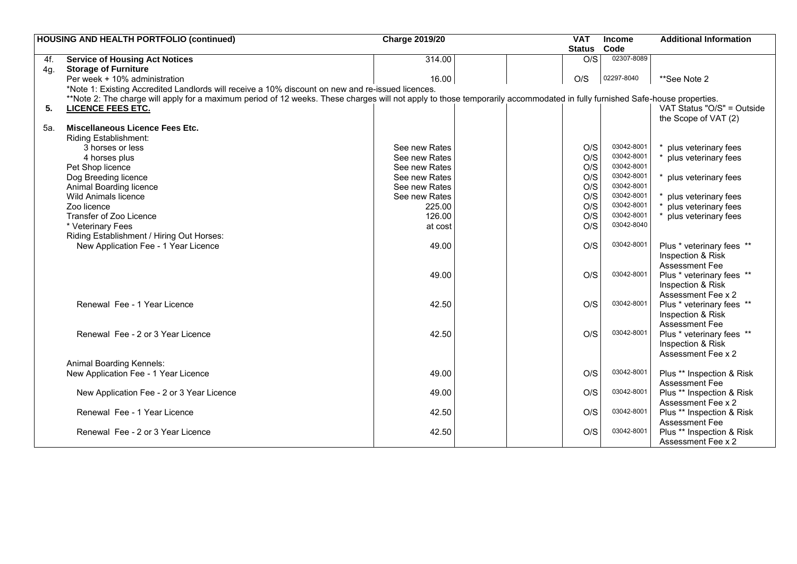| Code<br><b>Status</b><br>02307-8089<br>314.00<br>O/S<br><b>Service of Housing Act Notices</b><br>4f.<br><b>Storage of Furniture</b><br>4g.<br>02297-8040<br>16.00<br>O/S<br>Per week + 10% administration<br>**See Note 2<br>*Note 1: Existing Accredited Landlords will receive a 10% discount on new and re-issued licences.<br>**Note 2: The charge will apply for a maximum period of 12 weeks. These charges will not apply to those temporarily accommodated in fully furnished Safe-house properties.<br>VAT Status "O/S" = Outside<br>5.<br><b>LICENCE FEES ETC.</b><br>the Scope of VAT (2)<br><b>Miscellaneous Licence Fees Etc.</b><br>5a.<br>Riding Establishment:<br>03042-8001<br>O/S<br>3 horses or less<br>See new Rates<br>plus veterinary fees<br>03042-8001<br>O/S<br>See new Rates<br>plus veterinary fees<br>4 horses plus<br>03042-8001<br>O/S<br>See new Rates<br>Pet Shop licence<br>03042-8001<br>O/S<br>Dog Breeding licence<br>See new Rates<br>plus veterinary fees<br>03042-8001<br>O/S<br>Animal Boarding licence<br>See new Rates<br>O/S<br>03042-8001<br><b>Wild Animals licence</b><br>See new Rates<br>plus veterinary fees<br>03042-8001<br>O/S<br>plus veterinary fees<br>Zoo licence<br>225.00<br>03042-8001<br>O/S<br>Transfer of Zoo Licence<br>126.00<br>plus veterinary fees<br>03042-8040<br>O/S<br>* Veterinary Fees<br>at cost<br>Riding Establishment / Hiring Out Horses:<br>03042-8001<br>49.00<br>O/S<br>Plus * veterinary fees **<br>New Application Fee - 1 Year Licence<br>Inspection & Risk<br><b>Assessment Fee</b><br>03042-8001<br>49.00<br>O/S<br>Plus * veterinary fees **<br>Inspection & Risk<br>Assessment Fee x 2<br>03042-8001<br>42.50<br>O/S<br>Renewal Fee - 1 Year Licence<br>Plus * veterinary fees **<br>Inspection & Risk<br>Assessment Fee<br>03042-8001<br>42.50<br>O/S<br>Renewal Fee - 2 or 3 Year Licence<br>Plus * veterinary fees **<br>Inspection & Risk<br>Assessment Fee x 2<br>Animal Boarding Kennels:<br>03042-8001<br>49.00<br>O/S<br>New Application Fee - 1 Year Licence<br>Plus ** Inspection & Risk<br><b>Assessment Fee</b><br>03042-8001<br>49.00<br>O/S<br>Plus ** Inspection & Risk<br>New Application Fee - 2 or 3 Year Licence<br>Assessment Fee x 2<br>42.50<br>03042-8001<br>Renewal Fee - 1 Year Licence<br>O/S<br>Plus ** Inspection & Risk<br><b>Assessment Fee</b><br>03042-8001<br>Renewal Fee - 2 or 3 Year Licence<br>42.50<br>O/S<br>Plus ** Inspection & Risk | <b>HOUSING AND HEALTH PORTFOLIO (continued)</b> | <b>Charge 2019/20</b> |  | <b>VAT</b> | <b>Income</b> | <b>Additional Information</b> |
|-----------------------------------------------------------------------------------------------------------------------------------------------------------------------------------------------------------------------------------------------------------------------------------------------------------------------------------------------------------------------------------------------------------------------------------------------------------------------------------------------------------------------------------------------------------------------------------------------------------------------------------------------------------------------------------------------------------------------------------------------------------------------------------------------------------------------------------------------------------------------------------------------------------------------------------------------------------------------------------------------------------------------------------------------------------------------------------------------------------------------------------------------------------------------------------------------------------------------------------------------------------------------------------------------------------------------------------------------------------------------------------------------------------------------------------------------------------------------------------------------------------------------------------------------------------------------------------------------------------------------------------------------------------------------------------------------------------------------------------------------------------------------------------------------------------------------------------------------------------------------------------------------------------------------------------------------------------------------------------------------------------------------------------------------------------------------------------------------------------------------------------------------------------------------------------------------------------------------------------------------------------------------------------------------------------------------------------------------------------------------------------------------------------------------------------------------------------------------|-------------------------------------------------|-----------------------|--|------------|---------------|-------------------------------|
|                                                                                                                                                                                                                                                                                                                                                                                                                                                                                                                                                                                                                                                                                                                                                                                                                                                                                                                                                                                                                                                                                                                                                                                                                                                                                                                                                                                                                                                                                                                                                                                                                                                                                                                                                                                                                                                                                                                                                                                                                                                                                                                                                                                                                                                                                                                                                                                                                                                                       |                                                 |                       |  |            |               |                               |
|                                                                                                                                                                                                                                                                                                                                                                                                                                                                                                                                                                                                                                                                                                                                                                                                                                                                                                                                                                                                                                                                                                                                                                                                                                                                                                                                                                                                                                                                                                                                                                                                                                                                                                                                                                                                                                                                                                                                                                                                                                                                                                                                                                                                                                                                                                                                                                                                                                                                       |                                                 |                       |  |            |               |                               |
|                                                                                                                                                                                                                                                                                                                                                                                                                                                                                                                                                                                                                                                                                                                                                                                                                                                                                                                                                                                                                                                                                                                                                                                                                                                                                                                                                                                                                                                                                                                                                                                                                                                                                                                                                                                                                                                                                                                                                                                                                                                                                                                                                                                                                                                                                                                                                                                                                                                                       |                                                 |                       |  |            |               |                               |
|                                                                                                                                                                                                                                                                                                                                                                                                                                                                                                                                                                                                                                                                                                                                                                                                                                                                                                                                                                                                                                                                                                                                                                                                                                                                                                                                                                                                                                                                                                                                                                                                                                                                                                                                                                                                                                                                                                                                                                                                                                                                                                                                                                                                                                                                                                                                                                                                                                                                       |                                                 |                       |  |            |               |                               |
|                                                                                                                                                                                                                                                                                                                                                                                                                                                                                                                                                                                                                                                                                                                                                                                                                                                                                                                                                                                                                                                                                                                                                                                                                                                                                                                                                                                                                                                                                                                                                                                                                                                                                                                                                                                                                                                                                                                                                                                                                                                                                                                                                                                                                                                                                                                                                                                                                                                                       |                                                 |                       |  |            |               |                               |
|                                                                                                                                                                                                                                                                                                                                                                                                                                                                                                                                                                                                                                                                                                                                                                                                                                                                                                                                                                                                                                                                                                                                                                                                                                                                                                                                                                                                                                                                                                                                                                                                                                                                                                                                                                                                                                                                                                                                                                                                                                                                                                                                                                                                                                                                                                                                                                                                                                                                       |                                                 |                       |  |            |               |                               |
|                                                                                                                                                                                                                                                                                                                                                                                                                                                                                                                                                                                                                                                                                                                                                                                                                                                                                                                                                                                                                                                                                                                                                                                                                                                                                                                                                                                                                                                                                                                                                                                                                                                                                                                                                                                                                                                                                                                                                                                                                                                                                                                                                                                                                                                                                                                                                                                                                                                                       |                                                 |                       |  |            |               |                               |
|                                                                                                                                                                                                                                                                                                                                                                                                                                                                                                                                                                                                                                                                                                                                                                                                                                                                                                                                                                                                                                                                                                                                                                                                                                                                                                                                                                                                                                                                                                                                                                                                                                                                                                                                                                                                                                                                                                                                                                                                                                                                                                                                                                                                                                                                                                                                                                                                                                                                       |                                                 |                       |  |            |               |                               |
|                                                                                                                                                                                                                                                                                                                                                                                                                                                                                                                                                                                                                                                                                                                                                                                                                                                                                                                                                                                                                                                                                                                                                                                                                                                                                                                                                                                                                                                                                                                                                                                                                                                                                                                                                                                                                                                                                                                                                                                                                                                                                                                                                                                                                                                                                                                                                                                                                                                                       |                                                 |                       |  |            |               |                               |
|                                                                                                                                                                                                                                                                                                                                                                                                                                                                                                                                                                                                                                                                                                                                                                                                                                                                                                                                                                                                                                                                                                                                                                                                                                                                                                                                                                                                                                                                                                                                                                                                                                                                                                                                                                                                                                                                                                                                                                                                                                                                                                                                                                                                                                                                                                                                                                                                                                                                       |                                                 |                       |  |            |               |                               |
|                                                                                                                                                                                                                                                                                                                                                                                                                                                                                                                                                                                                                                                                                                                                                                                                                                                                                                                                                                                                                                                                                                                                                                                                                                                                                                                                                                                                                                                                                                                                                                                                                                                                                                                                                                                                                                                                                                                                                                                                                                                                                                                                                                                                                                                                                                                                                                                                                                                                       |                                                 |                       |  |            |               |                               |
|                                                                                                                                                                                                                                                                                                                                                                                                                                                                                                                                                                                                                                                                                                                                                                                                                                                                                                                                                                                                                                                                                                                                                                                                                                                                                                                                                                                                                                                                                                                                                                                                                                                                                                                                                                                                                                                                                                                                                                                                                                                                                                                                                                                                                                                                                                                                                                                                                                                                       |                                                 |                       |  |            |               |                               |
|                                                                                                                                                                                                                                                                                                                                                                                                                                                                                                                                                                                                                                                                                                                                                                                                                                                                                                                                                                                                                                                                                                                                                                                                                                                                                                                                                                                                                                                                                                                                                                                                                                                                                                                                                                                                                                                                                                                                                                                                                                                                                                                                                                                                                                                                                                                                                                                                                                                                       |                                                 |                       |  |            |               |                               |
|                                                                                                                                                                                                                                                                                                                                                                                                                                                                                                                                                                                                                                                                                                                                                                                                                                                                                                                                                                                                                                                                                                                                                                                                                                                                                                                                                                                                                                                                                                                                                                                                                                                                                                                                                                                                                                                                                                                                                                                                                                                                                                                                                                                                                                                                                                                                                                                                                                                                       |                                                 |                       |  |            |               |                               |
|                                                                                                                                                                                                                                                                                                                                                                                                                                                                                                                                                                                                                                                                                                                                                                                                                                                                                                                                                                                                                                                                                                                                                                                                                                                                                                                                                                                                                                                                                                                                                                                                                                                                                                                                                                                                                                                                                                                                                                                                                                                                                                                                                                                                                                                                                                                                                                                                                                                                       |                                                 |                       |  |            |               |                               |
|                                                                                                                                                                                                                                                                                                                                                                                                                                                                                                                                                                                                                                                                                                                                                                                                                                                                                                                                                                                                                                                                                                                                                                                                                                                                                                                                                                                                                                                                                                                                                                                                                                                                                                                                                                                                                                                                                                                                                                                                                                                                                                                                                                                                                                                                                                                                                                                                                                                                       |                                                 |                       |  |            |               |                               |
|                                                                                                                                                                                                                                                                                                                                                                                                                                                                                                                                                                                                                                                                                                                                                                                                                                                                                                                                                                                                                                                                                                                                                                                                                                                                                                                                                                                                                                                                                                                                                                                                                                                                                                                                                                                                                                                                                                                                                                                                                                                                                                                                                                                                                                                                                                                                                                                                                                                                       |                                                 |                       |  |            |               |                               |
|                                                                                                                                                                                                                                                                                                                                                                                                                                                                                                                                                                                                                                                                                                                                                                                                                                                                                                                                                                                                                                                                                                                                                                                                                                                                                                                                                                                                                                                                                                                                                                                                                                                                                                                                                                                                                                                                                                                                                                                                                                                                                                                                                                                                                                                                                                                                                                                                                                                                       |                                                 |                       |  |            |               |                               |
|                                                                                                                                                                                                                                                                                                                                                                                                                                                                                                                                                                                                                                                                                                                                                                                                                                                                                                                                                                                                                                                                                                                                                                                                                                                                                                                                                                                                                                                                                                                                                                                                                                                                                                                                                                                                                                                                                                                                                                                                                                                                                                                                                                                                                                                                                                                                                                                                                                                                       |                                                 |                       |  |            |               |                               |
|                                                                                                                                                                                                                                                                                                                                                                                                                                                                                                                                                                                                                                                                                                                                                                                                                                                                                                                                                                                                                                                                                                                                                                                                                                                                                                                                                                                                                                                                                                                                                                                                                                                                                                                                                                                                                                                                                                                                                                                                                                                                                                                                                                                                                                                                                                                                                                                                                                                                       |                                                 |                       |  |            |               |                               |
|                                                                                                                                                                                                                                                                                                                                                                                                                                                                                                                                                                                                                                                                                                                                                                                                                                                                                                                                                                                                                                                                                                                                                                                                                                                                                                                                                                                                                                                                                                                                                                                                                                                                                                                                                                                                                                                                                                                                                                                                                                                                                                                                                                                                                                                                                                                                                                                                                                                                       |                                                 |                       |  |            |               |                               |
|                                                                                                                                                                                                                                                                                                                                                                                                                                                                                                                                                                                                                                                                                                                                                                                                                                                                                                                                                                                                                                                                                                                                                                                                                                                                                                                                                                                                                                                                                                                                                                                                                                                                                                                                                                                                                                                                                                                                                                                                                                                                                                                                                                                                                                                                                                                                                                                                                                                                       |                                                 |                       |  |            |               |                               |
|                                                                                                                                                                                                                                                                                                                                                                                                                                                                                                                                                                                                                                                                                                                                                                                                                                                                                                                                                                                                                                                                                                                                                                                                                                                                                                                                                                                                                                                                                                                                                                                                                                                                                                                                                                                                                                                                                                                                                                                                                                                                                                                                                                                                                                                                                                                                                                                                                                                                       |                                                 |                       |  |            |               |                               |
|                                                                                                                                                                                                                                                                                                                                                                                                                                                                                                                                                                                                                                                                                                                                                                                                                                                                                                                                                                                                                                                                                                                                                                                                                                                                                                                                                                                                                                                                                                                                                                                                                                                                                                                                                                                                                                                                                                                                                                                                                                                                                                                                                                                                                                                                                                                                                                                                                                                                       |                                                 |                       |  |            |               |                               |
|                                                                                                                                                                                                                                                                                                                                                                                                                                                                                                                                                                                                                                                                                                                                                                                                                                                                                                                                                                                                                                                                                                                                                                                                                                                                                                                                                                                                                                                                                                                                                                                                                                                                                                                                                                                                                                                                                                                                                                                                                                                                                                                                                                                                                                                                                                                                                                                                                                                                       |                                                 |                       |  |            |               |                               |
|                                                                                                                                                                                                                                                                                                                                                                                                                                                                                                                                                                                                                                                                                                                                                                                                                                                                                                                                                                                                                                                                                                                                                                                                                                                                                                                                                                                                                                                                                                                                                                                                                                                                                                                                                                                                                                                                                                                                                                                                                                                                                                                                                                                                                                                                                                                                                                                                                                                                       |                                                 |                       |  |            |               |                               |
|                                                                                                                                                                                                                                                                                                                                                                                                                                                                                                                                                                                                                                                                                                                                                                                                                                                                                                                                                                                                                                                                                                                                                                                                                                                                                                                                                                                                                                                                                                                                                                                                                                                                                                                                                                                                                                                                                                                                                                                                                                                                                                                                                                                                                                                                                                                                                                                                                                                                       |                                                 |                       |  |            |               |                               |
|                                                                                                                                                                                                                                                                                                                                                                                                                                                                                                                                                                                                                                                                                                                                                                                                                                                                                                                                                                                                                                                                                                                                                                                                                                                                                                                                                                                                                                                                                                                                                                                                                                                                                                                                                                                                                                                                                                                                                                                                                                                                                                                                                                                                                                                                                                                                                                                                                                                                       |                                                 |                       |  |            |               |                               |
|                                                                                                                                                                                                                                                                                                                                                                                                                                                                                                                                                                                                                                                                                                                                                                                                                                                                                                                                                                                                                                                                                                                                                                                                                                                                                                                                                                                                                                                                                                                                                                                                                                                                                                                                                                                                                                                                                                                                                                                                                                                                                                                                                                                                                                                                                                                                                                                                                                                                       |                                                 |                       |  |            |               |                               |
|                                                                                                                                                                                                                                                                                                                                                                                                                                                                                                                                                                                                                                                                                                                                                                                                                                                                                                                                                                                                                                                                                                                                                                                                                                                                                                                                                                                                                                                                                                                                                                                                                                                                                                                                                                                                                                                                                                                                                                                                                                                                                                                                                                                                                                                                                                                                                                                                                                                                       |                                                 |                       |  |            |               |                               |
|                                                                                                                                                                                                                                                                                                                                                                                                                                                                                                                                                                                                                                                                                                                                                                                                                                                                                                                                                                                                                                                                                                                                                                                                                                                                                                                                                                                                                                                                                                                                                                                                                                                                                                                                                                                                                                                                                                                                                                                                                                                                                                                                                                                                                                                                                                                                                                                                                                                                       |                                                 |                       |  |            |               |                               |
|                                                                                                                                                                                                                                                                                                                                                                                                                                                                                                                                                                                                                                                                                                                                                                                                                                                                                                                                                                                                                                                                                                                                                                                                                                                                                                                                                                                                                                                                                                                                                                                                                                                                                                                                                                                                                                                                                                                                                                                                                                                                                                                                                                                                                                                                                                                                                                                                                                                                       |                                                 |                       |  |            |               |                               |
|                                                                                                                                                                                                                                                                                                                                                                                                                                                                                                                                                                                                                                                                                                                                                                                                                                                                                                                                                                                                                                                                                                                                                                                                                                                                                                                                                                                                                                                                                                                                                                                                                                                                                                                                                                                                                                                                                                                                                                                                                                                                                                                                                                                                                                                                                                                                                                                                                                                                       |                                                 |                       |  |            |               |                               |
|                                                                                                                                                                                                                                                                                                                                                                                                                                                                                                                                                                                                                                                                                                                                                                                                                                                                                                                                                                                                                                                                                                                                                                                                                                                                                                                                                                                                                                                                                                                                                                                                                                                                                                                                                                                                                                                                                                                                                                                                                                                                                                                                                                                                                                                                                                                                                                                                                                                                       |                                                 |                       |  |            |               |                               |
|                                                                                                                                                                                                                                                                                                                                                                                                                                                                                                                                                                                                                                                                                                                                                                                                                                                                                                                                                                                                                                                                                                                                                                                                                                                                                                                                                                                                                                                                                                                                                                                                                                                                                                                                                                                                                                                                                                                                                                                                                                                                                                                                                                                                                                                                                                                                                                                                                                                                       |                                                 |                       |  |            |               |                               |
|                                                                                                                                                                                                                                                                                                                                                                                                                                                                                                                                                                                                                                                                                                                                                                                                                                                                                                                                                                                                                                                                                                                                                                                                                                                                                                                                                                                                                                                                                                                                                                                                                                                                                                                                                                                                                                                                                                                                                                                                                                                                                                                                                                                                                                                                                                                                                                                                                                                                       |                                                 |                       |  |            |               |                               |
|                                                                                                                                                                                                                                                                                                                                                                                                                                                                                                                                                                                                                                                                                                                                                                                                                                                                                                                                                                                                                                                                                                                                                                                                                                                                                                                                                                                                                                                                                                                                                                                                                                                                                                                                                                                                                                                                                                                                                                                                                                                                                                                                                                                                                                                                                                                                                                                                                                                                       |                                                 |                       |  |            |               |                               |
|                                                                                                                                                                                                                                                                                                                                                                                                                                                                                                                                                                                                                                                                                                                                                                                                                                                                                                                                                                                                                                                                                                                                                                                                                                                                                                                                                                                                                                                                                                                                                                                                                                                                                                                                                                                                                                                                                                                                                                                                                                                                                                                                                                                                                                                                                                                                                                                                                                                                       |                                                 |                       |  |            |               |                               |
|                                                                                                                                                                                                                                                                                                                                                                                                                                                                                                                                                                                                                                                                                                                                                                                                                                                                                                                                                                                                                                                                                                                                                                                                                                                                                                                                                                                                                                                                                                                                                                                                                                                                                                                                                                                                                                                                                                                                                                                                                                                                                                                                                                                                                                                                                                                                                                                                                                                                       |                                                 |                       |  |            |               |                               |
|                                                                                                                                                                                                                                                                                                                                                                                                                                                                                                                                                                                                                                                                                                                                                                                                                                                                                                                                                                                                                                                                                                                                                                                                                                                                                                                                                                                                                                                                                                                                                                                                                                                                                                                                                                                                                                                                                                                                                                                                                                                                                                                                                                                                                                                                                                                                                                                                                                                                       |                                                 |                       |  |            |               |                               |
|                                                                                                                                                                                                                                                                                                                                                                                                                                                                                                                                                                                                                                                                                                                                                                                                                                                                                                                                                                                                                                                                                                                                                                                                                                                                                                                                                                                                                                                                                                                                                                                                                                                                                                                                                                                                                                                                                                                                                                                                                                                                                                                                                                                                                                                                                                                                                                                                                                                                       |                                                 |                       |  |            |               |                               |
|                                                                                                                                                                                                                                                                                                                                                                                                                                                                                                                                                                                                                                                                                                                                                                                                                                                                                                                                                                                                                                                                                                                                                                                                                                                                                                                                                                                                                                                                                                                                                                                                                                                                                                                                                                                                                                                                                                                                                                                                                                                                                                                                                                                                                                                                                                                                                                                                                                                                       |                                                 |                       |  |            |               |                               |
|                                                                                                                                                                                                                                                                                                                                                                                                                                                                                                                                                                                                                                                                                                                                                                                                                                                                                                                                                                                                                                                                                                                                                                                                                                                                                                                                                                                                                                                                                                                                                                                                                                                                                                                                                                                                                                                                                                                                                                                                                                                                                                                                                                                                                                                                                                                                                                                                                                                                       |                                                 |                       |  |            |               | Assessment Fee x 2            |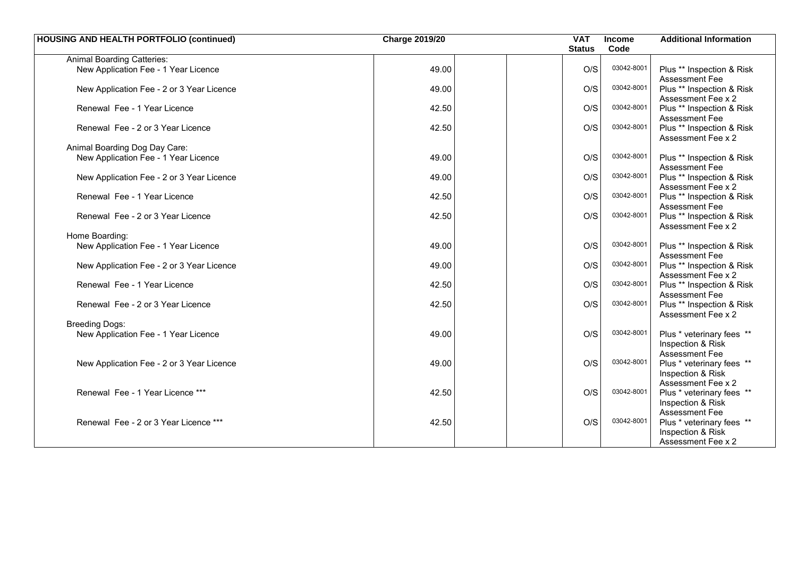| <b>HOUSING AND HEALTH PORTFOLIO (continued)</b> | <b>Charge 2019/20</b> | <b>VAT</b>    | Income     | <b>Additional Information</b>               |
|-------------------------------------------------|-----------------------|---------------|------------|---------------------------------------------|
|                                                 |                       | <b>Status</b> | Code       |                                             |
| <b>Animal Boarding Catteries:</b>               |                       |               |            |                                             |
| New Application Fee - 1 Year Licence            | 49.00                 | O/S           | 03042-8001 | Plus ** Inspection & Risk                   |
|                                                 |                       |               |            | <b>Assessment Fee</b>                       |
| New Application Fee - 2 or 3 Year Licence       | 49.00                 | O/S           | 03042-8001 | Plus ** Inspection & Risk                   |
|                                                 |                       |               |            | Assessment Fee x 2                          |
| Renewal Fee - 1 Year Licence                    | 42.50                 | O/S           | 03042-8001 | Plus ** Inspection & Risk                   |
|                                                 | 42.50                 | O/S           | 03042-8001 | Assessment Fee<br>Plus ** Inspection & Risk |
| Renewal Fee - 2 or 3 Year Licence               |                       |               |            | Assessment Fee x 2                          |
| Animal Boarding Dog Day Care:                   |                       |               |            |                                             |
| New Application Fee - 1 Year Licence            | 49.00                 | O/S           | 03042-8001 | Plus ** Inspection & Risk                   |
|                                                 |                       |               |            | <b>Assessment Fee</b>                       |
| New Application Fee - 2 or 3 Year Licence       | 49.00                 | O/S           | 03042-8001 | Plus ** Inspection & Risk                   |
|                                                 |                       |               |            | Assessment Fee x 2                          |
| Renewal Fee - 1 Year Licence                    | 42.50                 | O/S           | 03042-8001 | Plus ** Inspection & Risk                   |
|                                                 |                       |               |            | Assessment Fee                              |
| Renewal Fee - 2 or 3 Year Licence               | 42.50                 | O/S           | 03042-8001 | Plus ** Inspection & Risk                   |
|                                                 |                       |               |            | Assessment Fee x 2                          |
| Home Boarding:                                  | 49.00                 | O/S           | 03042-8001 |                                             |
| New Application Fee - 1 Year Licence            |                       |               |            | Plus ** Inspection & Risk<br>Assessment Fee |
| New Application Fee - 2 or 3 Year Licence       | 49.00                 | O/S           | 03042-8001 | Plus ** Inspection & Risk                   |
|                                                 |                       |               |            | Assessment Fee x 2                          |
| Renewal Fee - 1 Year Licence                    | 42.50                 | O/S           | 03042-8001 | Plus ** Inspection & Risk                   |
|                                                 |                       |               |            | <b>Assessment Fee</b>                       |
| Renewal Fee - 2 or 3 Year Licence               | 42.50                 | O/S           | 03042-8001 | Plus ** Inspection & Risk                   |
|                                                 |                       |               |            | Assessment Fee x 2                          |
| <b>Breeding Dogs:</b>                           |                       |               |            |                                             |
| New Application Fee - 1 Year Licence            | 49.00                 | O/S           | 03042-8001 | Plus * veterinary fees **                   |
|                                                 |                       |               |            | Inspection & Risk<br><b>Assessment Fee</b>  |
| New Application Fee - 2 or 3 Year Licence       | 49.00                 | O/S           | 03042-8001 | Plus * veterinary fees **                   |
|                                                 |                       |               |            | Inspection & Risk                           |
|                                                 |                       |               |            | Assessment Fee x 2                          |
| Renewal Fee - 1 Year Licence ***                | 42.50                 | O/S           | 03042-8001 | Plus * veterinary fees **                   |
|                                                 |                       |               |            | Inspection & Risk                           |
|                                                 |                       |               |            | Assessment Fee                              |
| Renewal Fee - 2 or 3 Year Licence ***           | 42.50                 | O/S           | 03042-8001 | Plus * veterinary fees **                   |
|                                                 |                       |               |            | Inspection & Risk                           |
|                                                 |                       |               |            | Assessment Fee x 2                          |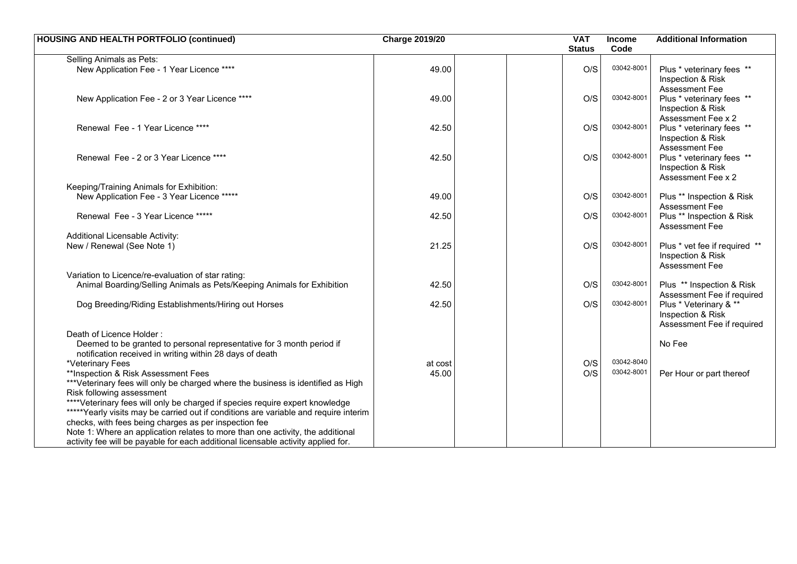| <b>HOUSING AND HEALTH PORTFOLIO (continued)</b>                                                                                               | <b>Charge 2019/20</b> | <b>VAT</b><br><b>Status</b> | Income<br>Code | <b>Additional Information</b>                                             |
|-----------------------------------------------------------------------------------------------------------------------------------------------|-----------------------|-----------------------------|----------------|---------------------------------------------------------------------------|
| Selling Animals as Pets:                                                                                                                      |                       |                             |                |                                                                           |
| New Application Fee - 1 Year Licence ****                                                                                                     | 49.00                 | O/S                         | 03042-8001     | Plus * veterinary fees **<br>Inspection & Risk<br><b>Assessment Fee</b>   |
| New Application Fee - 2 or 3 Year Licence ****                                                                                                | 49.00                 | O/S                         | 03042-8001     | Plus * veterinary fees **<br>Inspection & Risk<br>Assessment Fee x 2      |
| Renewal Fee - 1 Year Licence ****                                                                                                             | 42.50                 | O/S                         | 03042-8001     | Plus * veterinary fees **<br>Inspection & Risk<br>Assessment Fee          |
| Renewal Fee - 2 or 3 Year Licence ****                                                                                                        | 42.50                 | O/S                         | 03042-8001     | Plus * veterinary fees **<br>Inspection & Risk<br>Assessment Fee x 2      |
| Keeping/Training Animals for Exhibition:                                                                                                      |                       |                             |                |                                                                           |
| New Application Fee - 3 Year Licence *****                                                                                                    | 49.00                 | O/S                         | 03042-8001     | Plus ** Inspection & Risk<br><b>Assessment Fee</b>                        |
| Renewal Fee - 3 Year Licence *****                                                                                                            | 42.50                 | O/S                         | 03042-8001     | Plus ** Inspection & Risk<br><b>Assessment Fee</b>                        |
| Additional Licensable Activity:                                                                                                               |                       |                             |                |                                                                           |
| New / Renewal (See Note 1)                                                                                                                    | 21.25                 | O/S                         | 03042-8001     | Plus * vet fee if required **<br>Inspection & Risk<br>Assessment Fee      |
| Variation to Licence/re-evaluation of star rating:                                                                                            |                       |                             |                |                                                                           |
| Animal Boarding/Selling Animals as Pets/Keeping Animals for Exhibition                                                                        | 42.50                 | O/S                         | 03042-8001     | Plus ** Inspection & Risk<br>Assessment Fee if required                   |
| Dog Breeding/Riding Establishments/Hiring out Horses                                                                                          | 42.50                 | O/S                         | 03042-8001     | Plus * Veterinary & **<br>Inspection & Risk<br>Assessment Fee if required |
| Death of Licence Holder:<br>Deemed to be granted to personal representative for 3 month period if                                             |                       |                             |                | No Fee                                                                    |
| notification received in writing within 28 days of death                                                                                      |                       |                             | 03042-8040     |                                                                           |
| *Veterinary Fees                                                                                                                              | at cost               | O/S<br>O/S                  | 03042-8001     |                                                                           |
| **Inspection & Risk Assessment Fees                                                                                                           | 45.00                 |                             |                | Per Hour or part thereof                                                  |
| ***Veterinary fees will only be charged where the business is identified as High<br>Risk following assessment                                 |                       |                             |                |                                                                           |
| ****Veterinary fees will only be charged if species require expert knowledge                                                                  |                       |                             |                |                                                                           |
| *****Yearly visits may be carried out if conditions are variable and require interim<br>checks, with fees being charges as per inspection fee |                       |                             |                |                                                                           |
| Note 1: Where an application relates to more than one activity, the additional                                                                |                       |                             |                |                                                                           |
| activity fee will be payable for each additional licensable activity applied for.                                                             |                       |                             |                |                                                                           |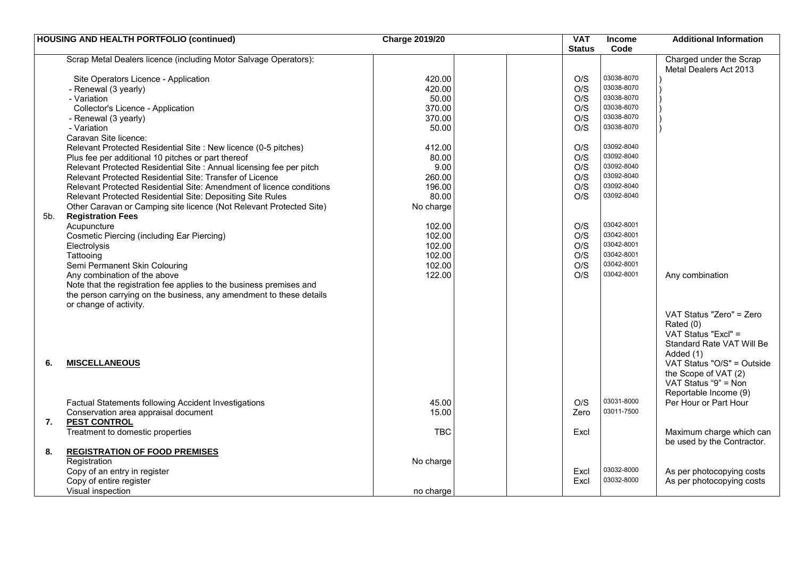| Code<br><b>Status</b><br>Scrap Metal Dealers licence (including Motor Salvage Operators):<br>Charged under the Scrap<br>Metal Dealers Act 2013<br>03038-8070<br>420.00<br>O/S<br>Site Operators Licence - Application<br>03038-8070<br>O/S<br>420.00<br>- Renewal (3 yearly)<br>03038-8070<br>50.00<br>O/S<br>- Variation<br>03038-8070<br>O/S<br>Collector's Licence - Application<br>370.00<br>03038-8070<br>O/S<br>- Renewal (3 yearly)<br>370.00<br>03038-8070<br>- Variation<br>O/S<br>50.00<br>Caravan Site licence:<br>03092-8040<br>Relevant Protected Residential Site : New licence (0-5 pitches)<br>412.00<br>O/S<br>03092-8040<br>O/S<br>Plus fee per additional 10 pitches or part thereof<br>80.00<br>03092-8040<br>Relevant Protected Residential Site : Annual licensing fee per pitch<br>9.00<br>O/S<br>Relevant Protected Residential Site: Transfer of Licence<br>O/S<br>03092-8040<br>260.00<br>03092-8040<br>O/S<br>Relevant Protected Residential Site: Amendment of licence conditions<br>196.00<br>03092-8040<br>Relevant Protected Residential Site: Depositing Site Rules<br>80.00<br>O/S<br>Other Caravan or Camping site licence (Not Relevant Protected Site)<br>No charge<br><b>Registration Fees</b><br>5b.<br>O/S<br>03042-8001<br>Acupuncture<br>102.00<br>03042-8001<br><b>Cosmetic Piercing (including Ear Piercing)</b><br>102.00<br>O/S<br>03042-8001<br>102.00<br>O/S<br>Electrolysis<br>03042-8001<br>102.00<br>O/S<br>Tattooing | <b>HOUSING AND HEALTH PORTFOLIO (continued)</b> | <b>Charge 2019/20</b> | <b>VAT</b> | <b>Income</b> | <b>Additional Information</b>    |
|-------------------------------------------------------------------------------------------------------------------------------------------------------------------------------------------------------------------------------------------------------------------------------------------------------------------------------------------------------------------------------------------------------------------------------------------------------------------------------------------------------------------------------------------------------------------------------------------------------------------------------------------------------------------------------------------------------------------------------------------------------------------------------------------------------------------------------------------------------------------------------------------------------------------------------------------------------------------------------------------------------------------------------------------------------------------------------------------------------------------------------------------------------------------------------------------------------------------------------------------------------------------------------------------------------------------------------------------------------------------------------------------------------------------------------------------------------------------------|-------------------------------------------------|-----------------------|------------|---------------|----------------------------------|
|                                                                                                                                                                                                                                                                                                                                                                                                                                                                                                                                                                                                                                                                                                                                                                                                                                                                                                                                                                                                                                                                                                                                                                                                                                                                                                                                                                                                                                                                         |                                                 |                       |            |               |                                  |
|                                                                                                                                                                                                                                                                                                                                                                                                                                                                                                                                                                                                                                                                                                                                                                                                                                                                                                                                                                                                                                                                                                                                                                                                                                                                                                                                                                                                                                                                         |                                                 |                       |            |               |                                  |
|                                                                                                                                                                                                                                                                                                                                                                                                                                                                                                                                                                                                                                                                                                                                                                                                                                                                                                                                                                                                                                                                                                                                                                                                                                                                                                                                                                                                                                                                         |                                                 |                       |            |               |                                  |
|                                                                                                                                                                                                                                                                                                                                                                                                                                                                                                                                                                                                                                                                                                                                                                                                                                                                                                                                                                                                                                                                                                                                                                                                                                                                                                                                                                                                                                                                         |                                                 |                       |            |               |                                  |
|                                                                                                                                                                                                                                                                                                                                                                                                                                                                                                                                                                                                                                                                                                                                                                                                                                                                                                                                                                                                                                                                                                                                                                                                                                                                                                                                                                                                                                                                         |                                                 |                       |            |               |                                  |
|                                                                                                                                                                                                                                                                                                                                                                                                                                                                                                                                                                                                                                                                                                                                                                                                                                                                                                                                                                                                                                                                                                                                                                                                                                                                                                                                                                                                                                                                         |                                                 |                       |            |               |                                  |
|                                                                                                                                                                                                                                                                                                                                                                                                                                                                                                                                                                                                                                                                                                                                                                                                                                                                                                                                                                                                                                                                                                                                                                                                                                                                                                                                                                                                                                                                         |                                                 |                       |            |               |                                  |
|                                                                                                                                                                                                                                                                                                                                                                                                                                                                                                                                                                                                                                                                                                                                                                                                                                                                                                                                                                                                                                                                                                                                                                                                                                                                                                                                                                                                                                                                         |                                                 |                       |            |               |                                  |
|                                                                                                                                                                                                                                                                                                                                                                                                                                                                                                                                                                                                                                                                                                                                                                                                                                                                                                                                                                                                                                                                                                                                                                                                                                                                                                                                                                                                                                                                         |                                                 |                       |            |               |                                  |
|                                                                                                                                                                                                                                                                                                                                                                                                                                                                                                                                                                                                                                                                                                                                                                                                                                                                                                                                                                                                                                                                                                                                                                                                                                                                                                                                                                                                                                                                         |                                                 |                       |            |               |                                  |
|                                                                                                                                                                                                                                                                                                                                                                                                                                                                                                                                                                                                                                                                                                                                                                                                                                                                                                                                                                                                                                                                                                                                                                                                                                                                                                                                                                                                                                                                         |                                                 |                       |            |               |                                  |
|                                                                                                                                                                                                                                                                                                                                                                                                                                                                                                                                                                                                                                                                                                                                                                                                                                                                                                                                                                                                                                                                                                                                                                                                                                                                                                                                                                                                                                                                         |                                                 |                       |            |               |                                  |
|                                                                                                                                                                                                                                                                                                                                                                                                                                                                                                                                                                                                                                                                                                                                                                                                                                                                                                                                                                                                                                                                                                                                                                                                                                                                                                                                                                                                                                                                         |                                                 |                       |            |               |                                  |
|                                                                                                                                                                                                                                                                                                                                                                                                                                                                                                                                                                                                                                                                                                                                                                                                                                                                                                                                                                                                                                                                                                                                                                                                                                                                                                                                                                                                                                                                         |                                                 |                       |            |               |                                  |
|                                                                                                                                                                                                                                                                                                                                                                                                                                                                                                                                                                                                                                                                                                                                                                                                                                                                                                                                                                                                                                                                                                                                                                                                                                                                                                                                                                                                                                                                         |                                                 |                       |            |               |                                  |
|                                                                                                                                                                                                                                                                                                                                                                                                                                                                                                                                                                                                                                                                                                                                                                                                                                                                                                                                                                                                                                                                                                                                                                                                                                                                                                                                                                                                                                                                         |                                                 |                       |            |               |                                  |
|                                                                                                                                                                                                                                                                                                                                                                                                                                                                                                                                                                                                                                                                                                                                                                                                                                                                                                                                                                                                                                                                                                                                                                                                                                                                                                                                                                                                                                                                         |                                                 |                       |            |               |                                  |
|                                                                                                                                                                                                                                                                                                                                                                                                                                                                                                                                                                                                                                                                                                                                                                                                                                                                                                                                                                                                                                                                                                                                                                                                                                                                                                                                                                                                                                                                         |                                                 |                       |            |               |                                  |
|                                                                                                                                                                                                                                                                                                                                                                                                                                                                                                                                                                                                                                                                                                                                                                                                                                                                                                                                                                                                                                                                                                                                                                                                                                                                                                                                                                                                                                                                         |                                                 |                       |            |               |                                  |
|                                                                                                                                                                                                                                                                                                                                                                                                                                                                                                                                                                                                                                                                                                                                                                                                                                                                                                                                                                                                                                                                                                                                                                                                                                                                                                                                                                                                                                                                         |                                                 |                       |            |               |                                  |
|                                                                                                                                                                                                                                                                                                                                                                                                                                                                                                                                                                                                                                                                                                                                                                                                                                                                                                                                                                                                                                                                                                                                                                                                                                                                                                                                                                                                                                                                         |                                                 |                       |            |               |                                  |
|                                                                                                                                                                                                                                                                                                                                                                                                                                                                                                                                                                                                                                                                                                                                                                                                                                                                                                                                                                                                                                                                                                                                                                                                                                                                                                                                                                                                                                                                         |                                                 |                       |            |               |                                  |
|                                                                                                                                                                                                                                                                                                                                                                                                                                                                                                                                                                                                                                                                                                                                                                                                                                                                                                                                                                                                                                                                                                                                                                                                                                                                                                                                                                                                                                                                         |                                                 |                       |            |               |                                  |
|                                                                                                                                                                                                                                                                                                                                                                                                                                                                                                                                                                                                                                                                                                                                                                                                                                                                                                                                                                                                                                                                                                                                                                                                                                                                                                                                                                                                                                                                         | Semi Permanent Skin Colouring                   | 102.00                | O/S        | 03042-8001    |                                  |
| 03042-8001<br>O/S<br>Any combination of the above<br>122.00<br>Any combination                                                                                                                                                                                                                                                                                                                                                                                                                                                                                                                                                                                                                                                                                                                                                                                                                                                                                                                                                                                                                                                                                                                                                                                                                                                                                                                                                                                          |                                                 |                       |            |               |                                  |
| Note that the registration fee applies to the business premises and                                                                                                                                                                                                                                                                                                                                                                                                                                                                                                                                                                                                                                                                                                                                                                                                                                                                                                                                                                                                                                                                                                                                                                                                                                                                                                                                                                                                     |                                                 |                       |            |               |                                  |
| the person carrying on the business, any amendment to these details                                                                                                                                                                                                                                                                                                                                                                                                                                                                                                                                                                                                                                                                                                                                                                                                                                                                                                                                                                                                                                                                                                                                                                                                                                                                                                                                                                                                     |                                                 |                       |            |               |                                  |
| or change of activity.                                                                                                                                                                                                                                                                                                                                                                                                                                                                                                                                                                                                                                                                                                                                                                                                                                                                                                                                                                                                                                                                                                                                                                                                                                                                                                                                                                                                                                                  |                                                 |                       |            |               |                                  |
| VAT Status "Zero" = Zero                                                                                                                                                                                                                                                                                                                                                                                                                                                                                                                                                                                                                                                                                                                                                                                                                                                                                                                                                                                                                                                                                                                                                                                                                                                                                                                                                                                                                                                |                                                 |                       |            |               |                                  |
| Rated (0)                                                                                                                                                                                                                                                                                                                                                                                                                                                                                                                                                                                                                                                                                                                                                                                                                                                                                                                                                                                                                                                                                                                                                                                                                                                                                                                                                                                                                                                               |                                                 |                       |            |               |                                  |
| VAT Status "Excl" =                                                                                                                                                                                                                                                                                                                                                                                                                                                                                                                                                                                                                                                                                                                                                                                                                                                                                                                                                                                                                                                                                                                                                                                                                                                                                                                                                                                                                                                     |                                                 |                       |            |               |                                  |
|                                                                                                                                                                                                                                                                                                                                                                                                                                                                                                                                                                                                                                                                                                                                                                                                                                                                                                                                                                                                                                                                                                                                                                                                                                                                                                                                                                                                                                                                         |                                                 |                       |            |               | <b>Standard Rate VAT Will Be</b> |
|                                                                                                                                                                                                                                                                                                                                                                                                                                                                                                                                                                                                                                                                                                                                                                                                                                                                                                                                                                                                                                                                                                                                                                                                                                                                                                                                                                                                                                                                         |                                                 |                       |            |               |                                  |
| Added (1)                                                                                                                                                                                                                                                                                                                                                                                                                                                                                                                                                                                                                                                                                                                                                                                                                                                                                                                                                                                                                                                                                                                                                                                                                                                                                                                                                                                                                                                               |                                                 |                       |            |               |                                  |
| <b>MISCELLANEOUS</b><br>6.                                                                                                                                                                                                                                                                                                                                                                                                                                                                                                                                                                                                                                                                                                                                                                                                                                                                                                                                                                                                                                                                                                                                                                                                                                                                                                                                                                                                                                              |                                                 |                       |            |               | VAT Status "O/S" = Outside       |
| the Scope of VAT (2)                                                                                                                                                                                                                                                                                                                                                                                                                                                                                                                                                                                                                                                                                                                                                                                                                                                                                                                                                                                                                                                                                                                                                                                                                                                                                                                                                                                                                                                    |                                                 |                       |            |               |                                  |
| VAT Status "9" = Non                                                                                                                                                                                                                                                                                                                                                                                                                                                                                                                                                                                                                                                                                                                                                                                                                                                                                                                                                                                                                                                                                                                                                                                                                                                                                                                                                                                                                                                    |                                                 |                       |            |               |                                  |
| Reportable Income (9)                                                                                                                                                                                                                                                                                                                                                                                                                                                                                                                                                                                                                                                                                                                                                                                                                                                                                                                                                                                                                                                                                                                                                                                                                                                                                                                                                                                                                                                   |                                                 |                       |            |               |                                  |
| 03031-8000<br>O/S<br>Factual Statements following Accident Investigations<br>45.00<br>Per Hour or Part Hour                                                                                                                                                                                                                                                                                                                                                                                                                                                                                                                                                                                                                                                                                                                                                                                                                                                                                                                                                                                                                                                                                                                                                                                                                                                                                                                                                             |                                                 |                       |            |               |                                  |
| 03011-7500<br>Conservation area appraisal document<br>15.00<br>Zero                                                                                                                                                                                                                                                                                                                                                                                                                                                                                                                                                                                                                                                                                                                                                                                                                                                                                                                                                                                                                                                                                                                                                                                                                                                                                                                                                                                                     |                                                 |                       |            |               |                                  |
| <b>PEST CONTROL</b><br>7.                                                                                                                                                                                                                                                                                                                                                                                                                                                                                                                                                                                                                                                                                                                                                                                                                                                                                                                                                                                                                                                                                                                                                                                                                                                                                                                                                                                                                                               |                                                 |                       |            |               |                                  |
| <b>TBC</b><br>Treatment to domestic properties<br>Excl                                                                                                                                                                                                                                                                                                                                                                                                                                                                                                                                                                                                                                                                                                                                                                                                                                                                                                                                                                                                                                                                                                                                                                                                                                                                                                                                                                                                                  |                                                 |                       |            |               | Maximum charge which can         |
| be used by the Contractor.                                                                                                                                                                                                                                                                                                                                                                                                                                                                                                                                                                                                                                                                                                                                                                                                                                                                                                                                                                                                                                                                                                                                                                                                                                                                                                                                                                                                                                              |                                                 |                       |            |               |                                  |
| 8.<br><b>REGISTRATION OF FOOD PREMISES</b>                                                                                                                                                                                                                                                                                                                                                                                                                                                                                                                                                                                                                                                                                                                                                                                                                                                                                                                                                                                                                                                                                                                                                                                                                                                                                                                                                                                                                              |                                                 |                       |            |               |                                  |
| Registration<br>No charge                                                                                                                                                                                                                                                                                                                                                                                                                                                                                                                                                                                                                                                                                                                                                                                                                                                                                                                                                                                                                                                                                                                                                                                                                                                                                                                                                                                                                                               |                                                 |                       |            |               |                                  |
| 03032-8000<br>Copy of an entry in register<br>Excl<br>As per photocopying costs                                                                                                                                                                                                                                                                                                                                                                                                                                                                                                                                                                                                                                                                                                                                                                                                                                                                                                                                                                                                                                                                                                                                                                                                                                                                                                                                                                                         |                                                 |                       |            |               |                                  |
| 03032-8000<br>Copy of entire register<br>As per photocopying costs<br>Excl                                                                                                                                                                                                                                                                                                                                                                                                                                                                                                                                                                                                                                                                                                                                                                                                                                                                                                                                                                                                                                                                                                                                                                                                                                                                                                                                                                                              |                                                 |                       |            |               |                                  |
| Visual inspection<br>no charge                                                                                                                                                                                                                                                                                                                                                                                                                                                                                                                                                                                                                                                                                                                                                                                                                                                                                                                                                                                                                                                                                                                                                                                                                                                                                                                                                                                                                                          |                                                 |                       |            |               |                                  |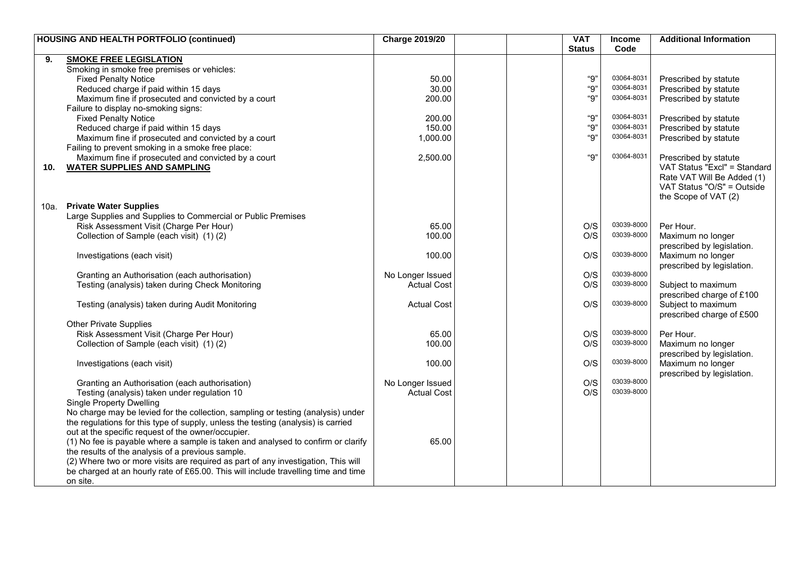|      | <b>HOUSING AND HEALTH PORTFOLIO (continued)</b>                                    | <b>Charge 2019/20</b> |  | <b>VAT</b>    | Income     | <b>Additional Information</b>                   |
|------|------------------------------------------------------------------------------------|-----------------------|--|---------------|------------|-------------------------------------------------|
|      |                                                                                    |                       |  | <b>Status</b> | Code       |                                                 |
| 9.   | <b>SMOKE FREE LEGISLATION</b>                                                      |                       |  |               |            |                                                 |
|      | Smoking in smoke free premises or vehicles:                                        |                       |  |               |            |                                                 |
|      | Fixed Penalty Notice                                                               | 50.00                 |  | "9"           | 03064-8031 | Prescribed by statute                           |
|      | Reduced charge if paid within 15 days                                              | 30.00                 |  | "9"           | 03064-8031 | Prescribed by statute                           |
|      | Maximum fine if prosecuted and convicted by a court                                | 200.00                |  | "9"           | 03064-8031 | Prescribed by statute                           |
|      | Failure to display no-smoking signs:                                               |                       |  |               |            |                                                 |
|      | <b>Fixed Penalty Notice</b>                                                        | 200.00                |  | "9"           | 03064-8031 | Prescribed by statute                           |
|      | Reduced charge if paid within 15 days                                              | 150.00                |  | "9"           | 03064-8031 | Prescribed by statute                           |
|      | Maximum fine if prosecuted and convicted by a court                                | 1,000.00              |  | "9"           | 03064-8031 | Prescribed by statute                           |
|      | Failing to prevent smoking in a smoke free place:                                  |                       |  |               |            |                                                 |
|      | Maximum fine if prosecuted and convicted by a court                                | 2,500.00              |  | "9"           | 03064-8031 | Prescribed by statute                           |
| 10.  | <b>WATER SUPPLIES AND SAMPLING</b>                                                 |                       |  |               |            | VAT Status "Excl" = Standard                    |
|      |                                                                                    |                       |  |               |            | Rate VAT Will Be Added (1)                      |
|      |                                                                                    |                       |  |               |            | VAT Status "O/S" = Outside                      |
|      |                                                                                    |                       |  |               |            | the Scope of VAT (2)                            |
| 10a. | <b>Private Water Supplies</b>                                                      |                       |  |               |            |                                                 |
|      | Large Supplies and Supplies to Commercial or Public Premises                       |                       |  |               |            |                                                 |
|      | Risk Assessment Visit (Charge Per Hour)                                            | 65.00                 |  | O/S           | 03039-8000 | Per Hour.                                       |
|      | Collection of Sample (each visit) (1)(2)                                           | 100.00                |  | O/S           | 03039-8000 | Maximum no longer                               |
|      |                                                                                    |                       |  |               |            | prescribed by legislation.                      |
|      | Investigations (each visit)                                                        | 100.00                |  | O/S           | 03039-8000 | Maximum no longer                               |
|      |                                                                                    |                       |  |               | 03039-8000 | prescribed by legislation.                      |
|      | Granting an Authorisation (each authorisation)                                     | No Longer Issued      |  | O/S<br>O/S    | 03039-8000 |                                                 |
|      | Testing (analysis) taken during Check Monitoring                                   | <b>Actual Cost</b>    |  |               |            | Subject to maximum<br>prescribed charge of £100 |
|      |                                                                                    | <b>Actual Cost</b>    |  | O/S           | 03039-8000 | Subject to maximum                              |
|      | Testing (analysis) taken during Audit Monitoring                                   |                       |  |               |            | prescribed charge of £500                       |
|      | <b>Other Private Supplies</b>                                                      |                       |  |               |            |                                                 |
|      | Risk Assessment Visit (Charge Per Hour)                                            | 65.00                 |  | O/S           | 03039-8000 | Per Hour.                                       |
|      | Collection of Sample (each visit) (1)(2)                                           | 100.00                |  | O/S           | 03039-8000 | Maximum no longer                               |
|      |                                                                                    |                       |  |               |            | prescribed by legislation.                      |
|      | Investigations (each visit)                                                        | 100.00                |  | O/S           | 03039-8000 | Maximum no longer                               |
|      |                                                                                    |                       |  |               |            | prescribed by legislation.                      |
|      | Granting an Authorisation (each authorisation)                                     | No Longer Issued      |  | O/S           | 03039-8000 |                                                 |
|      | Testing (analysis) taken under regulation 10                                       | <b>Actual Cost</b>    |  | O/S           | 03039-8000 |                                                 |
|      | <b>Single Property Dwelling</b>                                                    |                       |  |               |            |                                                 |
|      | No charge may be levied for the collection, sampling or testing (analysis) under   |                       |  |               |            |                                                 |
|      | the regulations for this type of supply, unless the testing (analysis) is carried  |                       |  |               |            |                                                 |
|      | out at the specific request of the owner/occupier.                                 |                       |  |               |            |                                                 |
|      | (1) No fee is payable where a sample is taken and analysed to confirm or clarify   | 65.00                 |  |               |            |                                                 |
|      | the results of the analysis of a previous sample.                                  |                       |  |               |            |                                                 |
|      | (2) Where two or more visits are required as part of any investigation, This will  |                       |  |               |            |                                                 |
|      | be charged at an hourly rate of £65.00. This will include travelling time and time |                       |  |               |            |                                                 |
|      | on site.                                                                           |                       |  |               |            |                                                 |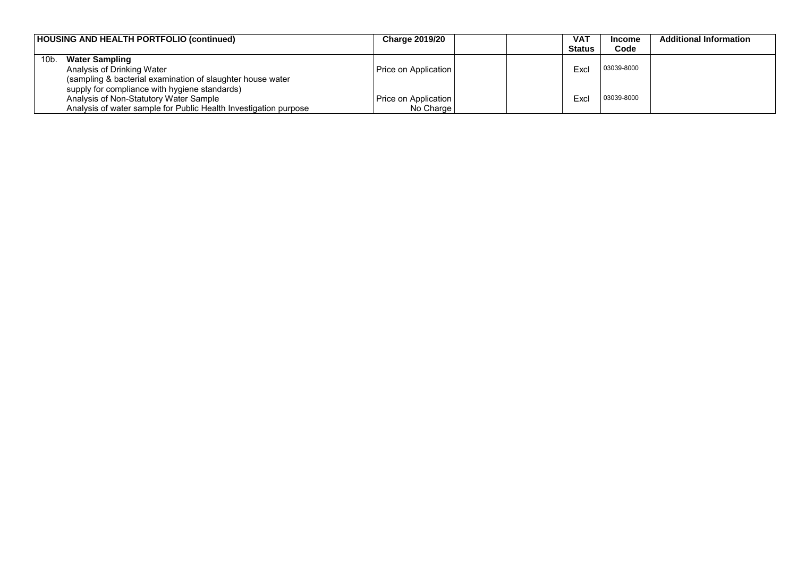|      | HOUSING AND HEALTH PORTFOLIO (continued)                         | <b>Charge 2019/20</b> | VA1           | Income     | <b>Additional Information</b> |
|------|------------------------------------------------------------------|-----------------------|---------------|------------|-------------------------------|
|      |                                                                  |                       | <b>Status</b> | Code       |                               |
| 10b. | <b>Water Sampling</b>                                            |                       |               |            |                               |
|      | Analysis of Drinking Water                                       | Price on Application  | Excl          | 03039-8000 |                               |
|      | (sampling & bacterial examination of slaughter house water       |                       |               |            |                               |
|      | supply for compliance with hygiene standards)                    |                       |               |            |                               |
|      | Analysis of Non-Statutory Water Sample                           | Price on Application  | Excl          | 03039-8000 |                               |
|      | Analysis of water sample for Public Health Investigation purpose | No Charge             |               |            |                               |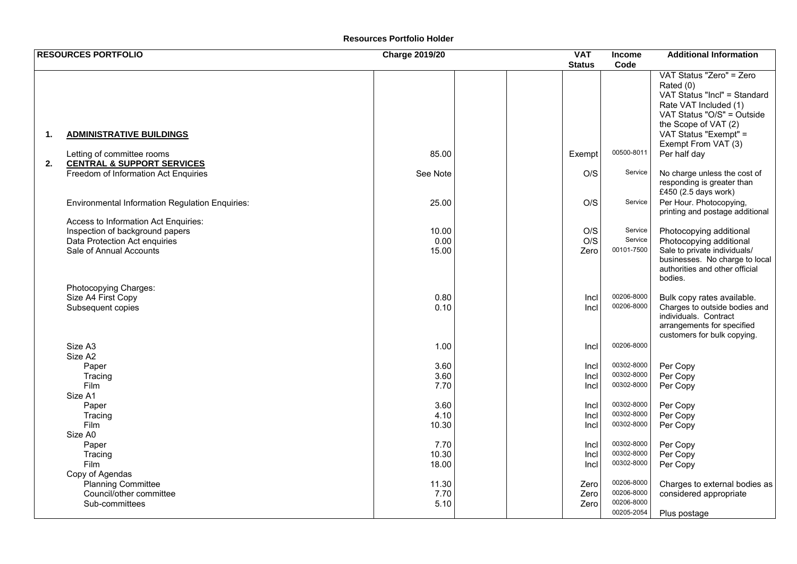#### **Resources Portfolio Holder**

|    | <b>RESOURCES PORTFOLIO</b>                                                                                                          | <b>Charge 2019/20</b>  | <b>VAT</b>           | <b>Income</b>                                        | <b>Additional Information</b>                                                                                                                                     |
|----|-------------------------------------------------------------------------------------------------------------------------------------|------------------------|----------------------|------------------------------------------------------|-------------------------------------------------------------------------------------------------------------------------------------------------------------------|
|    |                                                                                                                                     |                        | <b>Status</b>        | Code                                                 |                                                                                                                                                                   |
|    |                                                                                                                                     |                        |                      |                                                      | VAT Status "Zero" = Zero<br>Rated (0)<br>VAT Status "Incl" = Standard<br>Rate VAT Included (1)<br>VAT Status "O/S" = Outside                                      |
| 1. | <b>ADMINISTRATIVE BUILDINGS</b>                                                                                                     |                        |                      |                                                      | the Scope of VAT (2)<br>VAT Status "Exempt" =<br>Exempt From VAT (3)                                                                                              |
| 2. | Letting of committee rooms<br><b>CENTRAL &amp; SUPPORT SERVICES</b>                                                                 | 85.00                  | Exempt               | 00500-8011                                           | Per half day                                                                                                                                                      |
|    | Freedom of Information Act Enquiries                                                                                                | See Note               | O/S                  | Service                                              | No charge unless the cost of<br>responding is greater than<br>£450 (2.5 days work)                                                                                |
|    | <b>Environmental Information Regulation Enquiries:</b>                                                                              | 25.00                  | O/S                  | Service                                              | Per Hour. Photocopying,<br>printing and postage additional                                                                                                        |
|    | Access to Information Act Enquiries:<br>Inspection of background papers<br>Data Protection Act enquiries<br>Sale of Annual Accounts | 10.00<br>0.00<br>15.00 | O/S<br>O/S<br>Zero   | Service<br>Service<br>00101-7500                     | Photocopying additional<br>Photocopying additional<br>Sale to private individuals/<br>businesses. No charge to local<br>authorities and other official<br>bodies. |
|    | Photocopying Charges:<br>Size A4 First Copy<br>Subsequent copies                                                                    | 0.80<br>0.10           | Incl<br>Incl         | 00206-8000<br>00206-8000                             | Bulk copy rates available.<br>Charges to outside bodies and<br>individuals. Contract<br>arrangements for specified<br>customers for bulk copying.                 |
|    | Size A3<br>Size A2                                                                                                                  | 1.00                   | Incl                 | 00206-8000                                           |                                                                                                                                                                   |
|    | Paper<br>Tracing<br>Film                                                                                                            | 3.60<br>3.60<br>7.70   | Incl<br>Incl<br>Incl | 00302-8000<br>00302-8000<br>00302-8000               | Per Copy<br>Per Copy<br>Per Copy                                                                                                                                  |
|    | Size A1<br>Paper<br>Tracing<br>Film                                                                                                 | 3.60<br>4.10<br>10.30  | Incl<br>Incl<br>Incl | 00302-8000<br>00302-8000<br>00302-8000               | Per Copy<br>Per Copy<br>Per Copy                                                                                                                                  |
|    | Size A0<br>Paper<br>Tracing<br>Film                                                                                                 | 7.70<br>10.30<br>18.00 | Incl<br>Incl<br>Incl | 00302-8000<br>00302-8000<br>00302-8000               | Per Copy<br>Per Copy<br>Per Copy                                                                                                                                  |
|    | Copy of Agendas<br>Planning Committee<br>Council/other committee<br>Sub-committees                                                  | 11.30<br>7.70<br>5.10  | Zero<br>Zero<br>Zero | 00206-8000<br>00206-8000<br>00206-8000<br>00205-2054 | Charges to external bodies as<br>considered appropriate<br>Plus postage                                                                                           |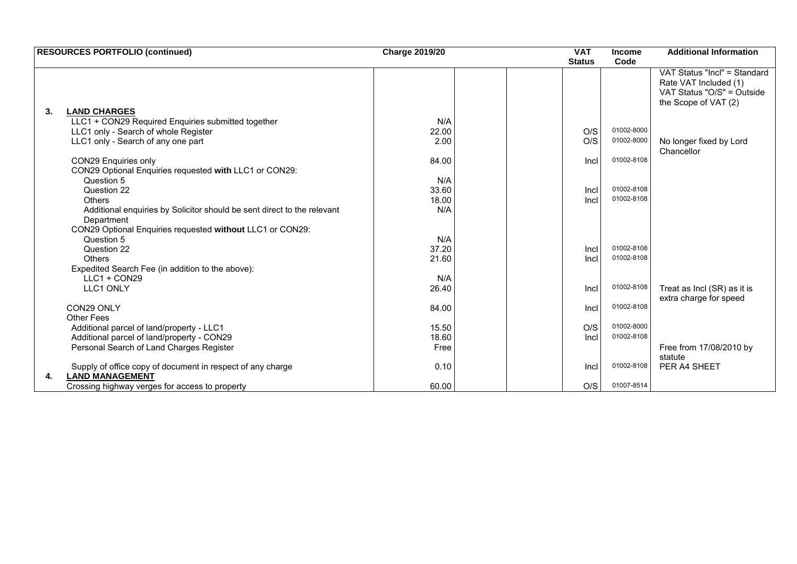| <b>RESOURCES PORTFOLIO (continued)</b>                                                     | <b>Charge 2019/20</b> | <b>VAT</b>    | <b>Income</b> | <b>Additional Information</b>                                                                               |
|--------------------------------------------------------------------------------------------|-----------------------|---------------|---------------|-------------------------------------------------------------------------------------------------------------|
|                                                                                            |                       | <b>Status</b> | Code          |                                                                                                             |
|                                                                                            |                       |               |               | VAT Status "Incl" = Standard<br>Rate VAT Included (1)<br>VAT Status "O/S" = Outside<br>the Scope of VAT (2) |
| <b>LAND CHARGES</b><br>3.                                                                  |                       |               |               |                                                                                                             |
| LLC1 + CON29 Required Enquiries submitted together                                         | N/A                   |               |               |                                                                                                             |
| LLC1 only - Search of whole Register                                                       | 22.00                 | O/S           | 01002-8000    |                                                                                                             |
| LLC1 only - Search of any one part                                                         | 2.00                  | O/S           | 01002-8000    | No longer fixed by Lord<br>Chancellor                                                                       |
| <b>CON29 Enquiries only</b>                                                                | 84.00                 | Incl          | 01002-8108    |                                                                                                             |
| CON29 Optional Enquiries requested with LLC1 or CON29:                                     |                       |               |               |                                                                                                             |
| Question 5                                                                                 | N/A                   |               |               |                                                                                                             |
| Question 22                                                                                | 33.60                 | Incl          | 01002-8108    |                                                                                                             |
| <b>Others</b>                                                                              | 18.00                 | Incl          | 01002-8108    |                                                                                                             |
| Additional enquiries by Solicitor should be sent direct to the relevant<br>Department      | N/A                   |               |               |                                                                                                             |
| CON29 Optional Enquiries requested without LLC1 or CON29:                                  |                       |               |               |                                                                                                             |
| Question 5                                                                                 | N/A                   |               |               |                                                                                                             |
| Question 22                                                                                | 37.20                 | Incl          | 01002-8108    |                                                                                                             |
| Others                                                                                     | 21.60                 | Incl          | 01002-8108    |                                                                                                             |
|                                                                                            |                       |               |               |                                                                                                             |
| Expedited Search Fee (in addition to the above):<br>$LLC1 + CON29$                         | N/A                   |               |               |                                                                                                             |
|                                                                                            |                       |               | 01002-8108    |                                                                                                             |
| <b>LLC1 ONLY</b>                                                                           | 26.40                 | Incl          |               | Treat as Incl (SR) as it is<br>extra charge for speed                                                       |
| CON29 ONLY                                                                                 | 84.00                 | Incl          | 01002-8108    |                                                                                                             |
| Other Fees                                                                                 |                       |               |               |                                                                                                             |
| Additional parcel of land/property - LLC1                                                  | 15.50                 | O/S           | 01002-8000    |                                                                                                             |
| Additional parcel of land/property - CON29                                                 | 18.60                 | Incl          | 01002-8108    |                                                                                                             |
| Personal Search of Land Charges Register                                                   | Free                  |               |               | Free from 17/08/2010 by                                                                                     |
|                                                                                            |                       |               |               | statute                                                                                                     |
| Supply of office copy of document in respect of any charge<br><b>LAND MANAGEMENT</b><br>4. | 0.10                  | Incl          | 01002-8108    | PER A4 SHEET                                                                                                |
| Crossing highway verges for access to property                                             | 60.00                 | O/S           | 01007-8514    |                                                                                                             |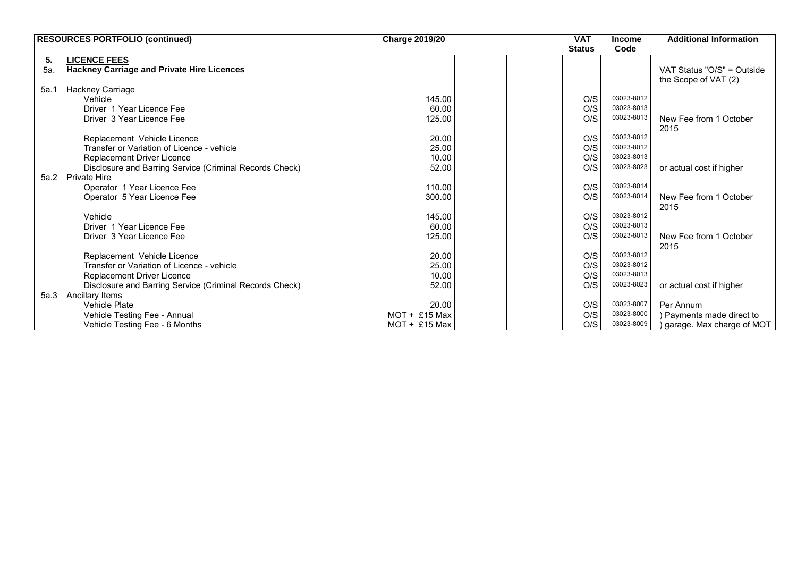|      | <b>RESOURCES PORTFOLIO (continued)</b>                  | <b>Charge 2019/20</b> | <b>VAT</b>    | <b>Income</b>     | <b>Additional Information</b>                      |
|------|---------------------------------------------------------|-----------------------|---------------|-------------------|----------------------------------------------------|
|      |                                                         |                       | <b>Status</b> | Code              |                                                    |
| 5.   | <b>LICENCE FEES</b>                                     |                       |               |                   |                                                    |
| 5а.  | <b>Hackney Carriage and Private Hire Licences</b>       |                       |               |                   | VAT Status "O/S" = Outside<br>the Scope of VAT (2) |
| 5a.1 | Hackney Carriage                                        |                       |               |                   |                                                    |
|      | Vehicle                                                 | 145.00                |               | 03023-8012<br>O/S |                                                    |
|      | Driver 1 Year Licence Fee                               | 60.00                 |               | 03023-8013<br>O/S |                                                    |
|      | Driver 3 Year Licence Fee                               | 125.00                |               | 03023-8013<br>O/S | New Fee from 1 October                             |
|      |                                                         |                       |               |                   | 2015                                               |
|      | Replacement Vehicle Licence                             | 20.00                 |               | 03023-8012<br>O/S |                                                    |
|      | Transfer or Variation of Licence - vehicle              | 25.00                 |               | 03023-8012<br>O/S |                                                    |
|      | Replacement Driver Licence                              | 10.00                 |               | 03023-8013<br>O/S |                                                    |
|      | Disclosure and Barring Service (Criminal Records Check) | 52.00                 |               | 03023-8023<br>O/S | or actual cost if higher                           |
| 5a.2 | <b>Private Hire</b>                                     |                       |               |                   |                                                    |
|      | Operator 1 Year Licence Fee                             | 110.00                |               | 03023-8014<br>O/S |                                                    |
|      | Operator 5 Year Licence Fee                             | 300.00                |               | 03023-8014<br>O/S | New Fee from 1 October                             |
|      |                                                         |                       |               |                   | 2015                                               |
|      | Vehicle                                                 | 145.00                |               | 03023-8012<br>O/S |                                                    |
|      | Driver 1 Year Licence Fee                               | 60.00                 |               | 03023-8013<br>O/S |                                                    |
|      | Driver 3 Year Licence Fee                               | 125.00                |               | 03023-8013<br>O/S | New Fee from 1 October                             |
|      |                                                         |                       |               |                   | 2015                                               |
|      | Replacement Vehicle Licence                             | 20.00                 |               | 03023-8012<br>O/S |                                                    |
|      | Transfer or Variation of Licence - vehicle              | 25.00                 |               | 03023-8012<br>O/S |                                                    |
|      | Replacement Driver Licence                              | 10.00                 |               | 03023-8013<br>O/S |                                                    |
|      | Disclosure and Barring Service (Criminal Records Check) | 52.00                 |               | O/S<br>03023-8023 | or actual cost if higher                           |
| 5a.3 | Ancillary Items                                         |                       |               |                   |                                                    |
|      | <b>Vehicle Plate</b>                                    | 20.00                 |               | 03023-8007<br>O/S | Per Annum                                          |
|      | Vehicle Testing Fee - Annual                            | $MOT + £15$ Max       |               | 03023-8000<br>O/S | ) Payments made direct to                          |
|      | Vehicle Testing Fee - 6 Months                          | $MOT + £15$ Max       |               | 03023-8009<br>O/S | garage. Max charge of MOT                          |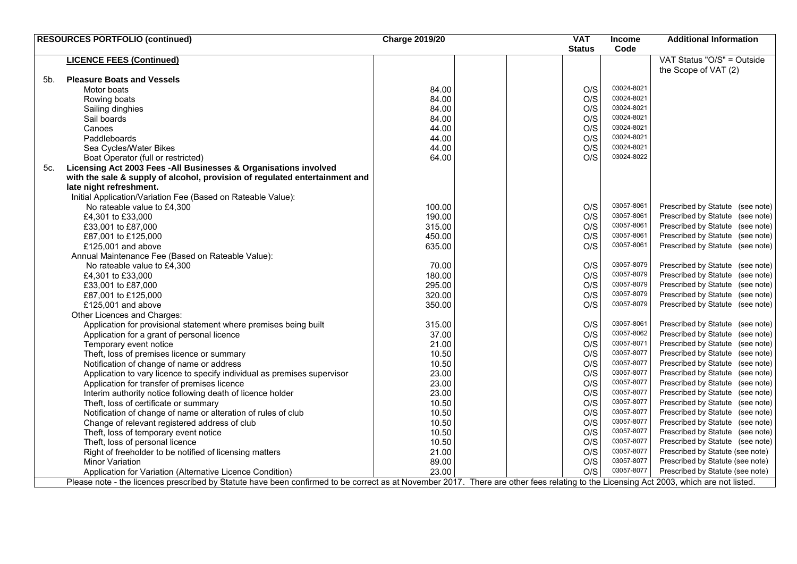|     | <b>RESOURCES PORTFOLIO (continued)</b>                                                                                                                                                 | <b>Charge 2019/20</b> | <b>VAT</b>    |     | <b>Income</b> | <b>Additional Information</b>    |
|-----|----------------------------------------------------------------------------------------------------------------------------------------------------------------------------------------|-----------------------|---------------|-----|---------------|----------------------------------|
|     |                                                                                                                                                                                        |                       | <b>Status</b> |     | Code          |                                  |
|     | <b>LICENCE FEES (Continued)</b>                                                                                                                                                        |                       |               |     |               | VAT Status "O/S" = Outside       |
|     |                                                                                                                                                                                        |                       |               |     |               | the Scope of VAT (2)             |
| 5b. | <b>Pleasure Boats and Vessels</b>                                                                                                                                                      |                       |               |     |               |                                  |
|     | Motor boats                                                                                                                                                                            | 84.00                 |               | O/S | 03024-8021    |                                  |
|     | Rowing boats                                                                                                                                                                           | 84.00                 |               | O/S | 03024-8021    |                                  |
|     | Sailing dinghies                                                                                                                                                                       | 84.00                 |               | O/S | 03024-8021    |                                  |
|     | Sail boards                                                                                                                                                                            | 84.00                 |               | O/S | 03024-8021    |                                  |
|     | Canoes                                                                                                                                                                                 | 44.00                 |               | O/S | 03024-8021    |                                  |
|     | Paddleboards                                                                                                                                                                           | 44.00                 |               | O/S | 03024-8021    |                                  |
|     | Sea Cycles/Water Bikes                                                                                                                                                                 | 44.00                 |               | O/S | 03024-8021    |                                  |
|     | Boat Operator (full or restricted)                                                                                                                                                     | 64.00                 |               | O/S | 03024-8022    |                                  |
| 5c. | Licensing Act 2003 Fees - All Businesses & Organisations involved                                                                                                                      |                       |               |     |               |                                  |
|     | with the sale & supply of alcohol, provision of regulated entertainment and                                                                                                            |                       |               |     |               |                                  |
|     | late night refreshment.                                                                                                                                                                |                       |               |     |               |                                  |
|     | Initial Application/Variation Fee (Based on Rateable Value):                                                                                                                           |                       |               |     |               |                                  |
|     | No rateable value to £4,300                                                                                                                                                            | 100.00                |               | O/S | 03057-8061    | Prescribed by Statute (see note) |
|     | £4,301 to £33,000                                                                                                                                                                      | 190.00                |               | O/S | 03057-8061    | Prescribed by Statute (see note) |
|     | £33,001 to £87,000                                                                                                                                                                     | 315.00                |               | O/S | 03057-8061    | Prescribed by Statute (see note) |
|     | £87,001 to £125,000                                                                                                                                                                    | 450.00                |               | O/S | 03057-8061    | Prescribed by Statute (see note) |
|     | £125,001 and above                                                                                                                                                                     | 635.00                |               | O/S | 03057-8061    | Prescribed by Statute (see note) |
|     | Annual Maintenance Fee (Based on Rateable Value):                                                                                                                                      |                       |               |     |               |                                  |
|     | No rateable value to £4,300                                                                                                                                                            | 70.00                 |               | O/S | 03057-8079    | Prescribed by Statute (see note) |
|     | £4,301 to £33,000                                                                                                                                                                      | 180.00                |               | O/S | 03057-8079    | Prescribed by Statute (see note) |
|     |                                                                                                                                                                                        | 295.00                |               | O/S | 03057-8079    | Prescribed by Statute (see note) |
|     | £33,001 to £87,000<br>£87,001 to £125,000                                                                                                                                              | 320.00                |               | O/S | 03057-8079    | Prescribed by Statute (see note) |
|     |                                                                                                                                                                                        |                       |               | O/S | 03057-8079    | Prescribed by Statute (see note) |
|     | £125,001 and above                                                                                                                                                                     | 350.00                |               |     |               |                                  |
|     | Other Licences and Charges:                                                                                                                                                            |                       |               |     | 03057-8061    | Prescribed by Statute (see note) |
|     | Application for provisional statement where premises being built                                                                                                                       | 315.00                |               | O/S | 03057-8062    | Prescribed by Statute (see note) |
|     | Application for a grant of personal licence                                                                                                                                            | 37.00                 |               | O/S | 03057-8071    |                                  |
|     | Temporary event notice                                                                                                                                                                 | 21.00                 |               | O/S | 03057-8077    | Prescribed by Statute (see note) |
|     | Theft, loss of premises licence or summary                                                                                                                                             | 10.50                 |               | O/S | 03057-8077    | Prescribed by Statute (see note) |
|     | Notification of change of name or address                                                                                                                                              | 10.50                 |               | O/S |               | Prescribed by Statute (see note) |
|     | Application to vary licence to specify individual as premises supervisor                                                                                                               | 23.00                 |               | O/S | 03057-8077    | Prescribed by Statute (see note) |
|     | Application for transfer of premises licence                                                                                                                                           | 23.00                 |               | O/S | 03057-8077    | Prescribed by Statute (see note) |
|     | Interim authority notice following death of licence holder                                                                                                                             | 23.00                 |               | O/S | 03057-8077    | Prescribed by Statute (see note) |
|     | Theft, loss of certificate or summary                                                                                                                                                  | 10.50                 |               | O/S | 03057-8077    | Prescribed by Statute (see note) |
|     | Notification of change of name or alteration of rules of club                                                                                                                          | 10.50                 |               | O/S | 03057-8077    | Prescribed by Statute (see note) |
|     | Change of relevant registered address of club                                                                                                                                          | 10.50                 |               | O/S | 03057-8077    | Prescribed by Statute (see note) |
|     | Theft, loss of temporary event notice                                                                                                                                                  | 10.50                 |               | O/S | 03057-8077    | Prescribed by Statute (see note) |
|     | Theft, loss of personal licence                                                                                                                                                        | 10.50                 |               | O/S | 03057-8077    | Prescribed by Statute (see note) |
|     | Right of freeholder to be notified of licensing matters                                                                                                                                | 21.00                 |               | O/S | 03057-8077    | Prescribed by Statute (see note) |
|     | <b>Minor Variation</b>                                                                                                                                                                 | 89.00                 |               | O/S | 03057-8077    | Prescribed by Statute (see note) |
|     | Application for Variation (Alternative Licence Condition)                                                                                                                              | 23.00                 |               | O/S | 03057-8077    | Prescribed by Statute (see note) |
|     | Please note - the licences prescribed by Statute have been confirmed to be correct as at November 2017. There are other fees relating to the Licensing Act 2003, which are not listed. |                       |               |     |               |                                  |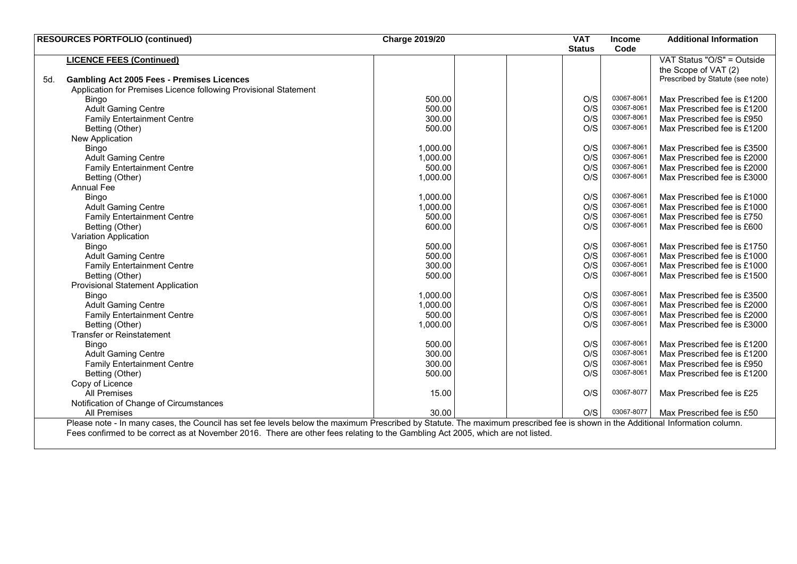|     | <b>RESOURCES PORTFOLIO (continued)</b>                                                                                                                                         | <b>Charge 2019/20</b> | <b>VAT</b>    | <b>Income</b> | <b>Additional Information</b>    |
|-----|--------------------------------------------------------------------------------------------------------------------------------------------------------------------------------|-----------------------|---------------|---------------|----------------------------------|
|     |                                                                                                                                                                                |                       | <b>Status</b> | Code          |                                  |
|     | <b>LICENCE FEES (Continued)</b>                                                                                                                                                |                       |               |               | VAT Status "O/S" = Outside       |
|     |                                                                                                                                                                                |                       |               |               | the Scope of VAT (2)             |
| 5d. | <b>Gambling Act 2005 Fees - Premises Licences</b>                                                                                                                              |                       |               |               | Prescribed by Statute (see note) |
|     | Application for Premises Licence following Provisional Statement                                                                                                               |                       |               |               |                                  |
|     | Bingo                                                                                                                                                                          | 500.00                | O/S           | 03067-8061    | Max Prescribed fee is £1200      |
|     | <b>Adult Gaming Centre</b>                                                                                                                                                     | 500.00                | O/S           | 03067-8061    | Max Prescribed fee is £1200      |
|     | <b>Family Entertainment Centre</b>                                                                                                                                             | 300.00                | O/S           | 03067-8061    | Max Prescribed fee is £950       |
|     | Betting (Other)                                                                                                                                                                | 500.00                | O/S           | 03067-8061    | Max Prescribed fee is £1200      |
|     | New Application                                                                                                                                                                |                       |               |               |                                  |
|     | Bingo                                                                                                                                                                          | 1,000.00              | O/S           | 03067-8061    | Max Prescribed fee is £3500      |
|     | <b>Adult Gaming Centre</b>                                                                                                                                                     | 1,000.00              | O/S           | 03067-8061    | Max Prescribed fee is £2000      |
|     | <b>Family Entertainment Centre</b>                                                                                                                                             | 500.00                | O/S           | 03067-8061    | Max Prescribed fee is £2000      |
|     | Betting (Other)                                                                                                                                                                | 1,000.00              | O/S           | 03067-8061    | Max Prescribed fee is £3000      |
|     | <b>Annual Fee</b>                                                                                                                                                              |                       |               |               |                                  |
|     | Bingo                                                                                                                                                                          | 1,000.00              | O/S           | 03067-8061    | Max Prescribed fee is £1000      |
|     | <b>Adult Gaming Centre</b>                                                                                                                                                     | 1,000.00              | O/S           | 03067-8061    | Max Prescribed fee is £1000      |
|     | <b>Family Entertainment Centre</b>                                                                                                                                             | 500.00                | O/S           | 03067-8061    | Max Prescribed fee is £750       |
|     | Betting (Other)                                                                                                                                                                | 600.00                | O/S           | 03067-8061    | Max Prescribed fee is £600       |
|     | Variation Application                                                                                                                                                          |                       |               |               |                                  |
|     | Bingo                                                                                                                                                                          | 500.00                | O/S           | 03067-8061    | Max Prescribed fee is £1750      |
|     | <b>Adult Gaming Centre</b>                                                                                                                                                     | 500.00                | O/S           | 03067-8061    | Max Prescribed fee is £1000      |
|     | <b>Family Entertainment Centre</b>                                                                                                                                             | 300.00                | O/S           | 03067-8061    | Max Prescribed fee is £1000      |
|     | Betting (Other)                                                                                                                                                                | 500.00                | O/S           | 03067-8061    | Max Prescribed fee is £1500      |
|     | <b>Provisional Statement Application</b>                                                                                                                                       |                       |               |               |                                  |
|     | Bingo                                                                                                                                                                          | 1,000.00              | O/S           | 03067-8061    | Max Prescribed fee is £3500      |
|     | <b>Adult Gaming Centre</b>                                                                                                                                                     | 1,000.00              | O/S           | 03067-8061    | Max Prescribed fee is £2000      |
|     | <b>Family Entertainment Centre</b>                                                                                                                                             | 500.00                | O/S           | 03067-8061    | Max Prescribed fee is £2000      |
|     | Betting (Other)                                                                                                                                                                | 1,000.00              | O/S           | 03067-8061    | Max Prescribed fee is £3000      |
|     | <b>Transfer or Reinstatement</b>                                                                                                                                               |                       |               |               |                                  |
|     | Bingo                                                                                                                                                                          | 500.00                | O/S           | 03067-8061    | Max Prescribed fee is £1200      |
|     | <b>Adult Gaming Centre</b>                                                                                                                                                     | 300.00                | O/S           | 03067-8061    | Max Prescribed fee is £1200      |
|     | <b>Family Entertainment Centre</b>                                                                                                                                             | 300.00                | O/S           | 03067-8061    | Max Prescribed fee is £950       |
|     | Betting (Other)                                                                                                                                                                | 500.00                | O/S           | 03067-8061    | Max Prescribed fee is £1200      |
|     | Copy of Licence                                                                                                                                                                |                       |               |               |                                  |
|     | <b>All Premises</b>                                                                                                                                                            | 15.00                 | O/S           | 03067-8077    | Max Prescribed fee is £25        |
|     | Notification of Change of Circumstances                                                                                                                                        |                       |               |               |                                  |
|     | <b>All Premises</b>                                                                                                                                                            | 30.00                 | O/S           | 03067-8077    | Max Prescribed fee is £50        |
|     | Please note - In many cases, the Council has set fee levels below the maximum Prescribed by Statute. The maximum prescribed fee is shown in the Additional Information column. |                       |               |               |                                  |
|     | Fees confirmed to be correct as at November 2016. There are other fees relating to the Gambling Act 2005, which are not listed.                                                |                       |               |               |                                  |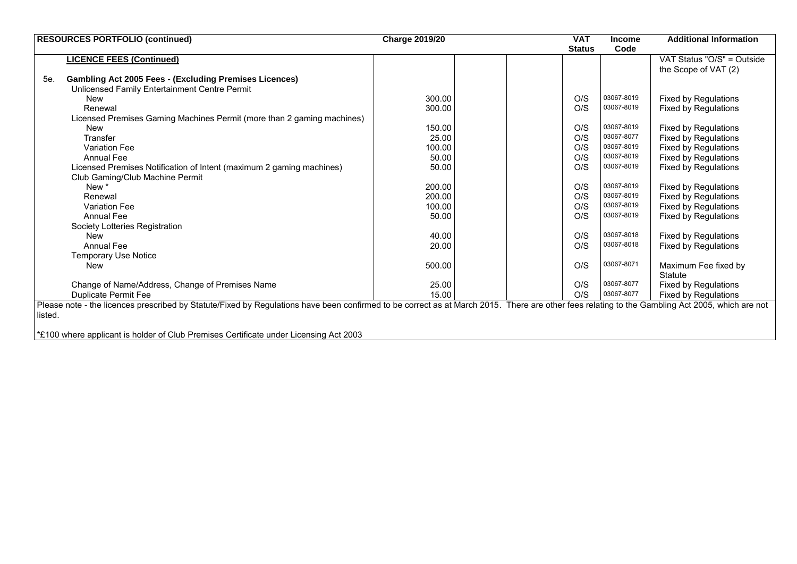| <b>RESOURCES PORTFOLIO (continued)</b>                                                                                                                                                          | <b>Charge 2019/20</b> | <b>VAT</b>    | <b>Income</b> | <b>Additional Information</b> |
|-------------------------------------------------------------------------------------------------------------------------------------------------------------------------------------------------|-----------------------|---------------|---------------|-------------------------------|
|                                                                                                                                                                                                 |                       | <b>Status</b> | Code          |                               |
| <b>LICENCE FEES (Continued)</b>                                                                                                                                                                 |                       |               |               | VAT Status "O/S" = Outside    |
|                                                                                                                                                                                                 |                       |               |               | the Scope of VAT (2)          |
| 5e.<br><b>Gambling Act 2005 Fees - (Excluding Premises Licences)</b>                                                                                                                            |                       |               |               |                               |
| Unlicensed Family Entertainment Centre Permit                                                                                                                                                   |                       |               |               |                               |
| New                                                                                                                                                                                             | 300.00                | O/S           | 03067-8019    | <b>Fixed by Regulations</b>   |
| Renewal                                                                                                                                                                                         | 300.00                | O/S           | 03067-8019    | <b>Fixed by Regulations</b>   |
| Licensed Premises Gaming Machines Permit (more than 2 gaming machines)                                                                                                                          |                       |               |               |                               |
| New                                                                                                                                                                                             | 150.00                | O/S           | 03067-8019    | <b>Fixed by Regulations</b>   |
| Transfer                                                                                                                                                                                        | 25.00                 | O/S           | 03067-8077    | <b>Fixed by Regulations</b>   |
| <b>Variation Fee</b>                                                                                                                                                                            | 100.00                | O/S           | 03067-8019    | <b>Fixed by Regulations</b>   |
| <b>Annual Fee</b>                                                                                                                                                                               | 50.00                 | O/S           | 03067-8019    | <b>Fixed by Regulations</b>   |
| Licensed Premises Notification of Intent (maximum 2 gaming machines)                                                                                                                            | 50.00                 | O/S           | 03067-8019    | <b>Fixed by Regulations</b>   |
| Club Gaming/Club Machine Permit                                                                                                                                                                 |                       |               |               |                               |
| New *                                                                                                                                                                                           | 200.00                | O/S           | 03067-8019    | <b>Fixed by Regulations</b>   |
| Renewal                                                                                                                                                                                         | 200.00                | O/S           | 03067-8019    | <b>Fixed by Regulations</b>   |
| <b>Variation Fee</b>                                                                                                                                                                            | 100.00                | O/S           | 03067-8019    | <b>Fixed by Regulations</b>   |
| <b>Annual Fee</b>                                                                                                                                                                               | 50.00                 | O/S           | 03067-8019    | <b>Fixed by Regulations</b>   |
| Society Lotteries Registration                                                                                                                                                                  |                       |               |               |                               |
| New                                                                                                                                                                                             | 40.00                 | O/S           | 03067-8018    | <b>Fixed by Regulations</b>   |
| Annual Fee                                                                                                                                                                                      | 20.00                 | O/S           | 03067-8018    | <b>Fixed by Regulations</b>   |
| <b>Temporary Use Notice</b>                                                                                                                                                                     |                       |               |               |                               |
| <b>New</b>                                                                                                                                                                                      | 500.00                | O/S           | 03067-8071    | Maximum Fee fixed by          |
|                                                                                                                                                                                                 |                       |               |               | <b>Statute</b>                |
| Change of Name/Address, Change of Premises Name                                                                                                                                                 | 25.00                 | O/S           | 03067-8077    | <b>Fixed by Regulations</b>   |
| <b>Duplicate Permit Fee</b>                                                                                                                                                                     | 15.00                 | O/S           | 03067-8077    | <b>Fixed by Regulations</b>   |
| Please note - the licences prescribed by Statute/Fixed by Regulations have been confirmed to be correct as at March 2015. There are other fees relating to the Gambling Act 2005, which are not |                       |               |               |                               |
| listed.                                                                                                                                                                                         |                       |               |               |                               |
|                                                                                                                                                                                                 |                       |               |               |                               |
| *£100 where applicant is holder of Club Premises Certificate under Licensing Act 2003                                                                                                           |                       |               |               |                               |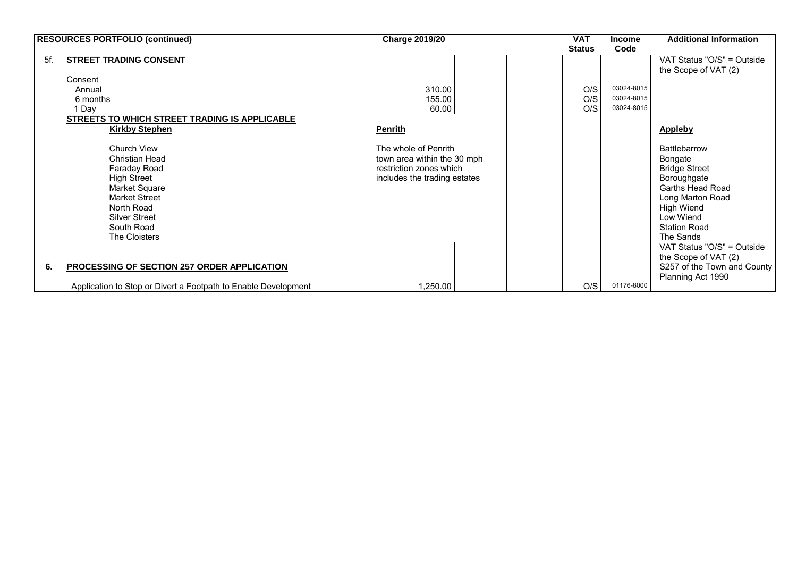| <b>RESOURCES PORTFOLIO (continued)</b><br><b>Charge 2019/20</b>                                                                                                                   |                                                                                                                | <b>VAT</b>    | <b>Income</b> | <b>Additional Information</b>                                                                                                                                                              |
|-----------------------------------------------------------------------------------------------------------------------------------------------------------------------------------|----------------------------------------------------------------------------------------------------------------|---------------|---------------|--------------------------------------------------------------------------------------------------------------------------------------------------------------------------------------------|
|                                                                                                                                                                                   |                                                                                                                | <b>Status</b> | Code          |                                                                                                                                                                                            |
| <b>STREET TRADING CONSENT</b><br>5f.                                                                                                                                              |                                                                                                                |               |               | VAT Status "O/S" = Outside                                                                                                                                                                 |
|                                                                                                                                                                                   |                                                                                                                |               |               | the Scope of VAT (2)                                                                                                                                                                       |
| Consent                                                                                                                                                                           |                                                                                                                |               |               |                                                                                                                                                                                            |
| Annual                                                                                                                                                                            | 310.00                                                                                                         | O/S           | 03024-8015    |                                                                                                                                                                                            |
| 6 months                                                                                                                                                                          | 155.00                                                                                                         | O/S           | 03024-8015    |                                                                                                                                                                                            |
| Day                                                                                                                                                                               | 60.00                                                                                                          | O/S           | 03024-8015    |                                                                                                                                                                                            |
| <b>STREETS TO WHICH STREET TRADING IS APPLICABLE</b>                                                                                                                              |                                                                                                                |               |               |                                                                                                                                                                                            |
| <b>Kirkby Stephen</b>                                                                                                                                                             | <b>Penrith</b>                                                                                                 |               |               | Appleby                                                                                                                                                                                    |
| Church View<br><b>Christian Head</b><br>Faraday Road<br>High Street<br>Market Square<br><b>Market Street</b><br>North Road<br><b>Silver Street</b><br>South Road<br>The Cloisters | The whole of Penrith<br>town area within the 30 mph<br>restriction zones which<br>includes the trading estates |               |               | <b>Battlebarrow</b><br>Bongate<br><b>Bridge Street</b><br>Boroughgate<br><b>Garths Head Road</b><br>Long Marton Road<br><b>High Wiend</b><br>Low Wiend<br><b>Station Road</b><br>The Sands |
| PROCESSING OF SECTION 257 ORDER APPLICATION<br>6.<br>Application to Stop or Divert a Footpath to Enable Development                                                               | 1,250.00                                                                                                       | O/S           | 01176-8000    | VAT Status "O/S" = Outside<br>the Scope of VAT (2)<br>S257 of the Town and County<br>Planning Act 1990                                                                                     |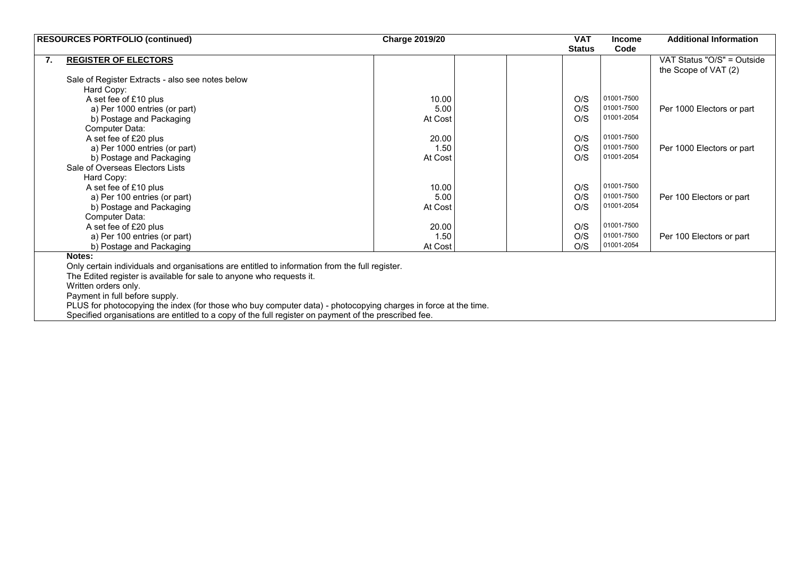|    | <b>RESOURCES PORTFOLIO (continued)</b>                                                                         | <b>Charge 2019/20</b> | <b>VAT</b>    | <b>Income</b> | <b>Additional Information</b> |
|----|----------------------------------------------------------------------------------------------------------------|-----------------------|---------------|---------------|-------------------------------|
|    |                                                                                                                |                       | <b>Status</b> | Code          |                               |
| 7. | <b>REGISTER OF ELECTORS</b>                                                                                    |                       |               |               | VAT Status "O/S" = Outside    |
|    |                                                                                                                |                       |               |               | the Scope of VAT (2)          |
|    | Sale of Register Extracts - also see notes below                                                               |                       |               |               |                               |
|    | Hard Copy:                                                                                                     |                       |               |               |                               |
|    | A set fee of £10 plus                                                                                          | 10.00                 | O/S           | 01001-7500    |                               |
|    | a) Per 1000 entries (or part)                                                                                  | 5.00                  | O/S           | 01001-7500    | Per 1000 Electors or part     |
|    | b) Postage and Packaging                                                                                       | At Cost               | O/S           | 01001-2054    |                               |
|    | Computer Data:                                                                                                 |                       |               |               |                               |
|    | A set fee of £20 plus                                                                                          | 20.00                 | O/S           | 01001-7500    |                               |
|    | a) Per 1000 entries (or part)                                                                                  | 1.50                  | O/S           | 01001-7500    | Per 1000 Electors or part     |
|    | b) Postage and Packaging                                                                                       | At Cost               | O/S           | 01001-2054    |                               |
|    | Sale of Overseas Electors Lists                                                                                |                       |               |               |                               |
|    | Hard Copy:                                                                                                     |                       |               |               |                               |
|    | A set fee of £10 plus                                                                                          | 10.00                 | O/S           | 01001-7500    |                               |
|    | a) Per 100 entries (or part)                                                                                   | 5.00                  | O/S           | 01001-7500    | Per 100 Electors or part      |
|    | b) Postage and Packaging                                                                                       | At Cost               | O/S           | 01001-2054    |                               |
|    | Computer Data:                                                                                                 |                       |               |               |                               |
|    | A set fee of £20 plus                                                                                          | 20.00                 | O/S           | 01001-7500    |                               |
|    | a) Per 100 entries (or part)                                                                                   | 1.50                  | O/S           | 01001-7500    | Per 100 Electors or part      |
|    | b) Postage and Packaging                                                                                       | At Cost               | O/S           | 01001-2054    |                               |
|    | Notes:                                                                                                         |                       |               |               |                               |
|    | Only certain individuals and organisations are entitled to information from the full register.                 |                       |               |               |                               |
|    | The Edited register is available for sale to anyone who requests it.                                           |                       |               |               |                               |
|    | Written orders only.                                                                                           |                       |               |               |                               |
|    | Payment in full before supply.                                                                                 |                       |               |               |                               |
|    | PLUS for photocopying the index (for those who buy computer data) - photocopying charges in force at the time. |                       |               |               |                               |
|    | Specified organisations are entitled to a copy of the full register on payment of the prescribed fee.          |                       |               |               |                               |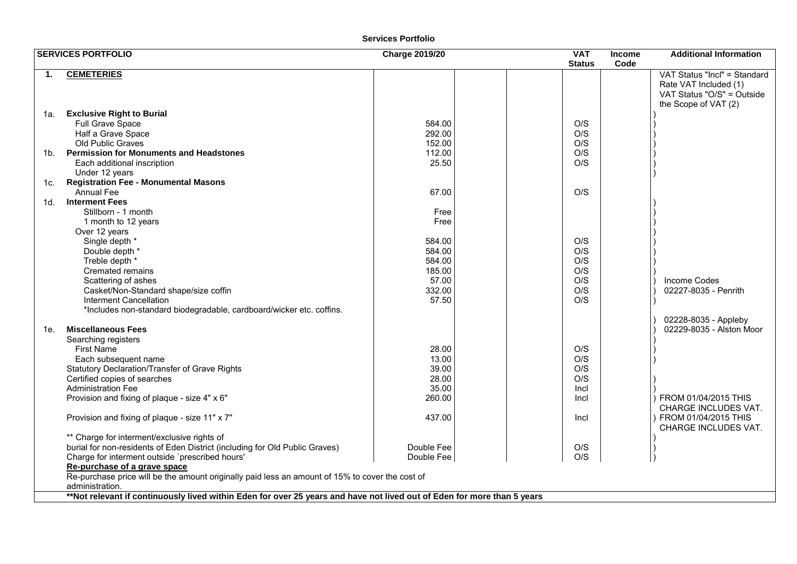|        | <b>SERVICES PORTFOLIO</b>                                                                                               | <b>Charge 2019/20</b> | <b>VAT</b><br><b>Status</b> | <b>Income</b><br>Code | <b>Additional Information</b>                                                                               |
|--------|-------------------------------------------------------------------------------------------------------------------------|-----------------------|-----------------------------|-----------------------|-------------------------------------------------------------------------------------------------------------|
| 1.     | <b>CEMETERIES</b>                                                                                                       |                       |                             |                       | VAT Status "Incl" = Standard<br>Rate VAT Included (1)<br>VAT Status "O/S" = Outside<br>the Scope of VAT (2) |
| 1a.    | <b>Exclusive Right to Burial</b>                                                                                        |                       |                             |                       |                                                                                                             |
|        | Full Grave Space                                                                                                        | 584.00                | O/S                         |                       |                                                                                                             |
|        | Half a Grave Space                                                                                                      | 292.00                | O/S                         |                       |                                                                                                             |
|        | <b>Old Public Graves</b>                                                                                                | 152.00                | O/S                         |                       |                                                                                                             |
| 1b.    | <b>Permission for Monuments and Headstones</b>                                                                          | 112.00                | O/S                         |                       |                                                                                                             |
|        | Each additional inscription                                                                                             | 25.50                 | O/S                         |                       |                                                                                                             |
|        | Under 12 years                                                                                                          |                       |                             |                       |                                                                                                             |
| 1c.    | <b>Registration Fee - Monumental Masons</b>                                                                             |                       |                             |                       |                                                                                                             |
|        | <b>Annual Fee</b>                                                                                                       | 67.00                 | O/S                         |                       |                                                                                                             |
| $1d$ . | <b>Interment Fees</b>                                                                                                   |                       |                             |                       |                                                                                                             |
|        | Stillborn - 1 month                                                                                                     | Free                  |                             |                       |                                                                                                             |
|        | 1 month to 12 years                                                                                                     | Free                  |                             |                       |                                                                                                             |
|        | Over 12 years                                                                                                           |                       |                             |                       |                                                                                                             |
|        | Single depth *                                                                                                          | 584.00                | O/S                         |                       |                                                                                                             |
|        | Double depth *                                                                                                          | 584.00                | O/S                         |                       |                                                                                                             |
|        | Treble depth *                                                                                                          | 584.00                | O/S                         |                       |                                                                                                             |
|        | Cremated remains                                                                                                        | 185.00                | O/S                         |                       |                                                                                                             |
|        | Scattering of ashes                                                                                                     | 57.00                 | O/S                         |                       | Income Codes                                                                                                |
|        | Casket/Non-Standard shape/size coffin                                                                                   | 332.00                | O/S                         |                       | 02227-8035 - Penrith                                                                                        |
|        | Interment Cancellation                                                                                                  | 57.50                 | O/S                         |                       |                                                                                                             |
|        | *Includes non-standard biodegradable, cardboard/wicker etc. coffins.                                                    |                       |                             |                       |                                                                                                             |
|        |                                                                                                                         |                       |                             |                       | 02228-8035 - Appleby                                                                                        |
| 1e.    | <b>Miscellaneous Fees</b>                                                                                               |                       |                             |                       | 02229-8035 - Alston Moor                                                                                    |
|        | Searching registers                                                                                                     |                       |                             |                       |                                                                                                             |
|        | <b>First Name</b>                                                                                                       | 28.00                 | O/S                         |                       |                                                                                                             |
|        | Each subsequent name                                                                                                    | 13.00                 | O/S                         |                       |                                                                                                             |
|        | Statutory Declaration/Transfer of Grave Rights                                                                          | 39.00                 | O/S                         |                       |                                                                                                             |
|        | Certified copies of searches                                                                                            | 28.00                 | O/S                         |                       |                                                                                                             |
|        | <b>Administration Fee</b>                                                                                               | 35.00                 | Incl                        |                       |                                                                                                             |
|        | Provision and fixing of plaque - size 4" x 6"                                                                           | 260.00                | Incl                        |                       | FROM 01/04/2015 THIS                                                                                        |
|        |                                                                                                                         |                       |                             |                       | CHARGE INCLUDES VAT.                                                                                        |
|        | Provision and fixing of plaque - size 11" x 7"                                                                          | 437.00                | Incl                        |                       | FROM 01/04/2015 THIS<br>CHARGE INCLUDES VAT.                                                                |
|        | ** Charge for interment/exclusive rights of                                                                             |                       |                             |                       |                                                                                                             |
|        | burial for non-residents of Eden District (including for Old Public Graves)                                             | Double Fee            | O/S                         |                       |                                                                                                             |
|        | Charge for interment outside `prescribed hours'                                                                         | Double Fee            | O/S                         |                       |                                                                                                             |
|        | Re-purchase of a grave space                                                                                            |                       |                             |                       |                                                                                                             |
|        | Re-purchase price will be the amount originally paid less an amount of 15% to cover the cost of                         |                       |                             |                       |                                                                                                             |
|        | administration.                                                                                                         |                       |                             |                       |                                                                                                             |
|        | **Not relevant if continuously lived within Eden for over 25 years and have not lived out of Eden for more than 5 years |                       |                             |                       |                                                                                                             |
|        |                                                                                                                         |                       |                             |                       |                                                                                                             |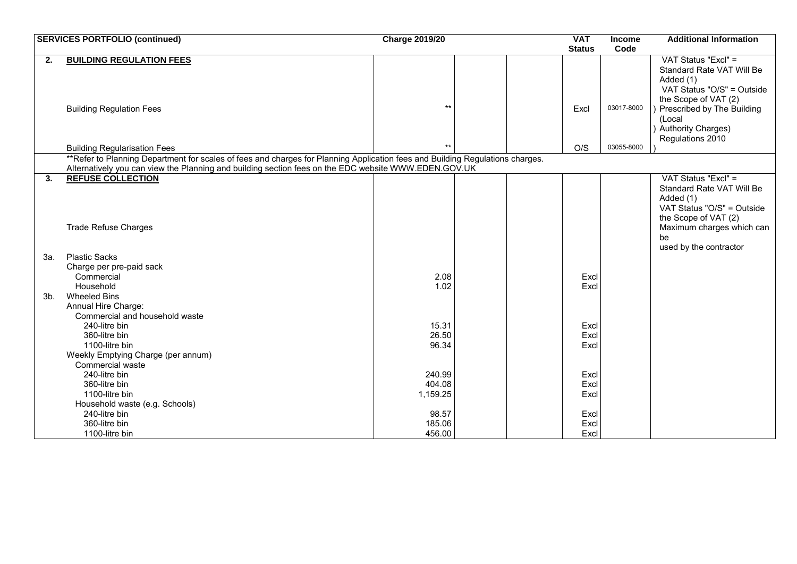|     | <b>SERVICES PORTFOLIO (continued)</b>                                                                                            | <b>Charge 2019/20</b> |  | <b>VAT</b>    | <b>Income</b> | <b>Additional Information</b> |
|-----|----------------------------------------------------------------------------------------------------------------------------------|-----------------------|--|---------------|---------------|-------------------------------|
|     |                                                                                                                                  |                       |  | <b>Status</b> | Code          |                               |
| 2.  | <b>BUILDING REGULATION FEES</b>                                                                                                  |                       |  |               |               | VAT Status "Excl" =           |
|     |                                                                                                                                  |                       |  |               |               | Standard Rate VAT Will Be     |
|     |                                                                                                                                  |                       |  |               |               | Added (1)                     |
|     |                                                                                                                                  |                       |  |               |               | VAT Status "O/S" = Outside    |
|     |                                                                                                                                  |                       |  |               |               | the Scope of VAT (2)          |
|     | <b>Building Regulation Fees</b>                                                                                                  | $***$                 |  | Excl          | 03017-8000    | Prescribed by The Building    |
|     |                                                                                                                                  |                       |  |               |               | (Local                        |
|     |                                                                                                                                  |                       |  |               |               | Authority Charges)            |
|     |                                                                                                                                  | $+1$                  |  |               | 03055-8000    | Regulations 2010              |
|     | <b>Building Regularisation Fees</b>                                                                                              |                       |  | O/S           |               |                               |
|     | **Refer to Planning Department for scales of fees and charges for Planning Application fees and Building Regulations charges.    |                       |  |               |               |                               |
| 3.  | Alternatively you can view the Planning and building section fees on the EDC website WWW.EDEN.GOV.UK<br><b>REFUSE COLLECTION</b> |                       |  |               |               | VAT Status "Excl" =           |
|     |                                                                                                                                  |                       |  |               |               | Standard Rate VAT Will Be     |
|     |                                                                                                                                  |                       |  |               |               | Added (1)                     |
|     |                                                                                                                                  |                       |  |               |               | VAT Status "O/S" = Outside    |
|     |                                                                                                                                  |                       |  |               |               | the Scope of VAT (2)          |
|     | <b>Trade Refuse Charges</b>                                                                                                      |                       |  |               |               | Maximum charges which can     |
|     |                                                                                                                                  |                       |  |               |               | be                            |
|     |                                                                                                                                  |                       |  |               |               | used by the contractor        |
| 3а. | <b>Plastic Sacks</b>                                                                                                             |                       |  |               |               |                               |
|     | Charge per pre-paid sack                                                                                                         |                       |  |               |               |                               |
|     | Commercial                                                                                                                       | 2.08                  |  | Excl          |               |                               |
|     | Household                                                                                                                        | 1.02                  |  | Excl          |               |                               |
| 3b. | <b>Wheeled Bins</b>                                                                                                              |                       |  |               |               |                               |
|     | Annual Hire Charge:                                                                                                              |                       |  |               |               |                               |
|     | Commercial and household waste                                                                                                   |                       |  |               |               |                               |
|     | 240-litre bin                                                                                                                    | 15.31                 |  | Excl          |               |                               |
|     | 360-litre bin                                                                                                                    | 26.50                 |  | Excl          |               |                               |
|     | 1100-litre bin                                                                                                                   | 96.34                 |  | Excl          |               |                               |
|     | Weekly Emptying Charge (per annum)                                                                                               |                       |  |               |               |                               |
|     | <b>Commercial waste</b>                                                                                                          |                       |  |               |               |                               |
|     | 240-litre bin                                                                                                                    | 240.99                |  | Excl          |               |                               |
|     | 360-litre bin                                                                                                                    | 404.08                |  | Excl          |               |                               |
|     | 1100-litre bin                                                                                                                   | 1,159.25              |  | Excl          |               |                               |
|     | Household waste (e.g. Schools)                                                                                                   |                       |  |               |               |                               |
|     | 240-litre bin                                                                                                                    | 98.57                 |  | Excl          |               |                               |
|     | 360-litre bin                                                                                                                    | 185.06                |  | Excl          |               |                               |
|     | 1100-litre bin                                                                                                                   | 456.00                |  | Excl          |               |                               |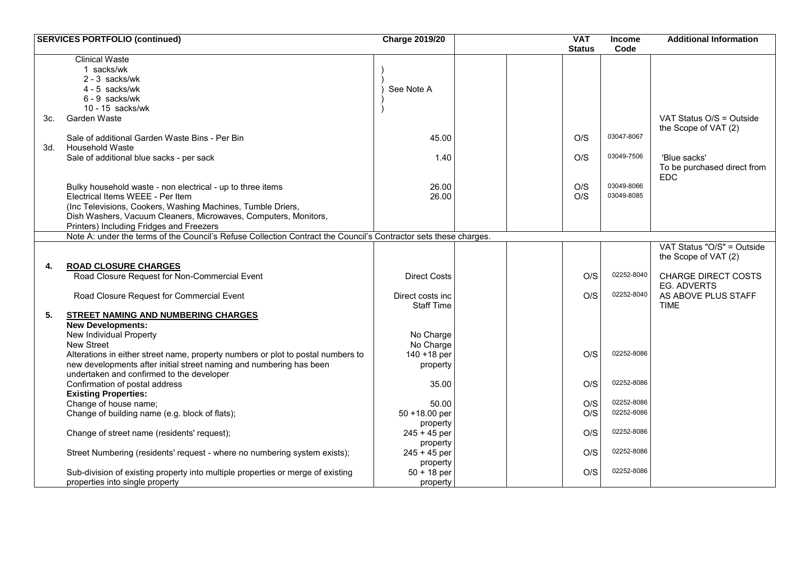|     | <b>SERVICES PORTFOLIO (continued)</b>                                                                            | <b>Charge 2019/20</b> | <b>VAT</b>    | <b>Income</b> | <b>Additional Information</b> |
|-----|------------------------------------------------------------------------------------------------------------------|-----------------------|---------------|---------------|-------------------------------|
|     | <b>Clinical Waste</b>                                                                                            |                       | <b>Status</b> | Code          |                               |
|     | 1 sacks/wk                                                                                                       |                       |               |               |                               |
|     | $2 - 3$ sacks/wk                                                                                                 |                       |               |               |                               |
|     | 4 - 5 sacks/wk                                                                                                   | See Note A            |               |               |                               |
|     | 6 - 9 sacks/wk                                                                                                   |                       |               |               |                               |
|     | 10 - 15 sacks/wk                                                                                                 |                       |               |               |                               |
| 3c. | Garden Waste                                                                                                     |                       |               |               | VAT Status O/S = Outside      |
|     |                                                                                                                  |                       |               |               | the Scope of VAT (2)          |
|     | Sale of additional Garden Waste Bins - Per Bin                                                                   | 45.00                 | O/S           | 03047-8067    |                               |
| 3d. | <b>Household Waste</b>                                                                                           |                       |               |               |                               |
|     | Sale of additional blue sacks - per sack                                                                         | 1.40                  | O/S           | 03049-7506    | 'Blue sacks'                  |
|     |                                                                                                                  |                       |               |               | To be purchased direct from   |
|     |                                                                                                                  |                       |               |               | <b>EDC</b>                    |
|     | Bulky household waste - non electrical - up to three items                                                       | 26.00                 | O/S           | 03049-8066    |                               |
|     | Electrical Items WEEE - Per Item                                                                                 | 26.00                 | O/S           | 03049-8085    |                               |
|     | (Inc Televisions, Cookers, Washing Machines, Tumble Driers,                                                      |                       |               |               |                               |
|     | Dish Washers, Vacuum Cleaners, Microwaves, Computers, Monitors,                                                  |                       |               |               |                               |
|     | Printers) Including Fridges and Freezers                                                                         |                       |               |               |                               |
|     | Note A: under the terms of the Council's Refuse Collection Contract the Council's Contractor sets these charges. |                       |               |               |                               |
|     |                                                                                                                  |                       |               |               | VAT Status "O/S" = Outside    |
|     |                                                                                                                  |                       |               |               | the Scope of VAT (2)          |
| 4.  | <b>ROAD CLOSURE CHARGES</b>                                                                                      |                       |               |               |                               |
|     | Road Closure Request for Non-Commercial Event                                                                    | <b>Direct Costs</b>   | O/S           | 02252-8040    | <b>CHARGE DIRECT COSTS</b>    |
|     |                                                                                                                  |                       |               |               | <b>EG. ADVERTS</b>            |
|     | Road Closure Request for Commercial Event                                                                        | Direct costs inc      | O/S           | 02252-8040    | AS ABOVE PLUS STAFF           |
|     |                                                                                                                  | <b>Staff Time</b>     |               |               | <b>TIME</b>                   |
| 5.  | <b>STREET NAMING AND NUMBERING CHARGES</b>                                                                       |                       |               |               |                               |
|     | <b>New Developments:</b>                                                                                         |                       |               |               |                               |
|     | New Individual Property                                                                                          | No Charge             |               |               |                               |
|     | New Street                                                                                                       | No Charge             |               |               |                               |
|     | Alterations in either street name, property numbers or plot to postal numbers to                                 | 140 + 18 per          | O/S           | 02252-8086    |                               |
|     | new developments after initial street naming and numbering has been                                              | property              |               |               |                               |
|     | undertaken and confirmed to the developer                                                                        |                       |               |               |                               |
|     | Confirmation of postal address                                                                                   | 35.00                 | O/S           | 02252-8086    |                               |
|     | <b>Existing Properties:</b>                                                                                      |                       |               |               |                               |
|     | Change of house name;                                                                                            | 50.00                 | O/S           | 02252-8086    |                               |
|     | Change of building name (e.g. block of flats);                                                                   | 50 +18.00 per         | O/S           | 02252-8086    |                               |
|     |                                                                                                                  | property              |               |               |                               |
|     | Change of street name (residents' request);                                                                      | $245 + 45$ per        | O/S           | 02252-8086    |                               |
|     |                                                                                                                  | property              |               |               |                               |
|     | Street Numbering (residents' request - where no numbering system exists);                                        | $245 + 45$ per        | O/S           | 02252-8086    |                               |
|     |                                                                                                                  | property              |               |               |                               |
|     | Sub-division of existing property into multiple properties or merge of existing                                  | $50 + 18$ per         | O/S           | 02252-8086    |                               |
|     | properties into single property                                                                                  | property              |               |               |                               |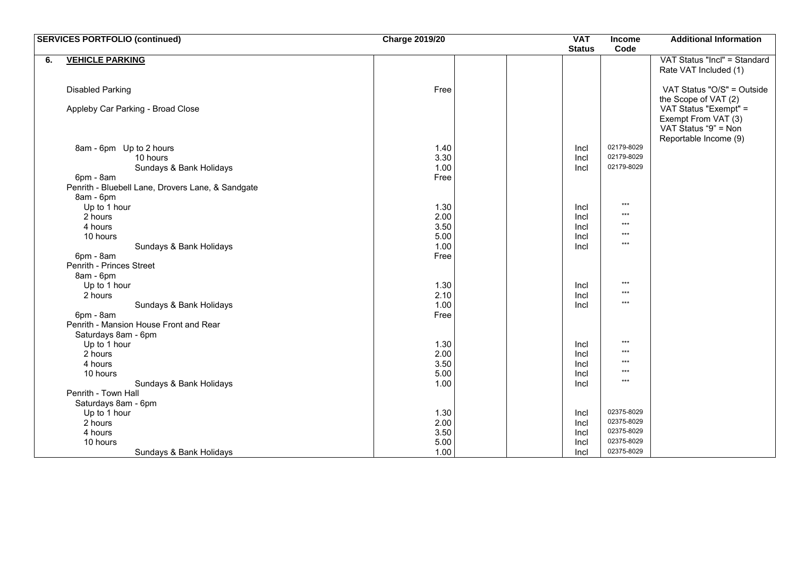|    | <b>SERVICES PORTFOLIO (continued)</b>             | <b>Charge 2019/20</b> | <b>VAT</b>    | <b>Income</b>            | <b>Additional Information</b>               |
|----|---------------------------------------------------|-----------------------|---------------|--------------------------|---------------------------------------------|
|    |                                                   |                       | <b>Status</b> | Code                     |                                             |
| 6. | <b>VEHICLE PARKING</b>                            |                       |               |                          | VAT Status "Incl" = Standard                |
|    |                                                   |                       |               |                          | Rate VAT Included (1)                       |
|    |                                                   |                       |               |                          |                                             |
|    | <b>Disabled Parking</b>                           | Free                  |               |                          | VAT Status "O/S" = Outside                  |
|    |                                                   |                       |               |                          | the Scope of VAT (2)                        |
|    | Appleby Car Parking - Broad Close                 |                       |               |                          | VAT Status "Exempt" =                       |
|    |                                                   |                       |               |                          | Exempt From VAT (3)<br>VAT Status "9" = Non |
|    |                                                   |                       |               |                          | Reportable Income (9)                       |
|    | 8am - 6pm Up to 2 hours                           | 1.40                  | Incl          | 02179-8029               |                                             |
|    | 10 hours                                          | 3.30                  | Incl          | 02179-8029               |                                             |
|    | Sundays & Bank Holidays                           | 1.00                  | Incl          | 02179-8029               |                                             |
|    | 6pm - 8am                                         | Free                  |               |                          |                                             |
|    | Penrith - Bluebell Lane, Drovers Lane, & Sandgate |                       |               |                          |                                             |
|    | 8am - 6pm                                         |                       |               |                          |                                             |
|    | Up to 1 hour                                      | 1.30                  | Incl          | $***$                    |                                             |
|    | 2 hours                                           | 2.00                  | Incl          | $***$                    |                                             |
|    | 4 hours                                           | 3.50                  | Incl          | $***$                    |                                             |
|    | 10 hours                                          | 5.00                  | Incl          | $***$                    |                                             |
|    | Sundays & Bank Holidays                           | 1.00                  | Incl          | $***$                    |                                             |
|    | 6pm - 8am                                         | Free                  |               |                          |                                             |
|    | Penrith - Princes Street                          |                       |               |                          |                                             |
|    | 8am - 6pm                                         |                       |               | $***$                    |                                             |
|    | Up to 1 hour<br>2 hours                           | 1.30                  | Incl          | $***$                    |                                             |
|    | Sundays & Bank Holidays                           | 2.10<br>1.00          | Incl<br>Incl  | $***$                    |                                             |
|    | 6pm - 8am                                         | Free                  |               |                          |                                             |
|    | Penrith - Mansion House Front and Rear            |                       |               |                          |                                             |
|    | Saturdays 8am - 6pm                               |                       |               |                          |                                             |
|    | Up to 1 hour                                      | 1.30                  | Incl          | $\star\star\star$        |                                             |
|    | 2 hours                                           | 2.00                  | Incl          | $***$                    |                                             |
|    | 4 hours                                           | 3.50                  | Incl          | $***$                    |                                             |
|    | 10 hours                                          | 5.00                  | Incl          | $***$                    |                                             |
|    | Sundays & Bank Holidays                           | 1.00                  | Incl          | $***$                    |                                             |
|    | Penrith - Town Hall                               |                       |               |                          |                                             |
|    | Saturdays 8am - 6pm                               |                       |               |                          |                                             |
|    | Up to 1 hour                                      | 1.30                  | Incl          | 02375-8029               |                                             |
|    | 2 hours                                           | 2.00                  | Incl          | 02375-8029               |                                             |
|    | 4 hours                                           | 3.50                  | Incl          | 02375-8029<br>02375-8029 |                                             |
|    | 10 hours                                          | 5.00                  | Incl          | 02375-8029               |                                             |
|    | Sundays & Bank Holidays                           | 1.00                  | Incl          |                          |                                             |